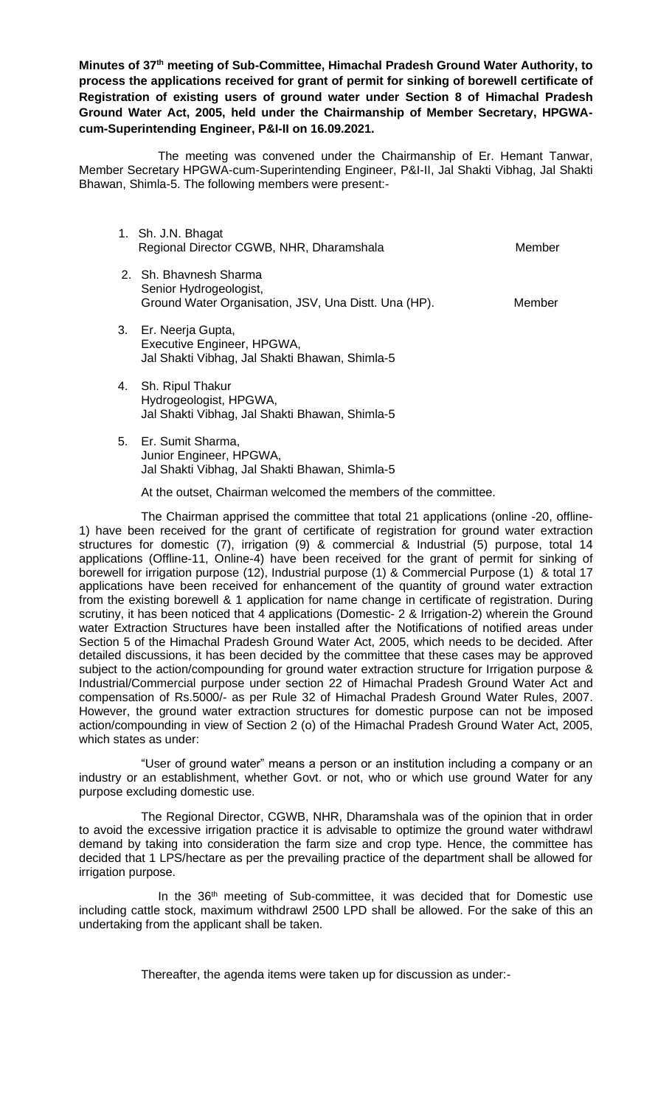**Minutes of 37 th meeting of Sub-Committee, Himachal Pradesh Ground Water Authority, to process the applications received for grant of permit for sinking of borewell certificate of Registration of existing users of ground water under Section 8 of Himachal Pradesh Ground Water Act, 2005, held under the Chairmanship of Member Secretary, HPGWAcum-Superintending Engineer, P&I-II on 16.09.2021.** 

The meeting was convened under the Chairmanship of Er. Hemant Tanwar, Member Secretary HPGWA-cum-Superintending Engineer, P&I-II, Jal Shakti Vibhag, Jal Shakti Bhawan, Shimla-5. The following members were present:-

|    | 1. Sh. J.N. Bhagat<br>Regional Director CGWB, NHR, Dharamshala                                           | Member |
|----|----------------------------------------------------------------------------------------------------------|--------|
|    | 2. Sh. Bhavnesh Sharma<br>Senior Hydrogeologist,<br>Ground Water Organisation, JSV, Una Distt. Una (HP). | Member |
| 3. | Er. Neerja Gupta,<br>Executive Engineer, HPGWA,<br>Jal Shakti Vibhag, Jal Shakti Bhawan, Shimla-5        |        |
| 4. | Sh. Ripul Thakur<br>Hydrogeologist, HPGWA,                                                               |        |

5. Er. Sumit Sharma, Junior Engineer, HPGWA, Jal Shakti Vibhag, Jal Shakti Bhawan, Shimla-5

Jal Shakti Vibhag, Jal Shakti Bhawan, Shimla-5

At the outset, Chairman welcomed the members of the committee.

The Chairman apprised the committee that total 21 applications (online -20, offline-1) have been received for the grant of certificate of registration for ground water extraction structures for domestic (7), irrigation (9) & commercial & Industrial (5) purpose, total 14 applications (Offline-11, Online-4) have been received for the grant of permit for sinking of borewell for irrigation purpose (12), Industrial purpose (1) & Commercial Purpose (1) & total 17 applications have been received for enhancement of the quantity of ground water extraction from the existing borewell & 1 application for name change in certificate of registration. During scrutiny, it has been noticed that 4 applications (Domestic- 2 & Irrigation-2) wherein the Ground water Extraction Structures have been installed after the Notifications of notified areas under Section 5 of the Himachal Pradesh Ground Water Act, 2005, which needs to be decided. After detailed discussions, it has been decided by the committee that these cases may be approved subject to the action/compounding for ground water extraction structure for Irrigation purpose & Industrial/Commercial purpose under section 22 of Himachal Pradesh Ground Water Act and compensation of Rs.5000/- as per Rule 32 of Himachal Pradesh Ground Water Rules, 2007. However, the ground water extraction structures for domestic purpose can not be imposed action/compounding in view of Section 2 (o) of the Himachal Pradesh Ground Water Act, 2005, which states as under:

"User of ground water" means a person or an institution including a company or an industry or an establishment, whether Govt. or not, who or which use ground Water for any purpose excluding domestic use.

The Regional Director, CGWB, NHR, Dharamshala was of the opinion that in order to avoid the excessive irrigation practice it is advisable to optimize the ground water withdrawl demand by taking into consideration the farm size and crop type. Hence, the committee has decided that 1 LPS/hectare as per the prevailing practice of the department shall be allowed for irrigation purpose.

In the 36<sup>th</sup> meeting of Sub-committee, it was decided that for Domestic use including cattle stock, maximum withdrawl 2500 LPD shall be allowed. For the sake of this an undertaking from the applicant shall be taken.

Thereafter, the agenda items were taken up for discussion as under:-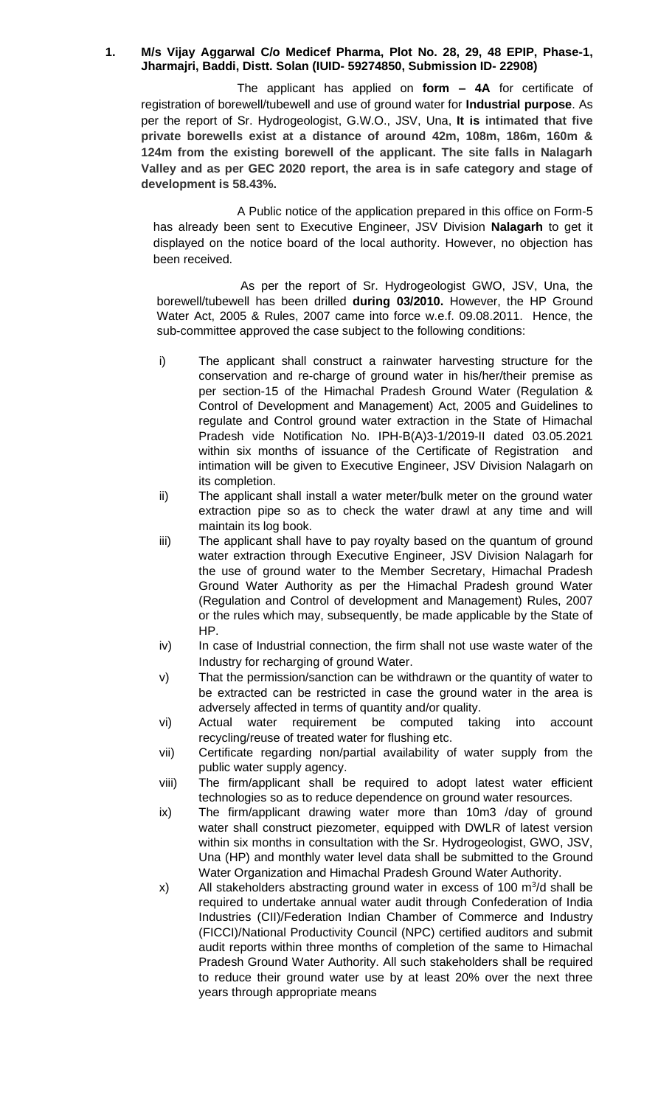#### **1. M/s Vijay Aggarwal C/o Medicef Pharma, Plot No. 28, 29, 48 EPIP, Phase-1, Jharmajri, Baddi, Distt. Solan (IUID- 59274850, Submission ID- 22908)**

The applicant has applied on **form – 4A** for certificate of registration of borewell/tubewell and use of ground water for **Industrial purpose**. As per the report of Sr. Hydrogeologist, G.W.O., JSV, Una, **It is intimated that five private borewells exist at a distance of around 42m, 108m, 186m, 160m & 124m from the existing borewell of the applicant. The site falls in Nalagarh Valley and as per GEC 2020 report, the area is in safe category and stage of development is 58.43%.**

A Public notice of the application prepared in this office on Form-5 has already been sent to Executive Engineer, JSV Division **Nalagarh** to get it displayed on the notice board of the local authority. However, no objection has been received.

As per the report of Sr. Hydrogeologist GWO, JSV, Una, the borewell/tubewell has been drilled **during 03/2010.** However, the HP Ground Water Act, 2005 & Rules, 2007 came into force w.e.f. 09.08.2011. Hence, the sub-committee approved the case subject to the following conditions:

- i) The applicant shall construct a rainwater harvesting structure for the conservation and re-charge of ground water in his/her/their premise as per section-15 of the Himachal Pradesh Ground Water (Regulation & Control of Development and Management) Act, 2005 and Guidelines to regulate and Control ground water extraction in the State of Himachal Pradesh vide Notification No. IPH-B(A)3-1/2019-II dated 03.05.2021 within six months of issuance of the Certificate of Registration and intimation will be given to Executive Engineer, JSV Division Nalagarh on its completion.
- ii) The applicant shall install a water meter/bulk meter on the ground water extraction pipe so as to check the water drawl at any time and will maintain its log book.
- iii) The applicant shall have to pay royalty based on the quantum of ground water extraction through Executive Engineer, JSV Division Nalagarh for the use of ground water to the Member Secretary, Himachal Pradesh Ground Water Authority as per the Himachal Pradesh ground Water (Regulation and Control of development and Management) Rules, 2007 or the rules which may, subsequently, be made applicable by the State of HP.
- iv) In case of Industrial connection, the firm shall not use waste water of the Industry for recharging of ground Water.
- v) That the permission/sanction can be withdrawn or the quantity of water to be extracted can be restricted in case the ground water in the area is adversely affected in terms of quantity and/or quality.
- vi) Actual water requirement be computed taking into account recycling/reuse of treated water for flushing etc.
- vii) Certificate regarding non/partial availability of water supply from the public water supply agency.
- viii) The firm/applicant shall be required to adopt latest water efficient technologies so as to reduce dependence on ground water resources.
- ix) The firm/applicant drawing water more than 10m3 /day of ground water shall construct piezometer, equipped with DWLR of latest version within six months in consultation with the Sr. Hydrogeologist, GWO, JSV, Una (HP) and monthly water level data shall be submitted to the Ground Water Organization and Himachal Pradesh Ground Water Authority.
- x) All stakeholders abstracting ground water in excess of 100  $\mathrm{m}^3$ /d shall be required to undertake annual water audit through Confederation of India Industries (CII)/Federation Indian Chamber of Commerce and Industry (FICCI)/National Productivity Council (NPC) certified auditors and submit audit reports within three months of completion of the same to Himachal Pradesh Ground Water Authority. All such stakeholders shall be required to reduce their ground water use by at least 20% over the next three years through appropriate means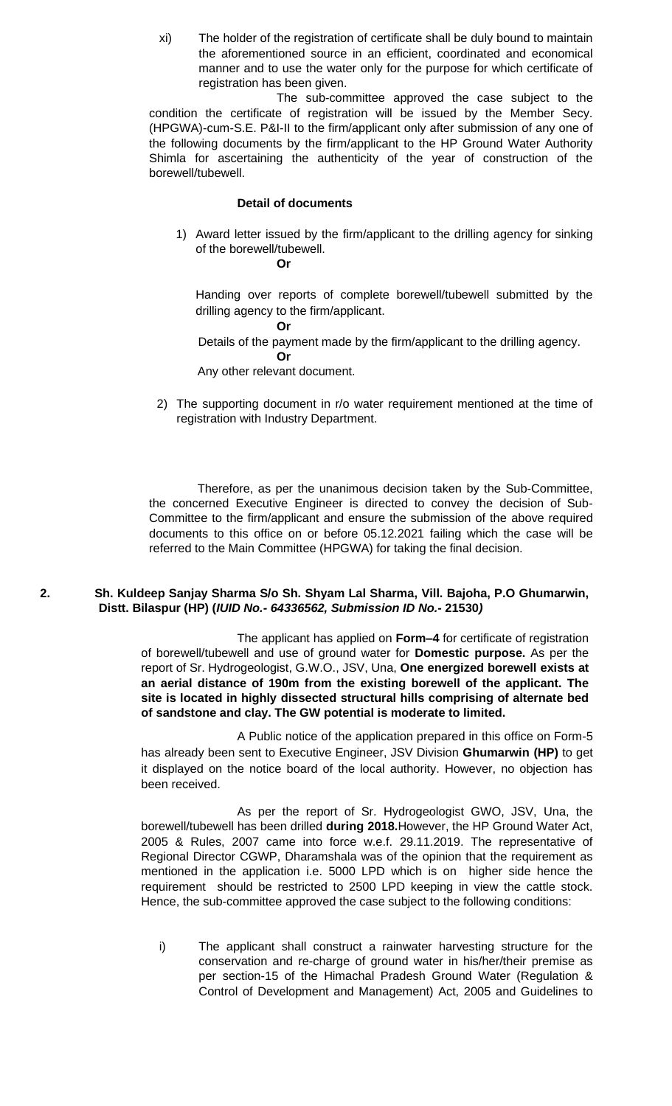xi) The holder of the registration of certificate shall be duly bound to maintain the aforementioned source in an efficient, coordinated and economical manner and to use the water only for the purpose for which certificate of registration has been given.

The sub-committee approved the case subject to the condition the certificate of registration will be issued by the Member Secy. (HPGWA)-cum-S.E. P&I-II to the firm/applicant only after submission of any one of the following documents by the firm/applicant to the HP Ground Water Authority Shimla for ascertaining the authenticity of the year of construction of the borewell/tubewell.

#### **Detail of documents**

1) Award letter issued by the firm/applicant to the drilling agency for sinking of the borewell/tubewell.

**Or**

Handing over reports of complete borewell/tubewell submitted by the drilling agency to the firm/applicant.

**Or**

 Details of the payment made by the firm/applicant to the drilling agency. **Or**

Any other relevant document.

2) The supporting document in r/o water requirement mentioned at the time of registration with Industry Department.

Therefore, as per the unanimous decision taken by the Sub-Committee, the concerned Executive Engineer is directed to convey the decision of Sub-Committee to the firm/applicant and ensure the submission of the above required documents to this office on or before 05.12.2021 failing which the case will be referred to the Main Committee (HPGWA) for taking the final decision.

### **2. Sh. Kuldeep Sanjay Sharma S/o Sh. Shyam Lal Sharma, Vill. Bajoha, P.O Ghumarwin, Distt. Bilaspur (HP) (***IUID No.- 64336562, Submission ID No.-* **21530***)*

The applicant has applied on **Form–4** for certificate of registration of borewell/tubewell and use of ground water for **Domestic purpose.** As per the report of Sr. Hydrogeologist, G.W.O., JSV, Una, **One energized borewell exists at an aerial distance of 190m from the existing borewell of the applicant. The site is located in highly dissected structural hills comprising of alternate bed of sandstone and clay. The GW potential is moderate to limited.**

A Public notice of the application prepared in this office on Form-5 has already been sent to Executive Engineer, JSV Division **Ghumarwin (HP)** to get it displayed on the notice board of the local authority. However, no objection has been received.

As per the report of Sr. Hydrogeologist GWO, JSV, Una, the borewell/tubewell has been drilled **during 2018.**However, the HP Ground Water Act, 2005 & Rules, 2007 came into force w.e.f. 29.11.2019. The representative of Regional Director CGWP, Dharamshala was of the opinion that the requirement as mentioned in the application i.e. 5000 LPD which is on higher side hence the requirement should be restricted to 2500 LPD keeping in view the cattle stock. Hence, the sub-committee approved the case subject to the following conditions:

i) The applicant shall construct a rainwater harvesting structure for the conservation and re-charge of ground water in his/her/their premise as per section-15 of the Himachal Pradesh Ground Water (Regulation & Control of Development and Management) Act, 2005 and Guidelines to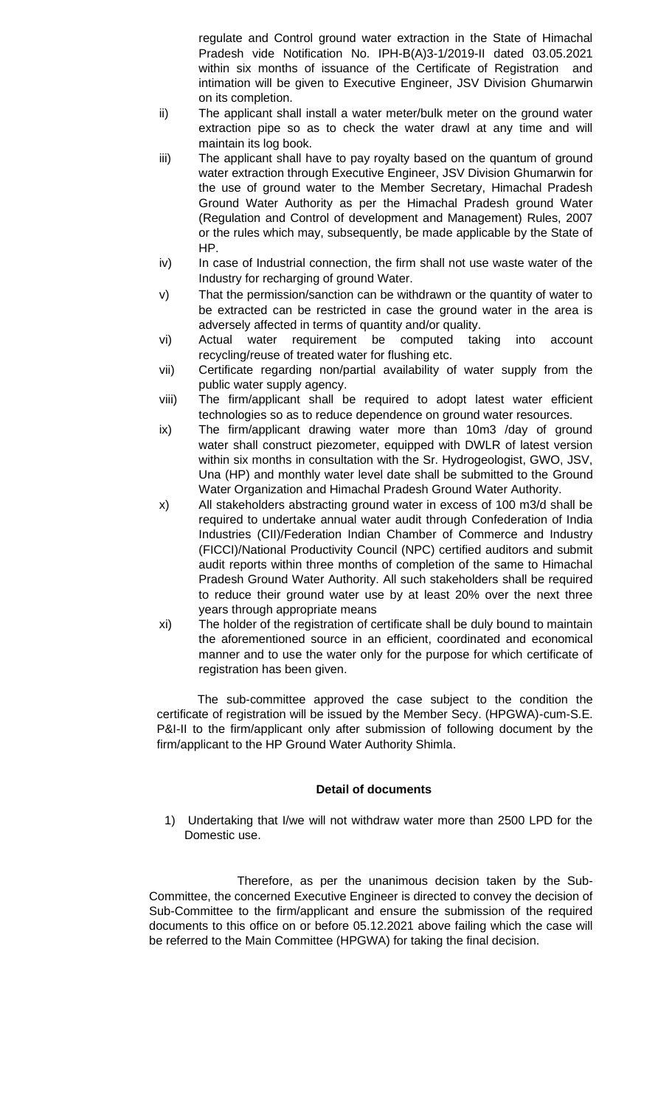regulate and Control ground water extraction in the State of Himachal Pradesh vide Notification No. IPH-B(A)3-1/2019-II dated 03.05.2021 within six months of issuance of the Certificate of Registration and intimation will be given to Executive Engineer, JSV Division Ghumarwin on its completion.

- ii) The applicant shall install a water meter/bulk meter on the ground water extraction pipe so as to check the water drawl at any time and will maintain its log book.
- iii) The applicant shall have to pay royalty based on the quantum of ground water extraction through Executive Engineer, JSV Division Ghumarwin for the use of ground water to the Member Secretary, Himachal Pradesh Ground Water Authority as per the Himachal Pradesh ground Water (Regulation and Control of development and Management) Rules, 2007 or the rules which may, subsequently, be made applicable by the State of HP.
- iv) In case of Industrial connection, the firm shall not use waste water of the Industry for recharging of ground Water.
- v) That the permission/sanction can be withdrawn or the quantity of water to be extracted can be restricted in case the ground water in the area is adversely affected in terms of quantity and/or quality.
- vi) Actual water requirement be computed taking into account recycling/reuse of treated water for flushing etc.
- vii) Certificate regarding non/partial availability of water supply from the public water supply agency.
- viii) The firm/applicant shall be required to adopt latest water efficient technologies so as to reduce dependence on ground water resources.
- ix) The firm/applicant drawing water more than 10m3 /day of ground water shall construct piezometer, equipped with DWLR of latest version within six months in consultation with the Sr. Hydrogeologist, GWO, JSV, Una (HP) and monthly water level date shall be submitted to the Ground Water Organization and Himachal Pradesh Ground Water Authority.
- x) All stakeholders abstracting ground water in excess of 100 m3/d shall be required to undertake annual water audit through Confederation of India Industries (CII)/Federation Indian Chamber of Commerce and Industry (FICCI)/National Productivity Council (NPC) certified auditors and submit audit reports within three months of completion of the same to Himachal Pradesh Ground Water Authority. All such stakeholders shall be required to reduce their ground water use by at least 20% over the next three years through appropriate means
- xi) The holder of the registration of certificate shall be duly bound to maintain the aforementioned source in an efficient, coordinated and economical manner and to use the water only for the purpose for which certificate of registration has been given.

The sub-committee approved the case subject to the condition the certificate of registration will be issued by the Member Secy. (HPGWA)-cum-S.E. P&I-II to the firm/applicant only after submission of following document by the firm/applicant to the HP Ground Water Authority Shimla.

## **Detail of documents**

1) Undertaking that I/we will not withdraw water more than 2500 LPD for the Domestic use.

Therefore, as per the unanimous decision taken by the Sub-Committee, the concerned Executive Engineer is directed to convey the decision of Sub-Committee to the firm/applicant and ensure the submission of the required documents to this office on or before 05.12.2021 above failing which the case will be referred to the Main Committee (HPGWA) for taking the final decision.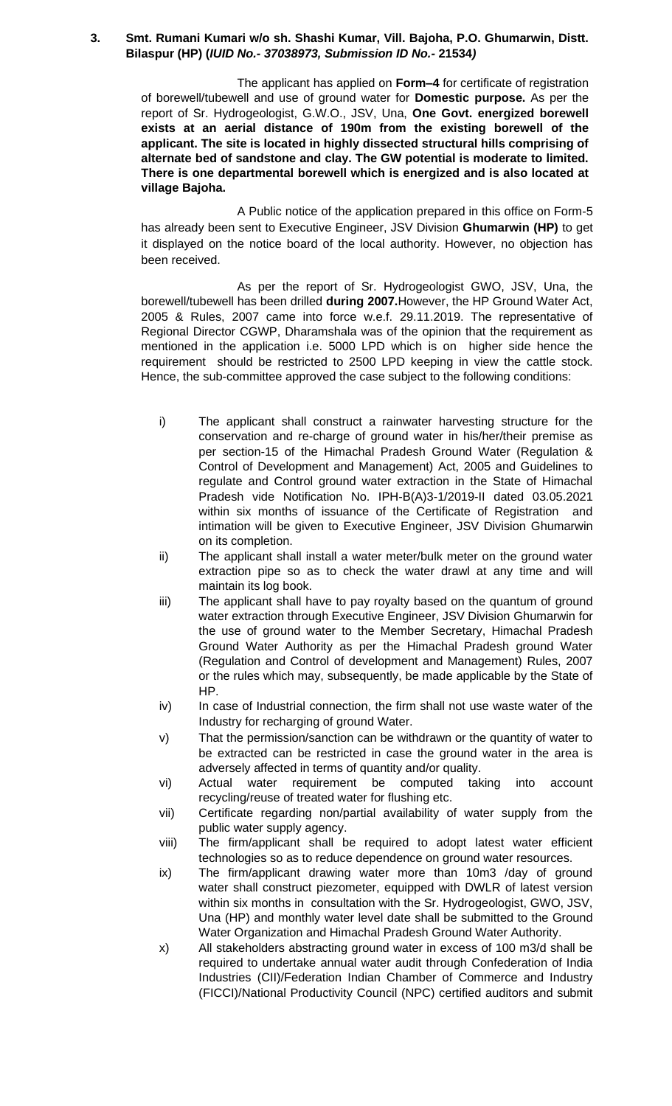### **3. Smt. Rumani Kumari w/o sh. Shashi Kumar, Vill. Bajoha, P.O. Ghumarwin, Distt. Bilaspur (HP) (***IUID No.- 37038973, Submission ID No.-* **21534***)*

The applicant has applied on **Form–4** for certificate of registration of borewell/tubewell and use of ground water for **Domestic purpose.** As per the report of Sr. Hydrogeologist, G.W.O., JSV, Una, **One Govt. energized borewell exists at an aerial distance of 190m from the existing borewell of the applicant. The site is located in highly dissected structural hills comprising of alternate bed of sandstone and clay. The GW potential is moderate to limited. There is one departmental borewell which is energized and is also located at village Bajoha.**

A Public notice of the application prepared in this office on Form-5 has already been sent to Executive Engineer, JSV Division **Ghumarwin (HP)** to get it displayed on the notice board of the local authority. However, no objection has been received.

As per the report of Sr. Hydrogeologist GWO, JSV, Una, the borewell/tubewell has been drilled **during 2007.**However, the HP Ground Water Act, 2005 & Rules, 2007 came into force w.e.f. 29.11.2019. The representative of Regional Director CGWP, Dharamshala was of the opinion that the requirement as mentioned in the application i.e. 5000 LPD which is on higher side hence the requirement should be restricted to 2500 LPD keeping in view the cattle stock. Hence, the sub-committee approved the case subject to the following conditions:

- i) The applicant shall construct a rainwater harvesting structure for the conservation and re-charge of ground water in his/her/their premise as per section-15 of the Himachal Pradesh Ground Water (Regulation & Control of Development and Management) Act, 2005 and Guidelines to regulate and Control ground water extraction in the State of Himachal Pradesh vide Notification No. IPH-B(A)3-1/2019-II dated 03.05.2021 within six months of issuance of the Certificate of Registration and intimation will be given to Executive Engineer, JSV Division Ghumarwin on its completion.
- ii) The applicant shall install a water meter/bulk meter on the ground water extraction pipe so as to check the water drawl at any time and will maintain its log book.
- iii) The applicant shall have to pay royalty based on the quantum of ground water extraction through Executive Engineer, JSV Division Ghumarwin for the use of ground water to the Member Secretary, Himachal Pradesh Ground Water Authority as per the Himachal Pradesh ground Water (Regulation and Control of development and Management) Rules, 2007 or the rules which may, subsequently, be made applicable by the State of HP.
- iv) In case of Industrial connection, the firm shall not use waste water of the Industry for recharging of ground Water.
- v) That the permission/sanction can be withdrawn or the quantity of water to be extracted can be restricted in case the ground water in the area is adversely affected in terms of quantity and/or quality.
- vi) Actual water requirement be computed taking into account recycling/reuse of treated water for flushing etc.
- vii) Certificate regarding non/partial availability of water supply from the public water supply agency.
- viii) The firm/applicant shall be required to adopt latest water efficient technologies so as to reduce dependence on ground water resources.
- ix) The firm/applicant drawing water more than 10m3 /day of ground water shall construct piezometer, equipped with DWLR of latest version within six months in consultation with the Sr. Hydrogeologist, GWO, JSV, Una (HP) and monthly water level date shall be submitted to the Ground Water Organization and Himachal Pradesh Ground Water Authority.
- x) All stakeholders abstracting ground water in excess of 100 m3/d shall be required to undertake annual water audit through Confederation of India Industries (CII)/Federation Indian Chamber of Commerce and Industry (FICCI)/National Productivity Council (NPC) certified auditors and submit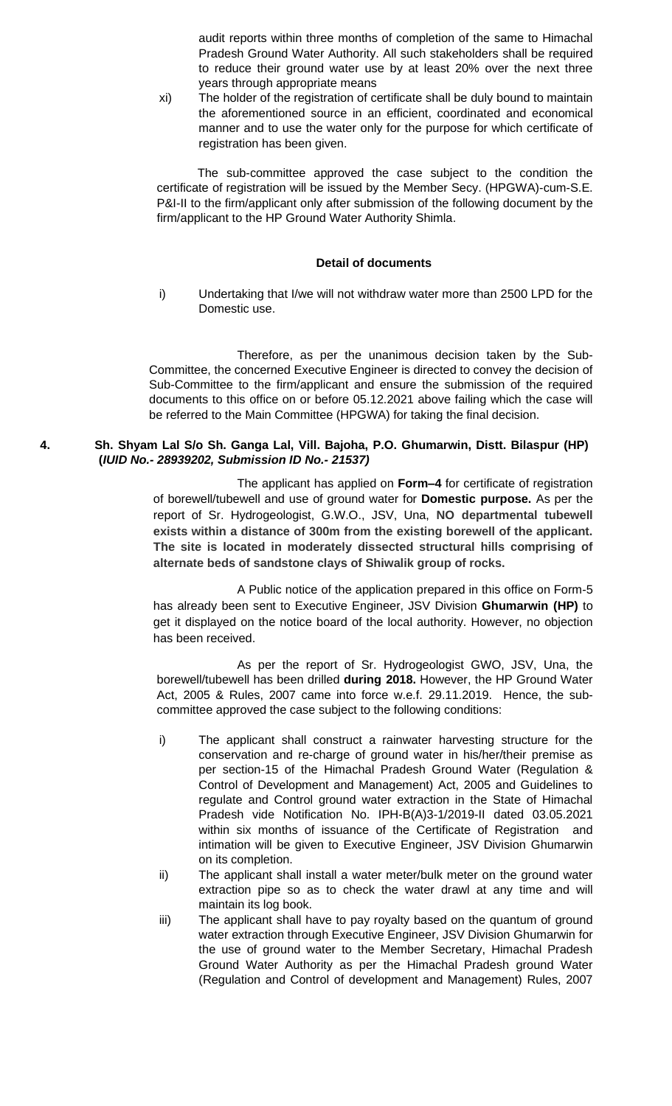audit reports within three months of completion of the same to Himachal Pradesh Ground Water Authority. All such stakeholders shall be required to reduce their ground water use by at least 20% over the next three years through appropriate means

xi) The holder of the registration of certificate shall be duly bound to maintain the aforementioned source in an efficient, coordinated and economical manner and to use the water only for the purpose for which certificate of registration has been given.

The sub-committee approved the case subject to the condition the certificate of registration will be issued by the Member Secy. (HPGWA)-cum-S.E. P&I-II to the firm/applicant only after submission of the following document by the firm/applicant to the HP Ground Water Authority Shimla.

#### **Detail of documents**

i) Undertaking that I/we will not withdraw water more than 2500 LPD for the Domestic use.

Therefore, as per the unanimous decision taken by the Sub-Committee, the concerned Executive Engineer is directed to convey the decision of Sub-Committee to the firm/applicant and ensure the submission of the required documents to this office on or before 05.12.2021 above failing which the case will be referred to the Main Committee (HPGWA) for taking the final decision.

### **4. Sh. Shyam Lal S/o Sh. Ganga Lal, Vill. Bajoha, P.O. Ghumarwin, Distt. Bilaspur (HP) (***IUID No.- 28939202, Submission ID No.- 21537)*

The applicant has applied on **Form–4** for certificate of registration of borewell/tubewell and use of ground water for **Domestic purpose.** As per the report of Sr. Hydrogeologist, G.W.O., JSV, Una, **NO departmental tubewell exists within a distance of 300m from the existing borewell of the applicant. The site is located in moderately dissected structural hills comprising of alternate beds of sandstone clays of Shiwalik group of rocks.**

A Public notice of the application prepared in this office on Form-5 has already been sent to Executive Engineer, JSV Division **Ghumarwin (HP)** to get it displayed on the notice board of the local authority. However, no objection has been received.

As per the report of Sr. Hydrogeologist GWO, JSV, Una, the borewell/tubewell has been drilled **during 2018.** However, the HP Ground Water Act, 2005 & Rules, 2007 came into force w.e.f. 29.11.2019. Hence, the subcommittee approved the case subject to the following conditions:

- i) The applicant shall construct a rainwater harvesting structure for the conservation and re-charge of ground water in his/her/their premise as per section-15 of the Himachal Pradesh Ground Water (Regulation & Control of Development and Management) Act, 2005 and Guidelines to regulate and Control ground water extraction in the State of Himachal Pradesh vide Notification No. IPH-B(A)3-1/2019-II dated 03.05.2021 within six months of issuance of the Certificate of Registration and intimation will be given to Executive Engineer, JSV Division Ghumarwin on its completion.
- ii) The applicant shall install a water meter/bulk meter on the ground water extraction pipe so as to check the water drawl at any time and will maintain its log book.
- iii) The applicant shall have to pay royalty based on the quantum of ground water extraction through Executive Engineer, JSV Division Ghumarwin for the use of ground water to the Member Secretary, Himachal Pradesh Ground Water Authority as per the Himachal Pradesh ground Water (Regulation and Control of development and Management) Rules, 2007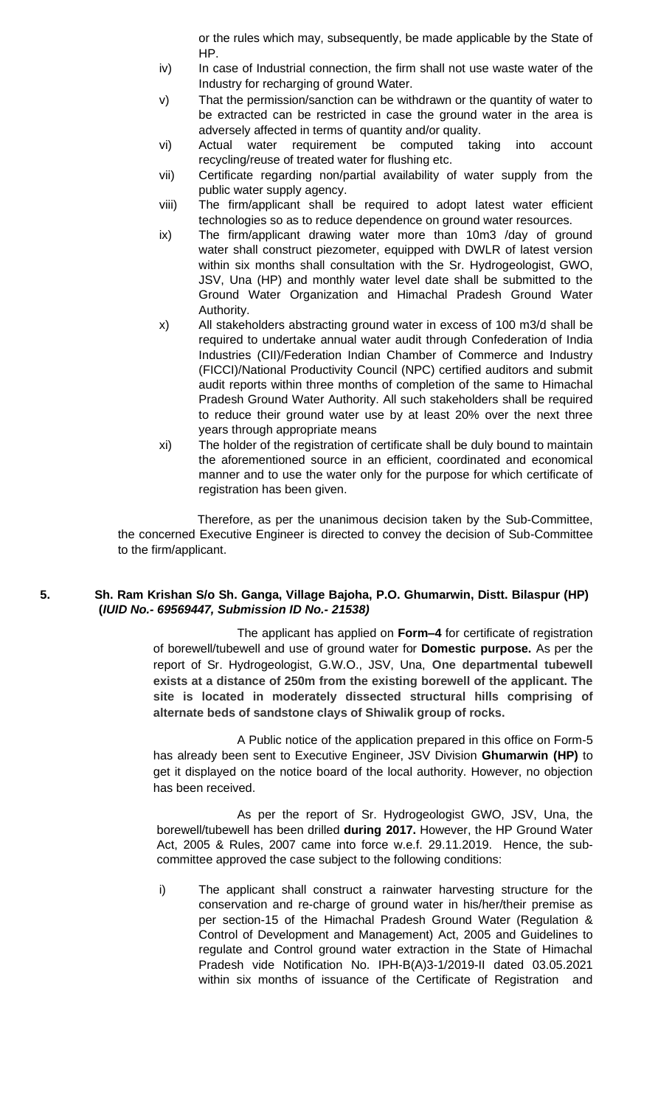or the rules which may, subsequently, be made applicable by the State of HP.

- iv) In case of Industrial connection, the firm shall not use waste water of the Industry for recharging of ground Water.
- v) That the permission/sanction can be withdrawn or the quantity of water to be extracted can be restricted in case the ground water in the area is adversely affected in terms of quantity and/or quality.
- vi) Actual water requirement be computed taking into account recycling/reuse of treated water for flushing etc.
- vii) Certificate regarding non/partial availability of water supply from the public water supply agency.
- viii) The firm/applicant shall be required to adopt latest water efficient technologies so as to reduce dependence on ground water resources.
- ix) The firm/applicant drawing water more than 10m3 /day of ground water shall construct piezometer, equipped with DWLR of latest version within six months shall consultation with the Sr. Hydrogeologist, GWO, JSV, Una (HP) and monthly water level date shall be submitted to the Ground Water Organization and Himachal Pradesh Ground Water Authority.
- x) All stakeholders abstracting ground water in excess of 100 m3/d shall be required to undertake annual water audit through Confederation of India Industries (CII)/Federation Indian Chamber of Commerce and Industry (FICCI)/National Productivity Council (NPC) certified auditors and submit audit reports within three months of completion of the same to Himachal Pradesh Ground Water Authority. All such stakeholders shall be required to reduce their ground water use by at least 20% over the next three years through appropriate means
- xi) The holder of the registration of certificate shall be duly bound to maintain the aforementioned source in an efficient, coordinated and economical manner and to use the water only for the purpose for which certificate of registration has been given.

Therefore, as per the unanimous decision taken by the Sub-Committee, the concerned Executive Engineer is directed to convey the decision of Sub-Committee to the firm/applicant.

### **5. Sh. Ram Krishan S/o Sh. Ganga, Village Bajoha, P.O. Ghumarwin, Distt. Bilaspur (HP) (***IUID No.- 69569447, Submission ID No.- 21538)*

The applicant has applied on **Form–4** for certificate of registration of borewell/tubewell and use of ground water for **Domestic purpose.** As per the report of Sr. Hydrogeologist, G.W.O., JSV, Una, **One departmental tubewell exists at a distance of 250m from the existing borewell of the applicant. The site is located in moderately dissected structural hills comprising of alternate beds of sandstone clays of Shiwalik group of rocks.**

A Public notice of the application prepared in this office on Form-5 has already been sent to Executive Engineer, JSV Division **Ghumarwin (HP)** to get it displayed on the notice board of the local authority. However, no objection has been received.

As per the report of Sr. Hydrogeologist GWO, JSV, Una, the borewell/tubewell has been drilled **during 2017.** However, the HP Ground Water Act, 2005 & Rules, 2007 came into force w.e.f. 29.11.2019. Hence, the subcommittee approved the case subject to the following conditions:

i) The applicant shall construct a rainwater harvesting structure for the conservation and re-charge of ground water in his/her/their premise as per section-15 of the Himachal Pradesh Ground Water (Regulation & Control of Development and Management) Act, 2005 and Guidelines to regulate and Control ground water extraction in the State of Himachal Pradesh vide Notification No. IPH-B(A)3-1/2019-II dated 03.05.2021 within six months of issuance of the Certificate of Registration and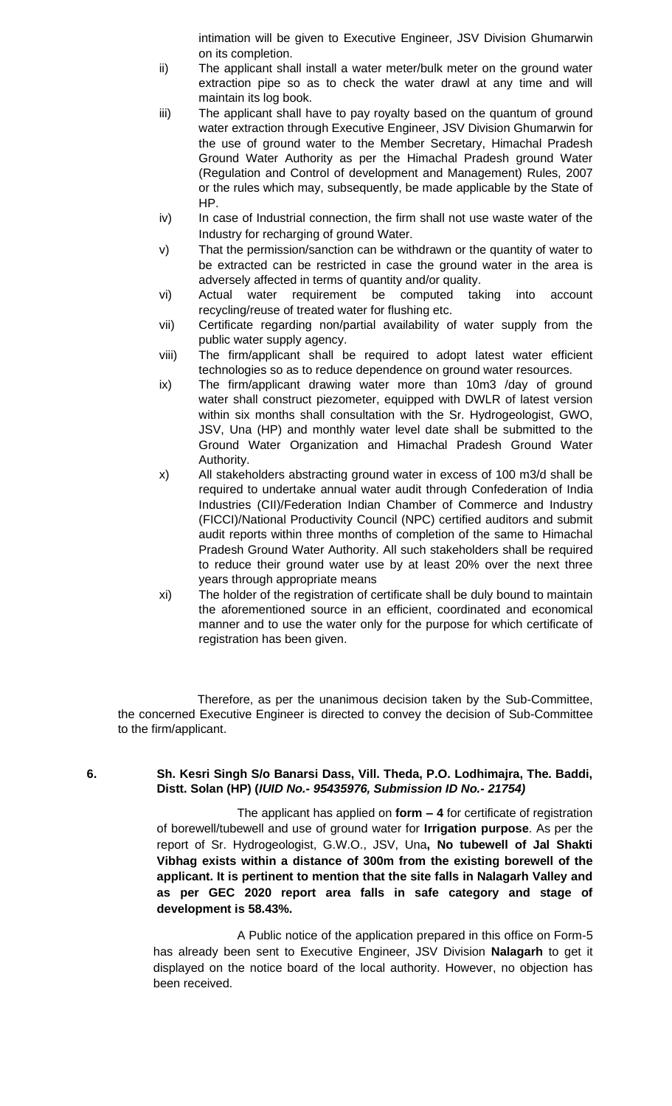intimation will be given to Executive Engineer, JSV Division Ghumarwin on its completion.

- ii) The applicant shall install a water meter/bulk meter on the ground water extraction pipe so as to check the water drawl at any time and will maintain its log book.
- iii) The applicant shall have to pay royalty based on the quantum of ground water extraction through Executive Engineer, JSV Division Ghumarwin for the use of ground water to the Member Secretary, Himachal Pradesh Ground Water Authority as per the Himachal Pradesh ground Water (Regulation and Control of development and Management) Rules, 2007 or the rules which may, subsequently, be made applicable by the State of HP.
- iv) In case of Industrial connection, the firm shall not use waste water of the Industry for recharging of ground Water.
- v) That the permission/sanction can be withdrawn or the quantity of water to be extracted can be restricted in case the ground water in the area is adversely affected in terms of quantity and/or quality.
- vi) Actual water requirement be computed taking into account recycling/reuse of treated water for flushing etc.
- vii) Certificate regarding non/partial availability of water supply from the public water supply agency.
- viii) The firm/applicant shall be required to adopt latest water efficient technologies so as to reduce dependence on ground water resources.
- ix) The firm/applicant drawing water more than 10m3 /day of ground water shall construct piezometer, equipped with DWLR of latest version within six months shall consultation with the Sr. Hydrogeologist, GWO, JSV, Una (HP) and monthly water level date shall be submitted to the Ground Water Organization and Himachal Pradesh Ground Water Authority.
- x) All stakeholders abstracting ground water in excess of 100 m3/d shall be required to undertake annual water audit through Confederation of India Industries (CII)/Federation Indian Chamber of Commerce and Industry (FICCI)/National Productivity Council (NPC) certified auditors and submit audit reports within three months of completion of the same to Himachal Pradesh Ground Water Authority. All such stakeholders shall be required to reduce their ground water use by at least 20% over the next three years through appropriate means
- xi) The holder of the registration of certificate shall be duly bound to maintain the aforementioned source in an efficient, coordinated and economical manner and to use the water only for the purpose for which certificate of registration has been given.

Therefore, as per the unanimous decision taken by the Sub-Committee, the concerned Executive Engineer is directed to convey the decision of Sub-Committee to the firm/applicant.

### **6. Sh. Kesri Singh S/o Banarsi Dass, Vill. Theda, P.O. Lodhimajra, The. Baddi, Distt. Solan (HP) (***IUID No.- 95435976, Submission ID No.- 21754)*

The applicant has applied on **form – 4** for certificate of registration of borewell/tubewell and use of ground water for **Irrigation purpose**. As per the report of Sr. Hydrogeologist, G.W.O., JSV, Una**, No tubewell of Jal Shakti Vibhag exists within a distance of 300m from the existing borewell of the applicant. It is pertinent to mention that the site falls in Nalagarh Valley and as per GEC 2020 report area falls in safe category and stage of development is 58.43%.**

A Public notice of the application prepared in this office on Form-5 has already been sent to Executive Engineer, JSV Division **Nalagarh** to get it displayed on the notice board of the local authority. However, no objection has been received.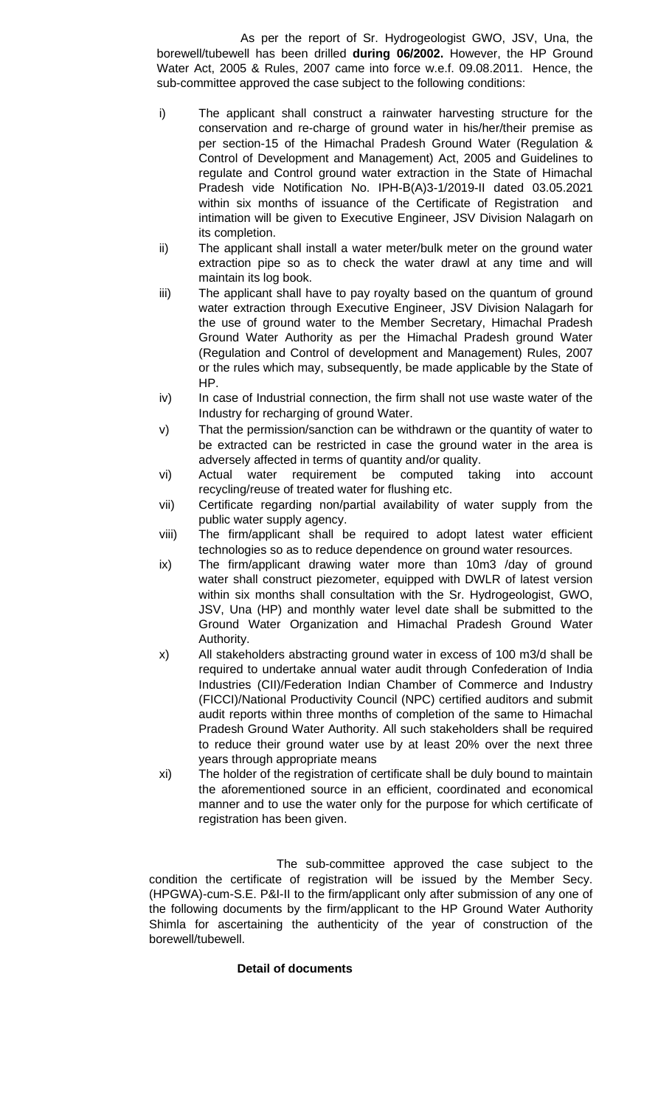As per the report of Sr. Hydrogeologist GWO, JSV, Una, the borewell/tubewell has been drilled **during 06/2002.** However, the HP Ground Water Act, 2005 & Rules, 2007 came into force w.e.f. 09.08.2011. Hence, the sub-committee approved the case subject to the following conditions:

- i) The applicant shall construct a rainwater harvesting structure for the conservation and re-charge of ground water in his/her/their premise as per section-15 of the Himachal Pradesh Ground Water (Regulation & Control of Development and Management) Act, 2005 and Guidelines to regulate and Control ground water extraction in the State of Himachal Pradesh vide Notification No. IPH-B(A)3-1/2019-II dated 03.05.2021 within six months of issuance of the Certificate of Registration and intimation will be given to Executive Engineer, JSV Division Nalagarh on its completion.
- ii) The applicant shall install a water meter/bulk meter on the ground water extraction pipe so as to check the water drawl at any time and will maintain its log book.
- iii) The applicant shall have to pay royalty based on the quantum of ground water extraction through Executive Engineer, JSV Division Nalagarh for the use of ground water to the Member Secretary, Himachal Pradesh Ground Water Authority as per the Himachal Pradesh ground Water (Regulation and Control of development and Management) Rules, 2007 or the rules which may, subsequently, be made applicable by the State of HP.
- iv) In case of Industrial connection, the firm shall not use waste water of the Industry for recharging of ground Water.
- v) That the permission/sanction can be withdrawn or the quantity of water to be extracted can be restricted in case the ground water in the area is adversely affected in terms of quantity and/or quality.
- vi) Actual water requirement be computed taking into account recycling/reuse of treated water for flushing etc.
- vii) Certificate regarding non/partial availability of water supply from the public water supply agency.
- viii) The firm/applicant shall be required to adopt latest water efficient technologies so as to reduce dependence on ground water resources.
- ix) The firm/applicant drawing water more than 10m3 /day of ground water shall construct piezometer, equipped with DWLR of latest version within six months shall consultation with the Sr. Hydrogeologist, GWO, JSV, Una (HP) and monthly water level date shall be submitted to the Ground Water Organization and Himachal Pradesh Ground Water Authority.
- x) All stakeholders abstracting ground water in excess of 100 m3/d shall be required to undertake annual water audit through Confederation of India Industries (CII)/Federation Indian Chamber of Commerce and Industry (FICCI)/National Productivity Council (NPC) certified auditors and submit audit reports within three months of completion of the same to Himachal Pradesh Ground Water Authority. All such stakeholders shall be required to reduce their ground water use by at least 20% over the next three years through appropriate means
- xi) The holder of the registration of certificate shall be duly bound to maintain the aforementioned source in an efficient, coordinated and economical manner and to use the water only for the purpose for which certificate of registration has been given.

The sub-committee approved the case subject to the condition the certificate of registration will be issued by the Member Secy. (HPGWA)-cum-S.E. P&I-II to the firm/applicant only after submission of any one of the following documents by the firm/applicant to the HP Ground Water Authority Shimla for ascertaining the authenticity of the year of construction of the borewell/tubewell.

### **Detail of documents**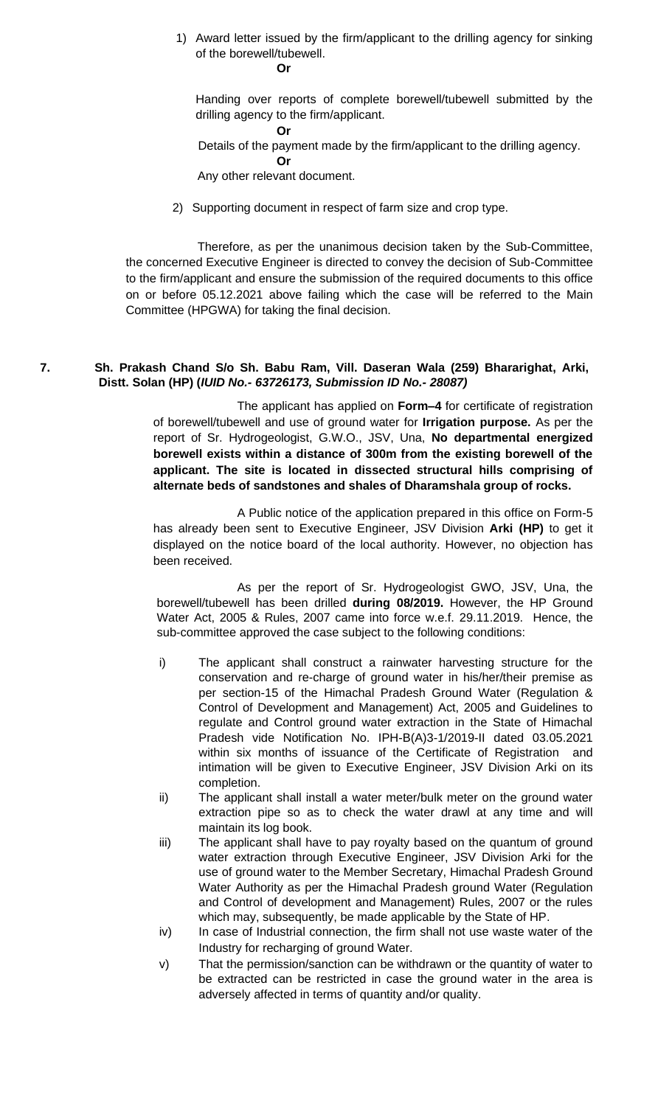# 1) Award letter issued by the firm/applicant to the drilling agency for sinking of the borewell/tubewell.

**Or**

Handing over reports of complete borewell/tubewell submitted by the drilling agency to the firm/applicant.

**Or**

Details of the payment made by the firm/applicant to the drilling agency.

**Or** Any other relevant document.

2) Supporting document in respect of farm size and crop type.

Therefore, as per the unanimous decision taken by the Sub-Committee, the concerned Executive Engineer is directed to convey the decision of Sub-Committee to the firm/applicant and ensure the submission of the required documents to this office on or before 05.12.2021 above failing which the case will be referred to the Main Committee (HPGWA) for taking the final decision.

### **7. Sh. Prakash Chand S/o Sh. Babu Ram, Vill. Daseran Wala (259) Bhararighat, Arki, Distt. Solan (HP) (***IUID No.- 63726173, Submission ID No.- 28087)*

The applicant has applied on **Form–4** for certificate of registration of borewell/tubewell and use of ground water for **Irrigation purpose.** As per the report of Sr. Hydrogeologist, G.W.O., JSV, Una, **No departmental energized borewell exists within a distance of 300m from the existing borewell of the applicant. The site is located in dissected structural hills comprising of alternate beds of sandstones and shales of Dharamshala group of rocks.**

A Public notice of the application prepared in this office on Form-5 has already been sent to Executive Engineer, JSV Division **Arki (HP)** to get it displayed on the notice board of the local authority. However, no objection has been received.

As per the report of Sr. Hydrogeologist GWO, JSV, Una, the borewell/tubewell has been drilled **during 08/2019.** However, the HP Ground Water Act, 2005 & Rules, 2007 came into force w.e.f. 29.11.2019. Hence, the sub-committee approved the case subject to the following conditions:

- i) The applicant shall construct a rainwater harvesting structure for the conservation and re-charge of ground water in his/her/their premise as per section-15 of the Himachal Pradesh Ground Water (Regulation & Control of Development and Management) Act, 2005 and Guidelines to regulate and Control ground water extraction in the State of Himachal Pradesh vide Notification No. IPH-B(A)3-1/2019-II dated 03.05.2021 within six months of issuance of the Certificate of Registration and intimation will be given to Executive Engineer, JSV Division Arki on its completion.
- ii) The applicant shall install a water meter/bulk meter on the ground water extraction pipe so as to check the water drawl at any time and will maintain its log book.
- iii) The applicant shall have to pay royalty based on the quantum of ground water extraction through Executive Engineer, JSV Division Arki for the use of ground water to the Member Secretary, Himachal Pradesh Ground Water Authority as per the Himachal Pradesh ground Water (Regulation and Control of development and Management) Rules, 2007 or the rules which may, subsequently, be made applicable by the State of HP.
- iv) In case of Industrial connection, the firm shall not use waste water of the Industry for recharging of ground Water.
- v) That the permission/sanction can be withdrawn or the quantity of water to be extracted can be restricted in case the ground water in the area is adversely affected in terms of quantity and/or quality.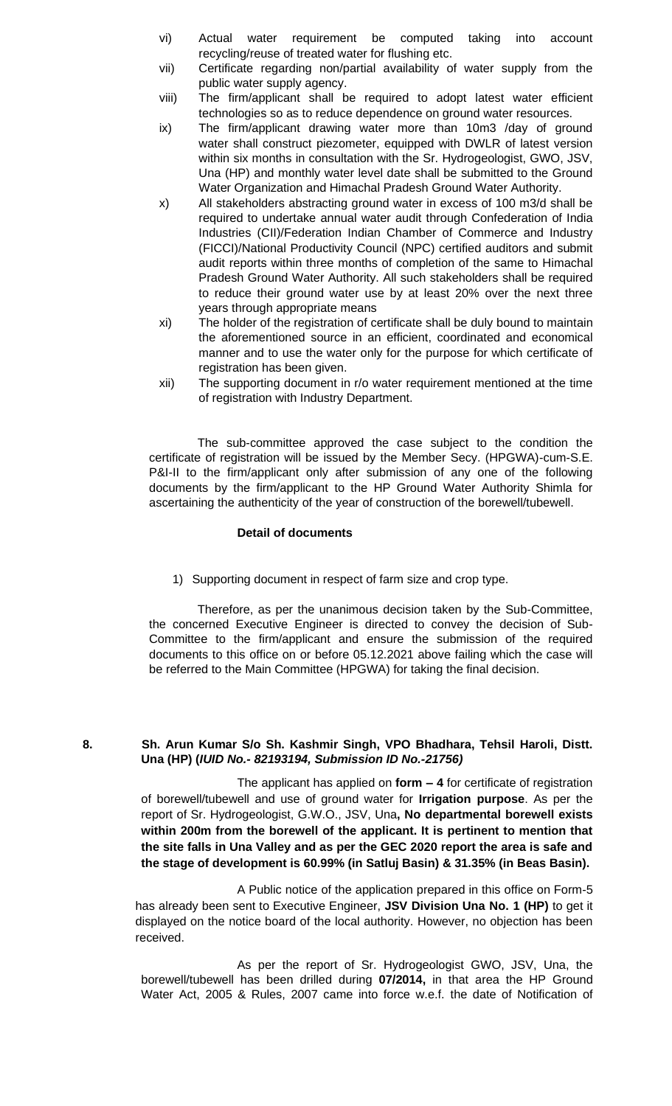- vi) Actual water requirement be computed taking into account recycling/reuse of treated water for flushing etc.
- vii) Certificate regarding non/partial availability of water supply from the public water supply agency.
- viii) The firm/applicant shall be required to adopt latest water efficient technologies so as to reduce dependence on ground water resources.
- ix) The firm/applicant drawing water more than 10m3 /day of ground water shall construct piezometer, equipped with DWLR of latest version within six months in consultation with the Sr. Hydrogeologist, GWO, JSV, Una (HP) and monthly water level date shall be submitted to the Ground Water Organization and Himachal Pradesh Ground Water Authority.
- x) All stakeholders abstracting ground water in excess of 100 m3/d shall be required to undertake annual water audit through Confederation of India Industries (CII)/Federation Indian Chamber of Commerce and Industry (FICCI)/National Productivity Council (NPC) certified auditors and submit audit reports within three months of completion of the same to Himachal Pradesh Ground Water Authority. All such stakeholders shall be required to reduce their ground water use by at least 20% over the next three years through appropriate means
- xi) The holder of the registration of certificate shall be duly bound to maintain the aforementioned source in an efficient, coordinated and economical manner and to use the water only for the purpose for which certificate of registration has been given.
- xii) The supporting document in r/o water requirement mentioned at the time of registration with Industry Department.

 The sub-committee approved the case subject to the condition the certificate of registration will be issued by the Member Secy. (HPGWA)-cum-S.E. P&I-II to the firm/applicant only after submission of any one of the following documents by the firm/applicant to the HP Ground Water Authority Shimla for ascertaining the authenticity of the year of construction of the borewell/tubewell.

### **Detail of documents**

1) Supporting document in respect of farm size and crop type.

Therefore, as per the unanimous decision taken by the Sub-Committee, the concerned Executive Engineer is directed to convey the decision of Sub-Committee to the firm/applicant and ensure the submission of the required documents to this office on or before 05.12.2021 above failing which the case will be referred to the Main Committee (HPGWA) for taking the final decision.

### **8. Sh. Arun Kumar S/o Sh. Kashmir Singh, VPO Bhadhara, Tehsil Haroli, Distt. Una (HP) (***IUID No.- 82193194, Submission ID No.-21756)*

The applicant has applied on **form – 4** for certificate of registration of borewell/tubewell and use of ground water for **Irrigation purpose**. As per the report of Sr. Hydrogeologist, G.W.O., JSV, Una**, No departmental borewell exists within 200m from the borewell of the applicant. It is pertinent to mention that the site falls in Una Valley and as per the GEC 2020 report the area is safe and the stage of development is 60.99% (in Satluj Basin) & 31.35% (in Beas Basin).**

A Public notice of the application prepared in this office on Form-5 has already been sent to Executive Engineer, **JSV Division Una No. 1 (HP)** to get it displayed on the notice board of the local authority. However, no objection has been received.

As per the report of Sr. Hydrogeologist GWO, JSV, Una, the borewell/tubewell has been drilled during **07/2014,** in that area the HP Ground Water Act, 2005 & Rules, 2007 came into force w.e.f. the date of Notification of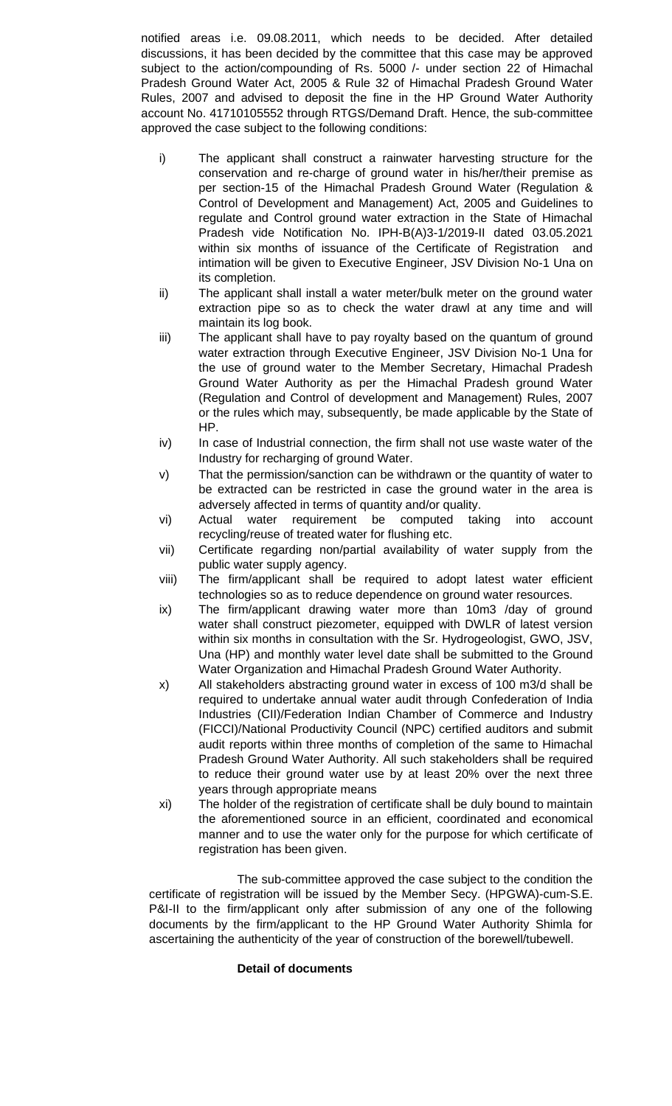notified areas i.e. 09.08.2011, which needs to be decided. After detailed discussions, it has been decided by the committee that this case may be approved subject to the action/compounding of Rs. 5000 /- under section 22 of Himachal Pradesh Ground Water Act, 2005 & Rule 32 of Himachal Pradesh Ground Water Rules, 2007 and advised to deposit the fine in the HP Ground Water Authority account No. 41710105552 through RTGS/Demand Draft. Hence, the sub-committee approved the case subject to the following conditions:

- i) The applicant shall construct a rainwater harvesting structure for the conservation and re-charge of ground water in his/her/their premise as per section-15 of the Himachal Pradesh Ground Water (Regulation & Control of Development and Management) Act, 2005 and Guidelines to regulate and Control ground water extraction in the State of Himachal Pradesh vide Notification No. IPH-B(A)3-1/2019-II dated 03.05.2021 within six months of issuance of the Certificate of Registration and intimation will be given to Executive Engineer, JSV Division No-1 Una on its completion.
- ii) The applicant shall install a water meter/bulk meter on the ground water extraction pipe so as to check the water drawl at any time and will maintain its log book.
- iii) The applicant shall have to pay royalty based on the quantum of ground water extraction through Executive Engineer, JSV Division No-1 Una for the use of ground water to the Member Secretary, Himachal Pradesh Ground Water Authority as per the Himachal Pradesh ground Water (Regulation and Control of development and Management) Rules, 2007 or the rules which may, subsequently, be made applicable by the State of HP.
- iv) In case of Industrial connection, the firm shall not use waste water of the Industry for recharging of ground Water.
- v) That the permission/sanction can be withdrawn or the quantity of water to be extracted can be restricted in case the ground water in the area is adversely affected in terms of quantity and/or quality.
- vi) Actual water requirement be computed taking into account recycling/reuse of treated water for flushing etc.
- vii) Certificate regarding non/partial availability of water supply from the public water supply agency.
- viii) The firm/applicant shall be required to adopt latest water efficient technologies so as to reduce dependence on ground water resources.
- ix) The firm/applicant drawing water more than 10m3 /day of ground water shall construct piezometer, equipped with DWLR of latest version within six months in consultation with the Sr. Hydrogeologist, GWO, JSV, Una (HP) and monthly water level date shall be submitted to the Ground Water Organization and Himachal Pradesh Ground Water Authority.
- x) All stakeholders abstracting ground water in excess of 100 m3/d shall be required to undertake annual water audit through Confederation of India Industries (CII)/Federation Indian Chamber of Commerce and Industry (FICCI)/National Productivity Council (NPC) certified auditors and submit audit reports within three months of completion of the same to Himachal Pradesh Ground Water Authority. All such stakeholders shall be required to reduce their ground water use by at least 20% over the next three years through appropriate means
- xi) The holder of the registration of certificate shall be duly bound to maintain the aforementioned source in an efficient, coordinated and economical manner and to use the water only for the purpose for which certificate of registration has been given.

The sub-committee approved the case subject to the condition the certificate of registration will be issued by the Member Secy. (HPGWA)-cum-S.E. P&I-II to the firm/applicant only after submission of any one of the following documents by the firm/applicant to the HP Ground Water Authority Shimla for ascertaining the authenticity of the year of construction of the borewell/tubewell.

### **Detail of documents**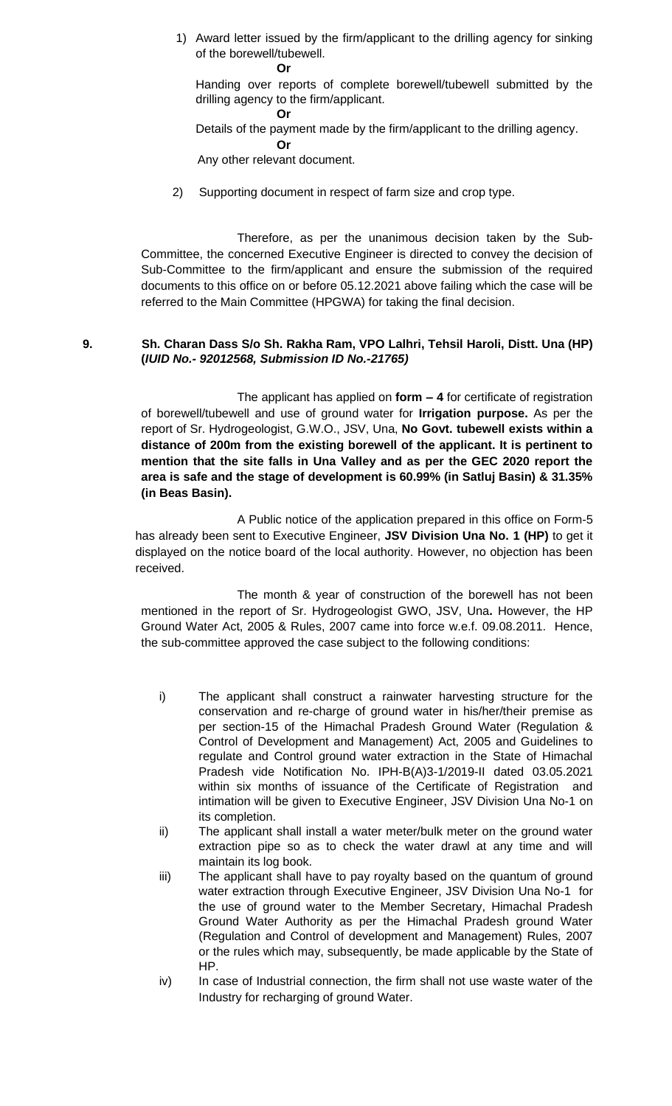1) Award letter issued by the firm/applicant to the drilling agency for sinking of the borewell/tubewell. **Or**

Handing over reports of complete borewell/tubewell submitted by the drilling agency to the firm/applicant.

**Or**

Details of the payment made by the firm/applicant to the drilling agency.

**Or**

Any other relevant document.

2) Supporting document in respect of farm size and crop type.

Therefore, as per the unanimous decision taken by the Sub-Committee, the concerned Executive Engineer is directed to convey the decision of Sub-Committee to the firm/applicant and ensure the submission of the required documents to this office on or before 05.12.2021 above failing which the case will be referred to the Main Committee (HPGWA) for taking the final decision.

### **9. Sh. Charan Dass S/o Sh. Rakha Ram, VPO Lalhri, Tehsil Haroli, Distt. Una (HP) (***IUID No.- 92012568, Submission ID No.-21765)*

The applicant has applied on **form – 4** for certificate of registration of borewell/tubewell and use of ground water for **Irrigation purpose.** As per the report of Sr. Hydrogeologist, G.W.O., JSV, Una, **No Govt. tubewell exists within a distance of 200m from the existing borewell of the applicant. It is pertinent to mention that the site falls in Una Valley and as per the GEC 2020 report the area is safe and the stage of development is 60.99% (in Satluj Basin) & 31.35% (in Beas Basin).**

A Public notice of the application prepared in this office on Form-5 has already been sent to Executive Engineer, **JSV Division Una No. 1 (HP)** to get it displayed on the notice board of the local authority. However, no objection has been received.

The month & year of construction of the borewell has not been mentioned in the report of Sr. Hydrogeologist GWO, JSV, Una**.** However, the HP Ground Water Act, 2005 & Rules, 2007 came into force w.e.f. 09.08.2011. Hence, the sub-committee approved the case subject to the following conditions:

- i) The applicant shall construct a rainwater harvesting structure for the conservation and re-charge of ground water in his/her/their premise as per section-15 of the Himachal Pradesh Ground Water (Regulation & Control of Development and Management) Act, 2005 and Guidelines to regulate and Control ground water extraction in the State of Himachal Pradesh vide Notification No. IPH-B(A)3-1/2019-II dated 03.05.2021 within six months of issuance of the Certificate of Registration and intimation will be given to Executive Engineer, JSV Division Una No-1 on its completion.
- ii) The applicant shall install a water meter/bulk meter on the ground water extraction pipe so as to check the water drawl at any time and will maintain its log book.
- iii) The applicant shall have to pay royalty based on the quantum of ground water extraction through Executive Engineer, JSV Division Una No-1 for the use of ground water to the Member Secretary, Himachal Pradesh Ground Water Authority as per the Himachal Pradesh ground Water (Regulation and Control of development and Management) Rules, 2007 or the rules which may, subsequently, be made applicable by the State of HP.
- iv) In case of Industrial connection, the firm shall not use waste water of the Industry for recharging of ground Water.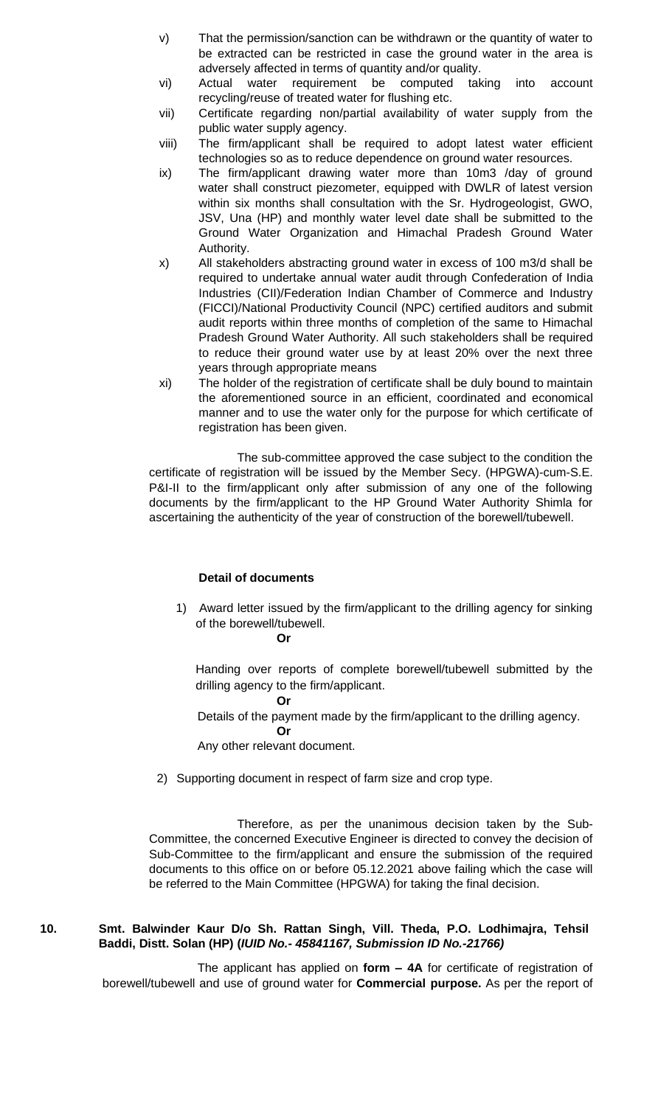- v) That the permission/sanction can be withdrawn or the quantity of water to be extracted can be restricted in case the ground water in the area is adversely affected in terms of quantity and/or quality.
- vi) Actual water requirement be computed taking into account recycling/reuse of treated water for flushing etc.
- vii) Certificate regarding non/partial availability of water supply from the public water supply agency.
- viii) The firm/applicant shall be required to adopt latest water efficient technologies so as to reduce dependence on ground water resources.
- ix) The firm/applicant drawing water more than 10m3 /day of ground water shall construct piezometer, equipped with DWLR of latest version within six months shall consultation with the Sr. Hydrogeologist, GWO, JSV, Una (HP) and monthly water level date shall be submitted to the Ground Water Organization and Himachal Pradesh Ground Water Authority.
- x) All stakeholders abstracting ground water in excess of 100 m3/d shall be required to undertake annual water audit through Confederation of India Industries (CII)/Federation Indian Chamber of Commerce and Industry (FICCI)/National Productivity Council (NPC) certified auditors and submit audit reports within three months of completion of the same to Himachal Pradesh Ground Water Authority. All such stakeholders shall be required to reduce their ground water use by at least 20% over the next three years through appropriate means
- xi) The holder of the registration of certificate shall be duly bound to maintain the aforementioned source in an efficient, coordinated and economical manner and to use the water only for the purpose for which certificate of registration has been given.

The sub-committee approved the case subject to the condition the certificate of registration will be issued by the Member Secy. (HPGWA)-cum-S.E. P&I-II to the firm/applicant only after submission of any one of the following documents by the firm/applicant to the HP Ground Water Authority Shimla for ascertaining the authenticity of the year of construction of the borewell/tubewell.

### **Detail of documents**

1) Award letter issued by the firm/applicant to the drilling agency for sinking of the borewell/tubewell.

**Or**

Handing over reports of complete borewell/tubewell submitted by the drilling agency to the firm/applicant.

Details of the payment made by the firm/applicant to the drilling agency.

**Or**

**Or**

Any other relevant document.

2) Supporting document in respect of farm size and crop type.

Therefore, as per the unanimous decision taken by the Sub-Committee, the concerned Executive Engineer is directed to convey the decision of Sub-Committee to the firm/applicant and ensure the submission of the required documents to this office on or before 05.12.2021 above failing which the case will be referred to the Main Committee (HPGWA) for taking the final decision.

### **10. Smt. Balwinder Kaur D/o Sh. Rattan Singh, Vill. Theda, P.O. Lodhimajra, Tehsil Baddi, Distt. Solan (HP) (***IUID No.- 45841167, Submission ID No.-21766)*

The applicant has applied on **form – 4A** for certificate of registration of borewell/tubewell and use of ground water for **Commercial purpose.** As per the report of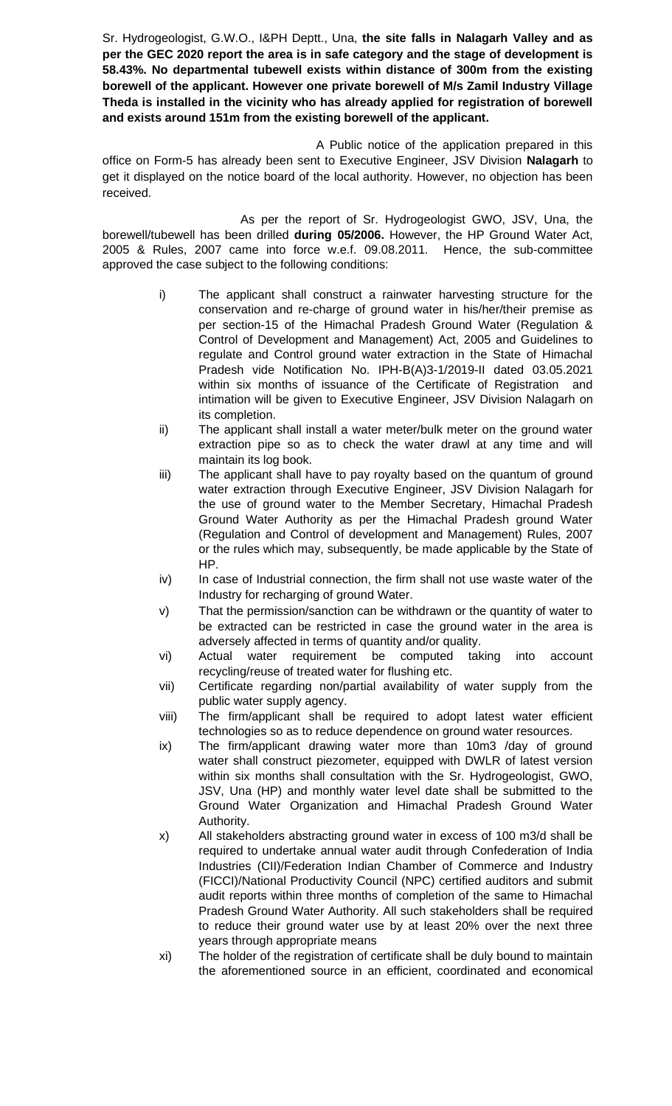Sr. Hydrogeologist, G.W.O., I&PH Deptt., Una, **the site falls in Nalagarh Valley and as per the GEC 2020 report the area is in safe category and the stage of development is 58.43%. No departmental tubewell exists within distance of 300m from the existing borewell of the applicant. However one private borewell of M/s Zamil Industry Village Theda is installed in the vicinity who has already applied for registration of borewell and exists around 151m from the existing borewell of the applicant.**

A Public notice of the application prepared in this office on Form-5 has already been sent to Executive Engineer, JSV Division **Nalagarh** to get it displayed on the notice board of the local authority. However, no objection has been received.

As per the report of Sr. Hydrogeologist GWO, JSV, Una, the borewell/tubewell has been drilled **during 05/2006.** However, the HP Ground Water Act, 2005 & Rules, 2007 came into force w.e.f. 09.08.2011. Hence, the sub-committee approved the case subject to the following conditions:

- i) The applicant shall construct a rainwater harvesting structure for the conservation and re-charge of ground water in his/her/their premise as per section-15 of the Himachal Pradesh Ground Water (Regulation & Control of Development and Management) Act, 2005 and Guidelines to regulate and Control ground water extraction in the State of Himachal Pradesh vide Notification No. IPH-B(A)3-1/2019-II dated 03.05.2021 within six months of issuance of the Certificate of Registration and intimation will be given to Executive Engineer, JSV Division Nalagarh on its completion.
- ii) The applicant shall install a water meter/bulk meter on the ground water extraction pipe so as to check the water drawl at any time and will maintain its log book.
- iii) The applicant shall have to pay royalty based on the quantum of ground water extraction through Executive Engineer, JSV Division Nalagarh for the use of ground water to the Member Secretary, Himachal Pradesh Ground Water Authority as per the Himachal Pradesh ground Water (Regulation and Control of development and Management) Rules, 2007 or the rules which may, subsequently, be made applicable by the State of HP.
- iv) In case of Industrial connection, the firm shall not use waste water of the Industry for recharging of ground Water.
- v) That the permission/sanction can be withdrawn or the quantity of water to be extracted can be restricted in case the ground water in the area is adversely affected in terms of quantity and/or quality.
- vi) Actual water requirement be computed taking into account recycling/reuse of treated water for flushing etc.
- vii) Certificate regarding non/partial availability of water supply from the public water supply agency.
- viii) The firm/applicant shall be required to adopt latest water efficient technologies so as to reduce dependence on ground water resources.
- ix) The firm/applicant drawing water more than 10m3 /day of ground water shall construct piezometer, equipped with DWLR of latest version within six months shall consultation with the Sr. Hydrogeologist, GWO, JSV, Una (HP) and monthly water level date shall be submitted to the Ground Water Organization and Himachal Pradesh Ground Water Authority.
- x) All stakeholders abstracting ground water in excess of 100 m3/d shall be required to undertake annual water audit through Confederation of India Industries (CII)/Federation Indian Chamber of Commerce and Industry (FICCI)/National Productivity Council (NPC) certified auditors and submit audit reports within three months of completion of the same to Himachal Pradesh Ground Water Authority. All such stakeholders shall be required to reduce their ground water use by at least 20% over the next three years through appropriate means
- xi) The holder of the registration of certificate shall be duly bound to maintain the aforementioned source in an efficient, coordinated and economical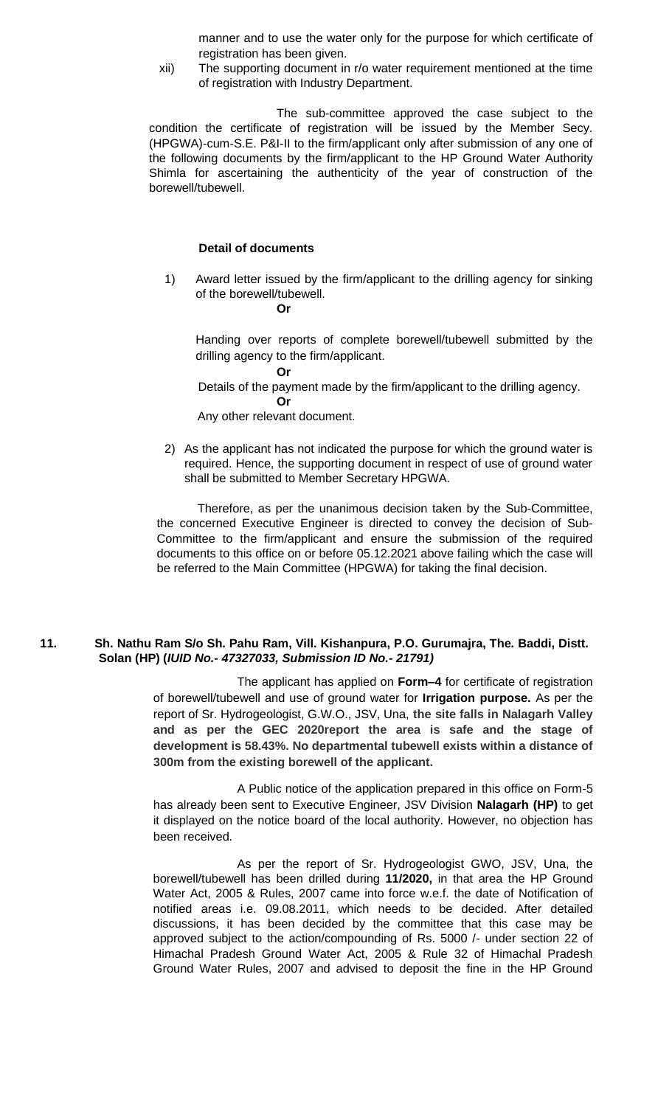manner and to use the water only for the purpose for which certificate of registration has been given.

xii) The supporting document in r/o water requirement mentioned at the time of registration with Industry Department.

The sub-committee approved the case subject to the condition the certificate of registration will be issued by the Member Secy. (HPGWA)-cum-S.E. P&I-II to the firm/applicant only after submission of any one of the following documents by the firm/applicant to the HP Ground Water Authority Shimla for ascertaining the authenticity of the year of construction of the borewell/tubewell.

#### **Detail of documents**

1) Award letter issued by the firm/applicant to the drilling agency for sinking of the borewell/tubewell.

**Or**

Handing over reports of complete borewell/tubewell submitted by the drilling agency to the firm/applicant.

**Or**

Details of the payment made by the firm/applicant to the drilling agency.

Any other relevant document.

2) As the applicant has not indicated the purpose for which the ground water is required. Hence, the supporting document in respect of use of ground water shall be submitted to Member Secretary HPGWA.

Therefore, as per the unanimous decision taken by the Sub-Committee, the concerned Executive Engineer is directed to convey the decision of Sub-Committee to the firm/applicant and ensure the submission of the required documents to this office on or before 05.12.2021 above failing which the case will be referred to the Main Committee (HPGWA) for taking the final decision.

### **11. Sh. Nathu Ram S/o Sh. Pahu Ram, Vill. Kishanpura, P.O. Gurumajra, The. Baddi, Distt. Solan (HP) (***IUID No.- 47327033, Submission ID No.- 21791)*

The applicant has applied on **Form–4** for certificate of registration of borewell/tubewell and use of ground water for **Irrigation purpose.** As per the report of Sr. Hydrogeologist, G.W.O., JSV, Una, **the site falls in Nalagarh Valley and as per the GEC 2020report the area is safe and the stage of development is 58.43%. No departmental tubewell exists within a distance of 300m from the existing borewell of the applicant.**

A Public notice of the application prepared in this office on Form-5 has already been sent to Executive Engineer, JSV Division **Nalagarh (HP)** to get it displayed on the notice board of the local authority. However, no objection has been received.

As per the report of Sr. Hydrogeologist GWO, JSV, Una, the borewell/tubewell has been drilled during **11/2020,** in that area the HP Ground Water Act, 2005 & Rules, 2007 came into force w.e.f. the date of Notification of notified areas i.e. 09.08.2011, which needs to be decided. After detailed discussions, it has been decided by the committee that this case may be approved subject to the action/compounding of Rs. 5000 /- under section 22 of Himachal Pradesh Ground Water Act, 2005 & Rule 32 of Himachal Pradesh Ground Water Rules, 2007 and advised to deposit the fine in the HP Ground

**Or**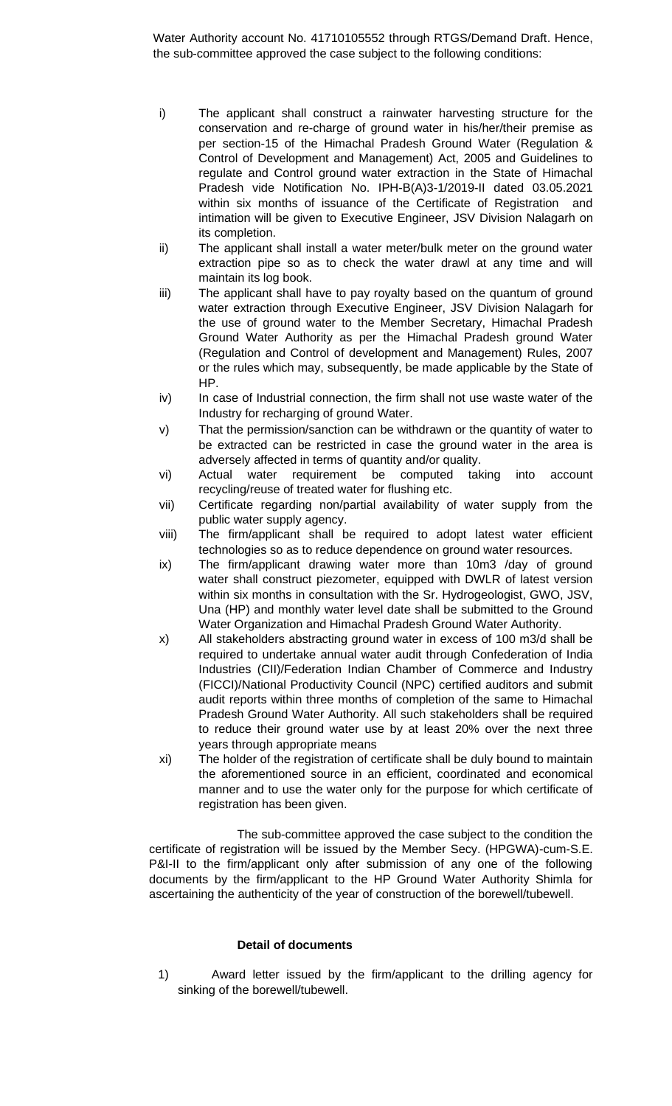Water Authority account No. 41710105552 through RTGS/Demand Draft. Hence, the sub-committee approved the case subject to the following conditions:

- i) The applicant shall construct a rainwater harvesting structure for the conservation and re-charge of ground water in his/her/their premise as per section-15 of the Himachal Pradesh Ground Water (Regulation & Control of Development and Management) Act, 2005 and Guidelines to regulate and Control ground water extraction in the State of Himachal Pradesh vide Notification No. IPH-B(A)3-1/2019-II dated 03.05.2021 within six months of issuance of the Certificate of Registration and intimation will be given to Executive Engineer, JSV Division Nalagarh on its completion.
- ii) The applicant shall install a water meter/bulk meter on the ground water extraction pipe so as to check the water drawl at any time and will maintain its log book.
- iii) The applicant shall have to pay royalty based on the quantum of ground water extraction through Executive Engineer, JSV Division Nalagarh for the use of ground water to the Member Secretary, Himachal Pradesh Ground Water Authority as per the Himachal Pradesh ground Water (Regulation and Control of development and Management) Rules, 2007 or the rules which may, subsequently, be made applicable by the State of HP.
- iv) In case of Industrial connection, the firm shall not use waste water of the Industry for recharging of ground Water.
- v) That the permission/sanction can be withdrawn or the quantity of water to be extracted can be restricted in case the ground water in the area is adversely affected in terms of quantity and/or quality.
- vi) Actual water requirement be computed taking into account recycling/reuse of treated water for flushing etc.
- vii) Certificate regarding non/partial availability of water supply from the public water supply agency.
- viii) The firm/applicant shall be required to adopt latest water efficient technologies so as to reduce dependence on ground water resources.
- ix) The firm/applicant drawing water more than 10m3 /day of ground water shall construct piezometer, equipped with DWLR of latest version within six months in consultation with the Sr. Hydrogeologist, GWO, JSV, Una (HP) and monthly water level date shall be submitted to the Ground Water Organization and Himachal Pradesh Ground Water Authority.
- x) All stakeholders abstracting ground water in excess of 100 m3/d shall be required to undertake annual water audit through Confederation of India Industries (CII)/Federation Indian Chamber of Commerce and Industry (FICCI)/National Productivity Council (NPC) certified auditors and submit audit reports within three months of completion of the same to Himachal Pradesh Ground Water Authority. All such stakeholders shall be required to reduce their ground water use by at least 20% over the next three years through appropriate means
- xi) The holder of the registration of certificate shall be duly bound to maintain the aforementioned source in an efficient, coordinated and economical manner and to use the water only for the purpose for which certificate of registration has been given.

The sub-committee approved the case subject to the condition the certificate of registration will be issued by the Member Secy. (HPGWA)-cum-S.E. P&I-II to the firm/applicant only after submission of any one of the following documents by the firm/applicant to the HP Ground Water Authority Shimla for ascertaining the authenticity of the year of construction of the borewell/tubewell.

### **Detail of documents**

1) Award letter issued by the firm/applicant to the drilling agency for sinking of the borewell/tubewell.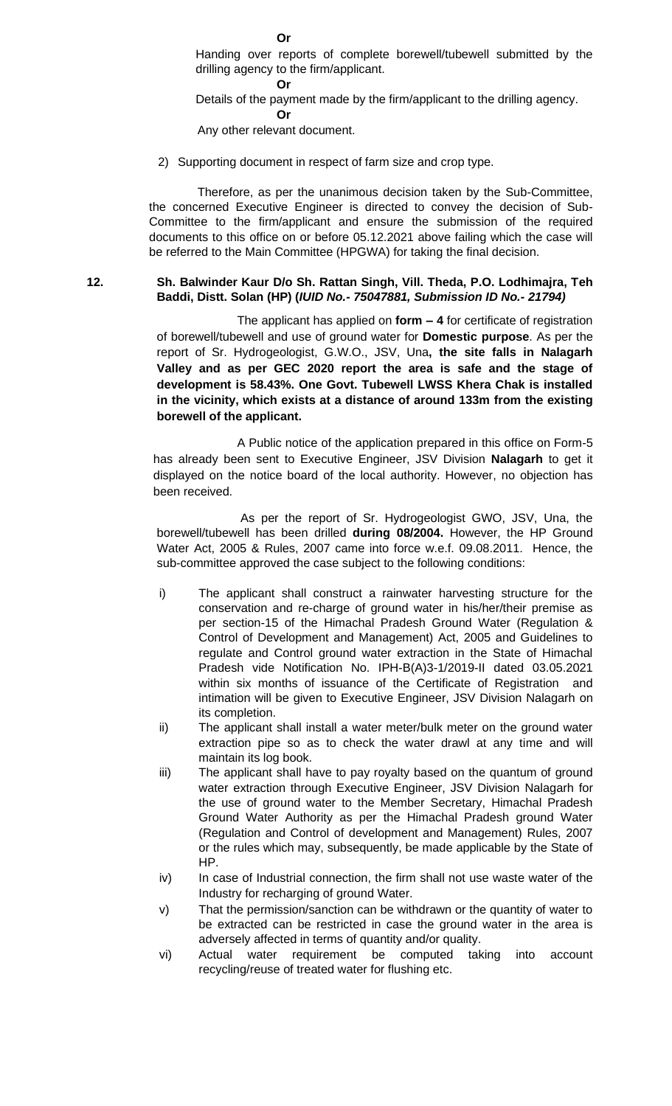**Or**

Handing over reports of complete borewell/tubewell submitted by the drilling agency to the firm/applicant.

**Or**

Details of the payment made by the firm/applicant to the drilling agency.

**Or**

Any other relevant document.

2) Supporting document in respect of farm size and crop type.

Therefore, as per the unanimous decision taken by the Sub-Committee, the concerned Executive Engineer is directed to convey the decision of Sub-Committee to the firm/applicant and ensure the submission of the required documents to this office on or before 05.12.2021 above failing which the case will be referred to the Main Committee (HPGWA) for taking the final decision.

### **12. Sh. Balwinder Kaur D/o Sh. Rattan Singh, Vill. Theda, P.O. Lodhimajra, Teh Baddi, Distt. Solan (HP) (***IUID No.- 75047881, Submission ID No.- 21794)*

The applicant has applied on **form – 4** for certificate of registration of borewell/tubewell and use of ground water for **Domestic purpose**. As per the report of Sr. Hydrogeologist, G.W.O., JSV, Una**, the site falls in Nalagarh Valley and as per GEC 2020 report the area is safe and the stage of development is 58.43%. One Govt. Tubewell LWSS Khera Chak is installed in the vicinity, which exists at a distance of around 133m from the existing borewell of the applicant.** 

A Public notice of the application prepared in this office on Form-5 has already been sent to Executive Engineer, JSV Division **Nalagarh** to get it displayed on the notice board of the local authority. However, no objection has been received.

As per the report of Sr. Hydrogeologist GWO, JSV, Una, the borewell/tubewell has been drilled **during 08/2004.** However, the HP Ground Water Act, 2005 & Rules, 2007 came into force w.e.f. 09.08.2011. Hence, the sub-committee approved the case subject to the following conditions:

- i) The applicant shall construct a rainwater harvesting structure for the conservation and re-charge of ground water in his/her/their premise as per section-15 of the Himachal Pradesh Ground Water (Regulation & Control of Development and Management) Act, 2005 and Guidelines to regulate and Control ground water extraction in the State of Himachal Pradesh vide Notification No. IPH-B(A)3-1/2019-II dated 03.05.2021 within six months of issuance of the Certificate of Registration and intimation will be given to Executive Engineer, JSV Division Nalagarh on its completion.
- ii) The applicant shall install a water meter/bulk meter on the ground water extraction pipe so as to check the water drawl at any time and will maintain its log book.
- iii) The applicant shall have to pay royalty based on the quantum of ground water extraction through Executive Engineer, JSV Division Nalagarh for the use of ground water to the Member Secretary, Himachal Pradesh Ground Water Authority as per the Himachal Pradesh ground Water (Regulation and Control of development and Management) Rules, 2007 or the rules which may, subsequently, be made applicable by the State of HP.
- iv) In case of Industrial connection, the firm shall not use waste water of the Industry for recharging of ground Water.
- v) That the permission/sanction can be withdrawn or the quantity of water to be extracted can be restricted in case the ground water in the area is adversely affected in terms of quantity and/or quality.
- vi) Actual water requirement be computed taking into account recycling/reuse of treated water for flushing etc.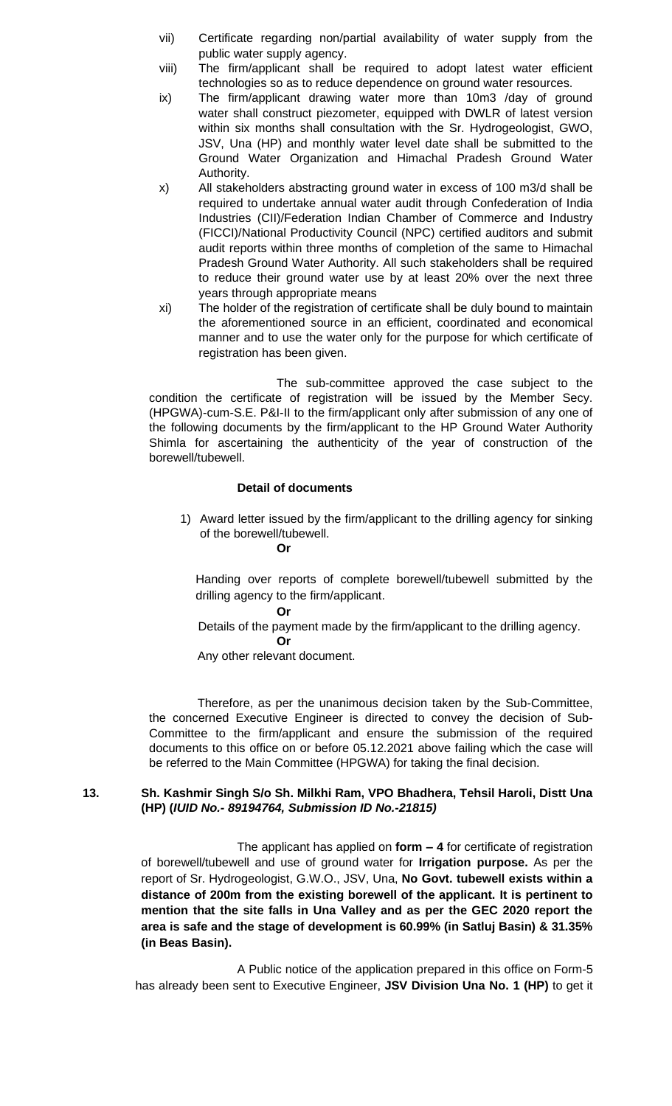- vii) Certificate regarding non/partial availability of water supply from the public water supply agency.
- viii) The firm/applicant shall be required to adopt latest water efficient technologies so as to reduce dependence on ground water resources.
- ix) The firm/applicant drawing water more than 10m3 /day of ground water shall construct piezometer, equipped with DWLR of latest version within six months shall consultation with the Sr. Hydrogeologist, GWO, JSV, Una (HP) and monthly water level date shall be submitted to the Ground Water Organization and Himachal Pradesh Ground Water Authority.
- x) All stakeholders abstracting ground water in excess of 100 m3/d shall be required to undertake annual water audit through Confederation of India Industries (CII)/Federation Indian Chamber of Commerce and Industry (FICCI)/National Productivity Council (NPC) certified auditors and submit audit reports within three months of completion of the same to Himachal Pradesh Ground Water Authority. All such stakeholders shall be required to reduce their ground water use by at least 20% over the next three years through appropriate means
- xi) The holder of the registration of certificate shall be duly bound to maintain the aforementioned source in an efficient, coordinated and economical manner and to use the water only for the purpose for which certificate of registration has been given.

The sub-committee approved the case subject to the condition the certificate of registration will be issued by the Member Secy. (HPGWA)-cum-S.E. P&I-II to the firm/applicant only after submission of any one of the following documents by the firm/applicant to the HP Ground Water Authority Shimla for ascertaining the authenticity of the year of construction of the borewell/tubewell.

### **Detail of documents**

1) Award letter issued by the firm/applicant to the drilling agency for sinking of the borewell/tubewell.

**Or**

Handing over reports of complete borewell/tubewell submitted by the drilling agency to the firm/applicant.

**Or**

Details of the payment made by the firm/applicant to the drilling agency.

**Or**

Any other relevant document.

Therefore, as per the unanimous decision taken by the Sub-Committee, the concerned Executive Engineer is directed to convey the decision of Sub-Committee to the firm/applicant and ensure the submission of the required documents to this office on or before 05.12.2021 above failing which the case will be referred to the Main Committee (HPGWA) for taking the final decision.

### **13. Sh. Kashmir Singh S/o Sh. Milkhi Ram, VPO Bhadhera, Tehsil Haroli, Distt Una (HP) (***IUID No.- 89194764, Submission ID No.-21815)*

The applicant has applied on **form – 4** for certificate of registration of borewell/tubewell and use of ground water for **Irrigation purpose.** As per the report of Sr. Hydrogeologist, G.W.O., JSV, Una, **No Govt. tubewell exists within a distance of 200m from the existing borewell of the applicant. It is pertinent to mention that the site falls in Una Valley and as per the GEC 2020 report the area is safe and the stage of development is 60.99% (in Satluj Basin) & 31.35% (in Beas Basin).**

A Public notice of the application prepared in this office on Form-5 has already been sent to Executive Engineer, **JSV Division Una No. 1 (HP)** to get it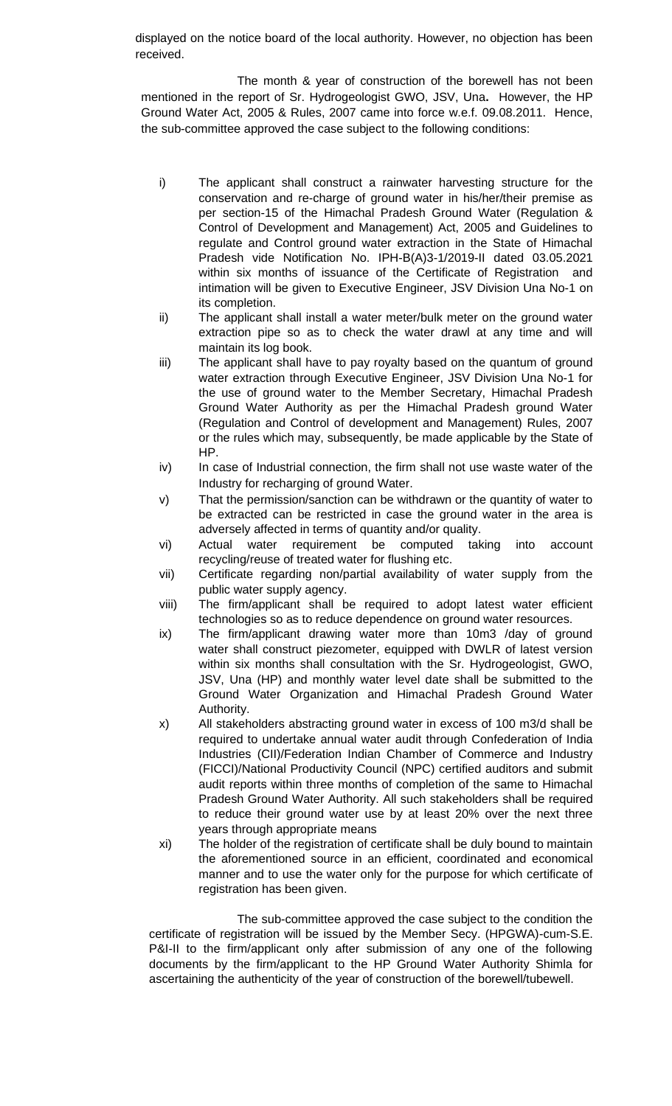displayed on the notice board of the local authority. However, no objection has been received.

The month & year of construction of the borewell has not been mentioned in the report of Sr. Hydrogeologist GWO, JSV, Una**.** However, the HP Ground Water Act, 2005 & Rules, 2007 came into force w.e.f. 09.08.2011. Hence, the sub-committee approved the case subject to the following conditions:

- i) The applicant shall construct a rainwater harvesting structure for the conservation and re-charge of ground water in his/her/their premise as per section-15 of the Himachal Pradesh Ground Water (Regulation & Control of Development and Management) Act, 2005 and Guidelines to regulate and Control ground water extraction in the State of Himachal Pradesh vide Notification No. IPH-B(A)3-1/2019-II dated 03.05.2021 within six months of issuance of the Certificate of Registration and intimation will be given to Executive Engineer, JSV Division Una No-1 on its completion.
- ii) The applicant shall install a water meter/bulk meter on the ground water extraction pipe so as to check the water drawl at any time and will maintain its log book.
- iii) The applicant shall have to pay royalty based on the quantum of ground water extraction through Executive Engineer, JSV Division Una No-1 for the use of ground water to the Member Secretary, Himachal Pradesh Ground Water Authority as per the Himachal Pradesh ground Water (Regulation and Control of development and Management) Rules, 2007 or the rules which may, subsequently, be made applicable by the State of HP.
- iv) In case of Industrial connection, the firm shall not use waste water of the Industry for recharging of ground Water.
- v) That the permission/sanction can be withdrawn or the quantity of water to be extracted can be restricted in case the ground water in the area is adversely affected in terms of quantity and/or quality.
- vi) Actual water requirement be computed taking into account recycling/reuse of treated water for flushing etc.
- vii) Certificate regarding non/partial availability of water supply from the public water supply agency.
- viii) The firm/applicant shall be required to adopt latest water efficient technologies so as to reduce dependence on ground water resources.
- ix) The firm/applicant drawing water more than 10m3 /day of ground water shall construct piezometer, equipped with DWLR of latest version within six months shall consultation with the Sr. Hydrogeologist, GWO, JSV, Una (HP) and monthly water level date shall be submitted to the Ground Water Organization and Himachal Pradesh Ground Water Authority.
- x) All stakeholders abstracting ground water in excess of 100 m3/d shall be required to undertake annual water audit through Confederation of India Industries (CII)/Federation Indian Chamber of Commerce and Industry (FICCI)/National Productivity Council (NPC) certified auditors and submit audit reports within three months of completion of the same to Himachal Pradesh Ground Water Authority. All such stakeholders shall be required to reduce their ground water use by at least 20% over the next three years through appropriate means
- xi) The holder of the registration of certificate shall be duly bound to maintain the aforementioned source in an efficient, coordinated and economical manner and to use the water only for the purpose for which certificate of registration has been given.

The sub-committee approved the case subject to the condition the certificate of registration will be issued by the Member Secy. (HPGWA)-cum-S.E. P&I-II to the firm/applicant only after submission of any one of the following documents by the firm/applicant to the HP Ground Water Authority Shimla for ascertaining the authenticity of the year of construction of the borewell/tubewell.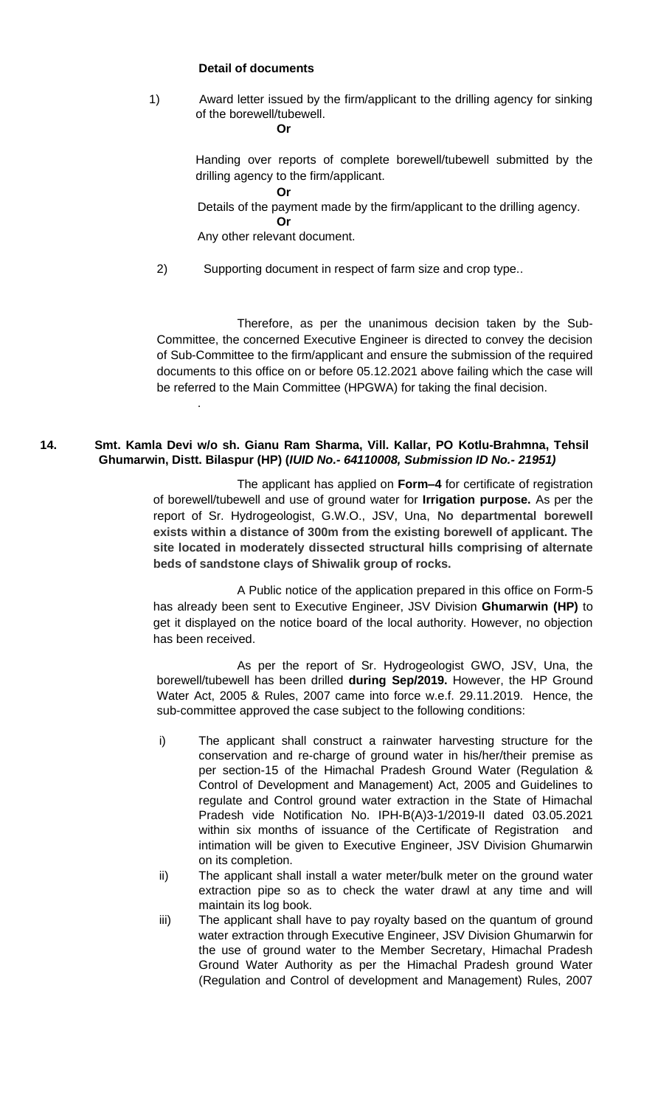### **Detail of documents**

1) Award letter issued by the firm/applicant to the drilling agency for sinking of the borewell/tubewell.

**Or**

Handing over reports of complete borewell/tubewell submitted by the drilling agency to the firm/applicant.

**Or**

Details of the payment made by the firm/applicant to the drilling agency.

**Or**

Any other relevant document.

.

2) Supporting document in respect of farm size and crop type..

Therefore, as per the unanimous decision taken by the Sub-Committee, the concerned Executive Engineer is directed to convey the decision of Sub-Committee to the firm/applicant and ensure the submission of the required documents to this office on or before 05.12.2021 above failing which the case will be referred to the Main Committee (HPGWA) for taking the final decision.

### **14. Smt. Kamla Devi w/o sh. Gianu Ram Sharma, Vill. Kallar, PO Kotlu-Brahmna, Tehsil Ghumarwin, Distt. Bilaspur (HP) (***IUID No.- 64110008, Submission ID No.- 21951)*

The applicant has applied on **Form–4** for certificate of registration of borewell/tubewell and use of ground water for **Irrigation purpose.** As per the report of Sr. Hydrogeologist, G.W.O., JSV, Una, **No departmental borewell exists within a distance of 300m from the existing borewell of applicant. The site located in moderately dissected structural hills comprising of alternate beds of sandstone clays of Shiwalik group of rocks.**

A Public notice of the application prepared in this office on Form-5 has already been sent to Executive Engineer, JSV Division **Ghumarwin (HP)** to get it displayed on the notice board of the local authority. However, no objection has been received.

As per the report of Sr. Hydrogeologist GWO, JSV, Una, the borewell/tubewell has been drilled **during Sep/2019.** However, the HP Ground Water Act, 2005 & Rules, 2007 came into force w.e.f. 29.11.2019. Hence, the sub-committee approved the case subject to the following conditions:

- i) The applicant shall construct a rainwater harvesting structure for the conservation and re-charge of ground water in his/her/their premise as per section-15 of the Himachal Pradesh Ground Water (Regulation & Control of Development and Management) Act, 2005 and Guidelines to regulate and Control ground water extraction in the State of Himachal Pradesh vide Notification No. IPH-B(A)3-1/2019-II dated 03.05.2021 within six months of issuance of the Certificate of Registration and intimation will be given to Executive Engineer, JSV Division Ghumarwin on its completion.
- ii) The applicant shall install a water meter/bulk meter on the ground water extraction pipe so as to check the water drawl at any time and will maintain its log book.
- iii) The applicant shall have to pay royalty based on the quantum of ground water extraction through Executive Engineer, JSV Division Ghumarwin for the use of ground water to the Member Secretary, Himachal Pradesh Ground Water Authority as per the Himachal Pradesh ground Water (Regulation and Control of development and Management) Rules, 2007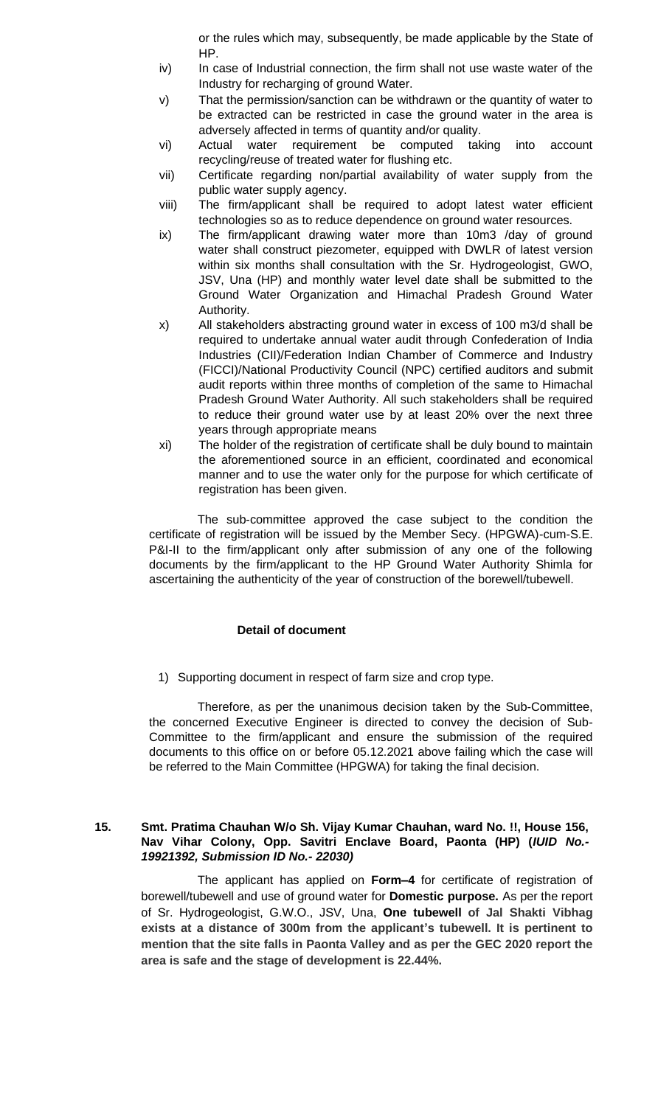or the rules which may, subsequently, be made applicable by the State of HP.

- iv) In case of Industrial connection, the firm shall not use waste water of the Industry for recharging of ground Water.
- v) That the permission/sanction can be withdrawn or the quantity of water to be extracted can be restricted in case the ground water in the area is adversely affected in terms of quantity and/or quality.
- vi) Actual water requirement be computed taking into account recycling/reuse of treated water for flushing etc.
- vii) Certificate regarding non/partial availability of water supply from the public water supply agency.
- viii) The firm/applicant shall be required to adopt latest water efficient technologies so as to reduce dependence on ground water resources.
- ix) The firm/applicant drawing water more than 10m3 /day of ground water shall construct piezometer, equipped with DWLR of latest version within six months shall consultation with the Sr. Hydrogeologist, GWO, JSV, Una (HP) and monthly water level date shall be submitted to the Ground Water Organization and Himachal Pradesh Ground Water Authority.
- x) All stakeholders abstracting ground water in excess of 100 m3/d shall be required to undertake annual water audit through Confederation of India Industries (CII)/Federation Indian Chamber of Commerce and Industry (FICCI)/National Productivity Council (NPC) certified auditors and submit audit reports within three months of completion of the same to Himachal Pradesh Ground Water Authority. All such stakeholders shall be required to reduce their ground water use by at least 20% over the next three years through appropriate means
- xi) The holder of the registration of certificate shall be duly bound to maintain the aforementioned source in an efficient, coordinated and economical manner and to use the water only for the purpose for which certificate of registration has been given.

The sub-committee approved the case subject to the condition the certificate of registration will be issued by the Member Secy. (HPGWA)-cum-S.E. P&I-II to the firm/applicant only after submission of any one of the following documents by the firm/applicant to the HP Ground Water Authority Shimla for ascertaining the authenticity of the year of construction of the borewell/tubewell.

#### **Detail of document**

1) Supporting document in respect of farm size and crop type.

Therefore, as per the unanimous decision taken by the Sub-Committee, the concerned Executive Engineer is directed to convey the decision of Sub-Committee to the firm/applicant and ensure the submission of the required documents to this office on or before 05.12.2021 above failing which the case will be referred to the Main Committee (HPGWA) for taking the final decision.

### **15. Smt. Pratima Chauhan W/o Sh. Vijay Kumar Chauhan, ward No. !!, House 156, Nav Vihar Colony, Opp. Savitri Enclave Board, Paonta (HP) (***IUID No.- 19921392, Submission ID No.- 22030)*

The applicant has applied on **Form–4** for certificate of registration of borewell/tubewell and use of ground water for **Domestic purpose.** As per the report of Sr. Hydrogeologist, G.W.O., JSV, Una, **One tubewell of Jal Shakti Vibhag exists at a distance of 300m from the applicant's tubewell. It is pertinent to mention that the site falls in Paonta Valley and as per the GEC 2020 report the area is safe and the stage of development is 22.44%.**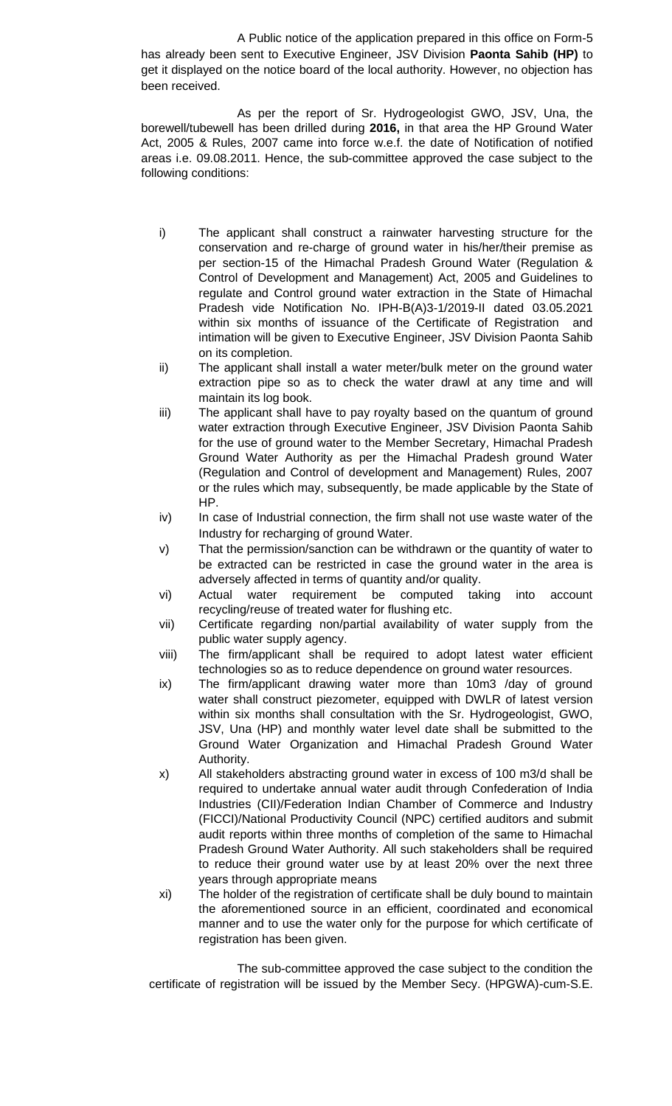A Public notice of the application prepared in this office on Form-5 has already been sent to Executive Engineer, JSV Division **Paonta Sahib (HP)** to get it displayed on the notice board of the local authority. However, no objection has been received.

As per the report of Sr. Hydrogeologist GWO, JSV, Una, the borewell/tubewell has been drilled during **2016,** in that area the HP Ground Water Act, 2005 & Rules, 2007 came into force w.e.f. the date of Notification of notified areas i.e. 09.08.2011. Hence, the sub-committee approved the case subject to the following conditions:

- i) The applicant shall construct a rainwater harvesting structure for the conservation and re-charge of ground water in his/her/their premise as per section-15 of the Himachal Pradesh Ground Water (Regulation & Control of Development and Management) Act, 2005 and Guidelines to regulate and Control ground water extraction in the State of Himachal Pradesh vide Notification No. IPH-B(A)3-1/2019-II dated 03.05.2021 within six months of issuance of the Certificate of Registration and intimation will be given to Executive Engineer, JSV Division Paonta Sahib on its completion.
- ii) The applicant shall install a water meter/bulk meter on the ground water extraction pipe so as to check the water drawl at any time and will maintain its log book.
- iii) The applicant shall have to pay royalty based on the quantum of ground water extraction through Executive Engineer, JSV Division Paonta Sahib for the use of ground water to the Member Secretary, Himachal Pradesh Ground Water Authority as per the Himachal Pradesh ground Water (Regulation and Control of development and Management) Rules, 2007 or the rules which may, subsequently, be made applicable by the State of HP.
- iv) In case of Industrial connection, the firm shall not use waste water of the Industry for recharging of ground Water.
- v) That the permission/sanction can be withdrawn or the quantity of water to be extracted can be restricted in case the ground water in the area is adversely affected in terms of quantity and/or quality.
- vi) Actual water requirement be computed taking into account recycling/reuse of treated water for flushing etc.
- vii) Certificate regarding non/partial availability of water supply from the public water supply agency.
- viii) The firm/applicant shall be required to adopt latest water efficient technologies so as to reduce dependence on ground water resources.
- ix) The firm/applicant drawing water more than 10m3 /day of ground water shall construct piezometer, equipped with DWLR of latest version within six months shall consultation with the Sr. Hydrogeologist, GWO, JSV, Una (HP) and monthly water level date shall be submitted to the Ground Water Organization and Himachal Pradesh Ground Water Authority.
- x) All stakeholders abstracting ground water in excess of 100 m3/d shall be required to undertake annual water audit through Confederation of India Industries (CII)/Federation Indian Chamber of Commerce and Industry (FICCI)/National Productivity Council (NPC) certified auditors and submit audit reports within three months of completion of the same to Himachal Pradesh Ground Water Authority. All such stakeholders shall be required to reduce their ground water use by at least 20% over the next three years through appropriate means
- xi) The holder of the registration of certificate shall be duly bound to maintain the aforementioned source in an efficient, coordinated and economical manner and to use the water only for the purpose for which certificate of registration has been given.

The sub-committee approved the case subject to the condition the certificate of registration will be issued by the Member Secy. (HPGWA)-cum-S.E.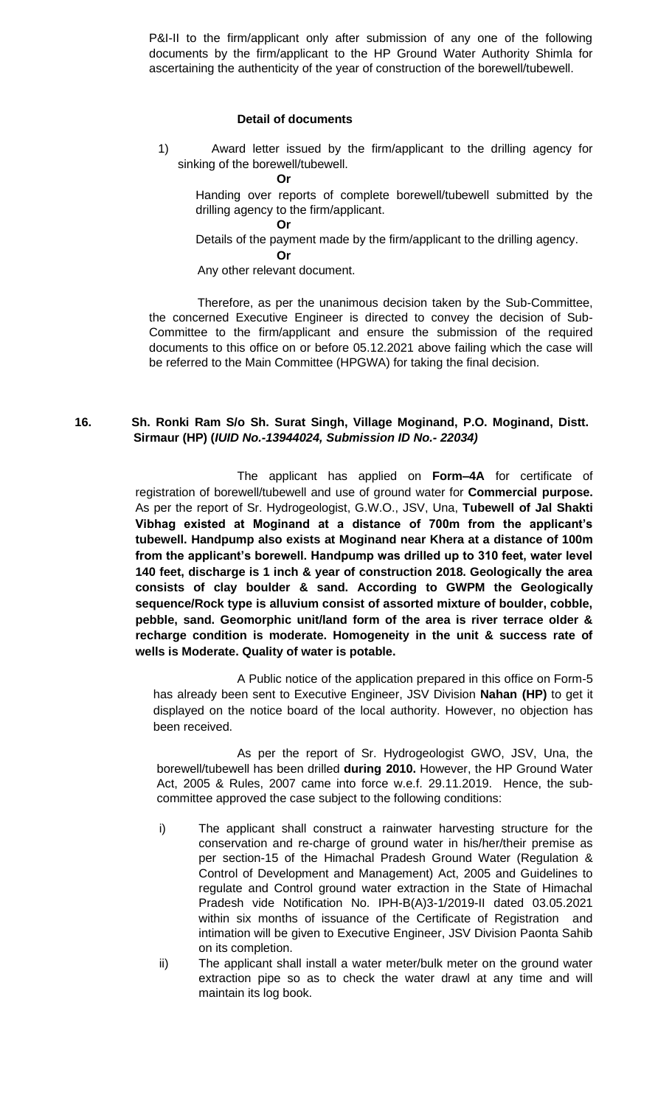P&I-II to the firm/applicant only after submission of any one of the following documents by the firm/applicant to the HP Ground Water Authority Shimla for ascertaining the authenticity of the year of construction of the borewell/tubewell.

#### **Detail of documents**

1) Award letter issued by the firm/applicant to the drilling agency for sinking of the borewell/tubewell.

**Or**

Handing over reports of complete borewell/tubewell submitted by the drilling agency to the firm/applicant.

**Or**

Details of the payment made by the firm/applicant to the drilling agency.

**Or**

Any other relevant document.

Therefore, as per the unanimous decision taken by the Sub-Committee, the concerned Executive Engineer is directed to convey the decision of Sub-Committee to the firm/applicant and ensure the submission of the required documents to this office on or before 05.12.2021 above failing which the case will be referred to the Main Committee (HPGWA) for taking the final decision.

#### **16. Sh. Ronki Ram S/o Sh. Surat Singh, Village Moginand, P.O. Moginand, Distt. Sirmaur (HP) (***IUID No.-13944024, Submission ID No.- 22034)*

The applicant has applied on **Form–4A** for certificate of registration of borewell/tubewell and use of ground water for **Commercial purpose.** As per the report of Sr. Hydrogeologist, G.W.O., JSV, Una, **Tubewell of Jal Shakti Vibhag existed at Moginand at a distance of 700m from the applicant's tubewell. Handpump also exists at Moginand near Khera at a distance of 100m from the applicant's borewell. Handpump was drilled up to 310 feet, water level 140 feet, discharge is 1 inch & year of construction 2018. Geologically the area consists of clay boulder & sand. According to GWPM the Geologically sequence/Rock type is alluvium consist of assorted mixture of boulder, cobble, pebble, sand. Geomorphic unit/land form of the area is river terrace older & recharge condition is moderate. Homogeneity in the unit & success rate of wells is Moderate. Quality of water is potable.** 

A Public notice of the application prepared in this office on Form-5 has already been sent to Executive Engineer, JSV Division **Nahan (HP)** to get it displayed on the notice board of the local authority. However, no objection has been received.

As per the report of Sr. Hydrogeologist GWO, JSV, Una, the borewell/tubewell has been drilled **during 2010.** However, the HP Ground Water Act, 2005 & Rules, 2007 came into force w.e.f. 29.11.2019. Hence, the subcommittee approved the case subject to the following conditions:

- i) The applicant shall construct a rainwater harvesting structure for the conservation and re-charge of ground water in his/her/their premise as per section-15 of the Himachal Pradesh Ground Water (Regulation & Control of Development and Management) Act, 2005 and Guidelines to regulate and Control ground water extraction in the State of Himachal Pradesh vide Notification No. IPH-B(A)3-1/2019-II dated 03.05.2021 within six months of issuance of the Certificate of Registration and intimation will be given to Executive Engineer, JSV Division Paonta Sahib on its completion.
- ii) The applicant shall install a water meter/bulk meter on the ground water extraction pipe so as to check the water drawl at any time and will maintain its log book.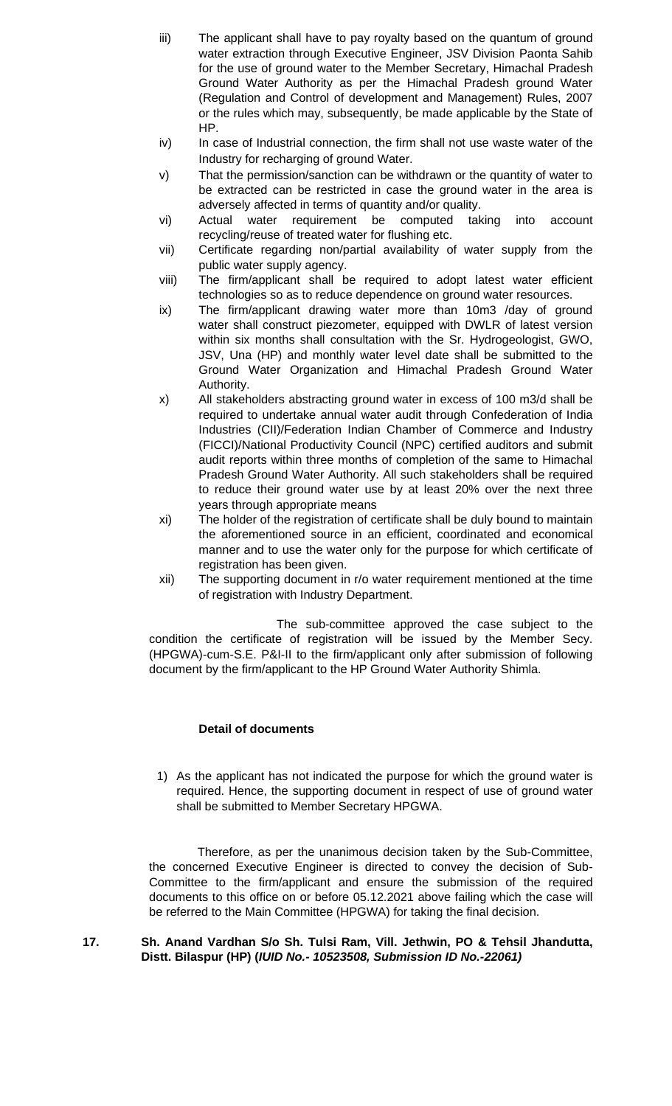- iii) The applicant shall have to pay royalty based on the quantum of ground water extraction through Executive Engineer, JSV Division Paonta Sahib for the use of ground water to the Member Secretary, Himachal Pradesh Ground Water Authority as per the Himachal Pradesh ground Water (Regulation and Control of development and Management) Rules, 2007 or the rules which may, subsequently, be made applicable by the State of HP.
- iv) In case of Industrial connection, the firm shall not use waste water of the Industry for recharging of ground Water.
- v) That the permission/sanction can be withdrawn or the quantity of water to be extracted can be restricted in case the ground water in the area is adversely affected in terms of quantity and/or quality.
- vi) Actual water requirement be computed taking into account recycling/reuse of treated water for flushing etc.
- vii) Certificate regarding non/partial availability of water supply from the public water supply agency.
- viii) The firm/applicant shall be required to adopt latest water efficient technologies so as to reduce dependence on ground water resources.
- ix) The firm/applicant drawing water more than 10m3 /day of ground water shall construct piezometer, equipped with DWLR of latest version within six months shall consultation with the Sr. Hydrogeologist, GWO, JSV, Una (HP) and monthly water level date shall be submitted to the Ground Water Organization and Himachal Pradesh Ground Water Authority.
- x) All stakeholders abstracting ground water in excess of 100 m3/d shall be required to undertake annual water audit through Confederation of India Industries (CII)/Federation Indian Chamber of Commerce and Industry (FICCI)/National Productivity Council (NPC) certified auditors and submit audit reports within three months of completion of the same to Himachal Pradesh Ground Water Authority. All such stakeholders shall be required to reduce their ground water use by at least 20% over the next three years through appropriate means
- xi) The holder of the registration of certificate shall be duly bound to maintain the aforementioned source in an efficient, coordinated and economical manner and to use the water only for the purpose for which certificate of registration has been given.
- xii) The supporting document in r/o water requirement mentioned at the time of registration with Industry Department.

The sub-committee approved the case subject to the condition the certificate of registration will be issued by the Member Secy. (HPGWA)-cum-S.E. P&I-II to the firm/applicant only after submission of following document by the firm/applicant to the HP Ground Water Authority Shimla.

### **Detail of documents**

1) As the applicant has not indicated the purpose for which the ground water is required. Hence, the supporting document in respect of use of ground water shall be submitted to Member Secretary HPGWA.

Therefore, as per the unanimous decision taken by the Sub-Committee, the concerned Executive Engineer is directed to convey the decision of Sub-Committee to the firm/applicant and ensure the submission of the required documents to this office on or before 05.12.2021 above failing which the case will be referred to the Main Committee (HPGWA) for taking the final decision.

### **17. Sh. Anand Vardhan S/o Sh. Tulsi Ram, Vill. Jethwin, PO & Tehsil Jhandutta, Distt. Bilaspur (HP) (***IUID No.- 10523508, Submission ID No.-22061)*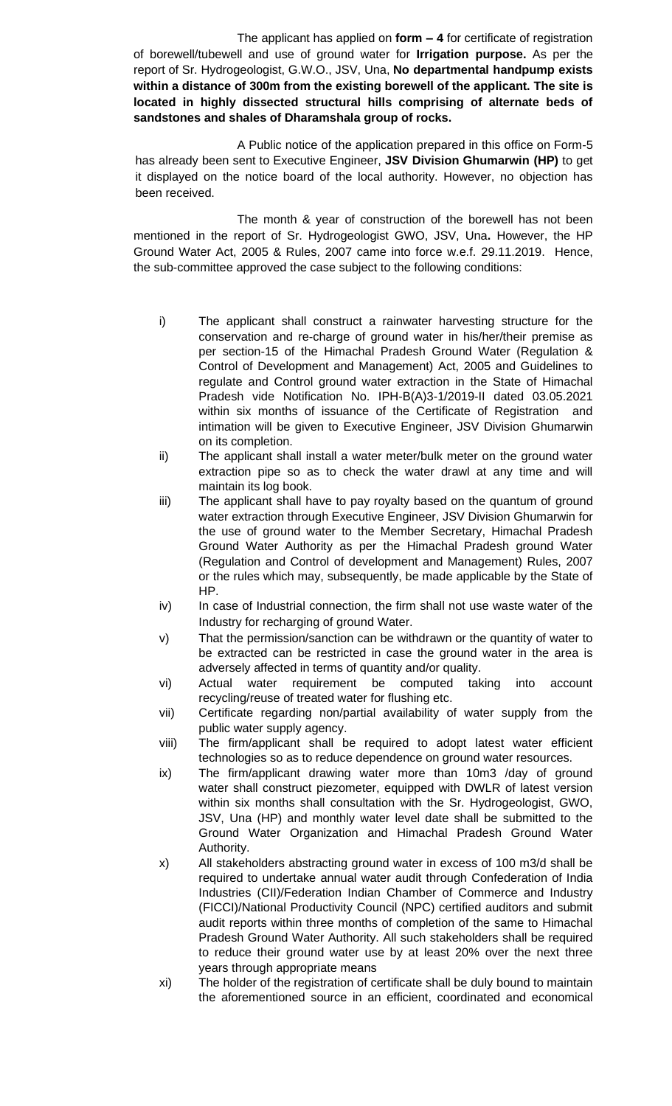The applicant has applied on **form – 4** for certificate of registration of borewell/tubewell and use of ground water for **Irrigation purpose.** As per the report of Sr. Hydrogeologist, G.W.O., JSV, Una, **No departmental handpump exists within a distance of 300m from the existing borewell of the applicant. The site is located in highly dissected structural hills comprising of alternate beds of sandstones and shales of Dharamshala group of rocks.** 

A Public notice of the application prepared in this office on Form-5 has already been sent to Executive Engineer, **JSV Division Ghumarwin (HP)** to get it displayed on the notice board of the local authority. However, no objection has been received.

The month & year of construction of the borewell has not been mentioned in the report of Sr. Hydrogeologist GWO, JSV, Una**.** However, the HP Ground Water Act, 2005 & Rules, 2007 came into force w.e.f. 29.11.2019. Hence, the sub-committee approved the case subject to the following conditions:

- i) The applicant shall construct a rainwater harvesting structure for the conservation and re-charge of ground water in his/her/their premise as per section-15 of the Himachal Pradesh Ground Water (Regulation & Control of Development and Management) Act, 2005 and Guidelines to regulate and Control ground water extraction in the State of Himachal Pradesh vide Notification No. IPH-B(A)3-1/2019-II dated 03.05.2021 within six months of issuance of the Certificate of Registration and intimation will be given to Executive Engineer, JSV Division Ghumarwin on its completion.
- ii) The applicant shall install a water meter/bulk meter on the ground water extraction pipe so as to check the water drawl at any time and will maintain its log book.
- iii) The applicant shall have to pay royalty based on the quantum of ground water extraction through Executive Engineer, JSV Division Ghumarwin for the use of ground water to the Member Secretary, Himachal Pradesh Ground Water Authority as per the Himachal Pradesh ground Water (Regulation and Control of development and Management) Rules, 2007 or the rules which may, subsequently, be made applicable by the State of HP.
- iv) In case of Industrial connection, the firm shall not use waste water of the Industry for recharging of ground Water.
- v) That the permission/sanction can be withdrawn or the quantity of water to be extracted can be restricted in case the ground water in the area is adversely affected in terms of quantity and/or quality.
- vi) Actual water requirement be computed taking into account recycling/reuse of treated water for flushing etc.
- vii) Certificate regarding non/partial availability of water supply from the public water supply agency.
- viii) The firm/applicant shall be required to adopt latest water efficient technologies so as to reduce dependence on ground water resources.
- ix) The firm/applicant drawing water more than 10m3 /day of ground water shall construct piezometer, equipped with DWLR of latest version within six months shall consultation with the Sr. Hydrogeologist, GWO, JSV, Una (HP) and monthly water level date shall be submitted to the Ground Water Organization and Himachal Pradesh Ground Water Authority.
- x) All stakeholders abstracting ground water in excess of 100 m3/d shall be required to undertake annual water audit through Confederation of India Industries (CII)/Federation Indian Chamber of Commerce and Industry (FICCI)/National Productivity Council (NPC) certified auditors and submit audit reports within three months of completion of the same to Himachal Pradesh Ground Water Authority. All such stakeholders shall be required to reduce their ground water use by at least 20% over the next three years through appropriate means
- xi) The holder of the registration of certificate shall be duly bound to maintain the aforementioned source in an efficient, coordinated and economical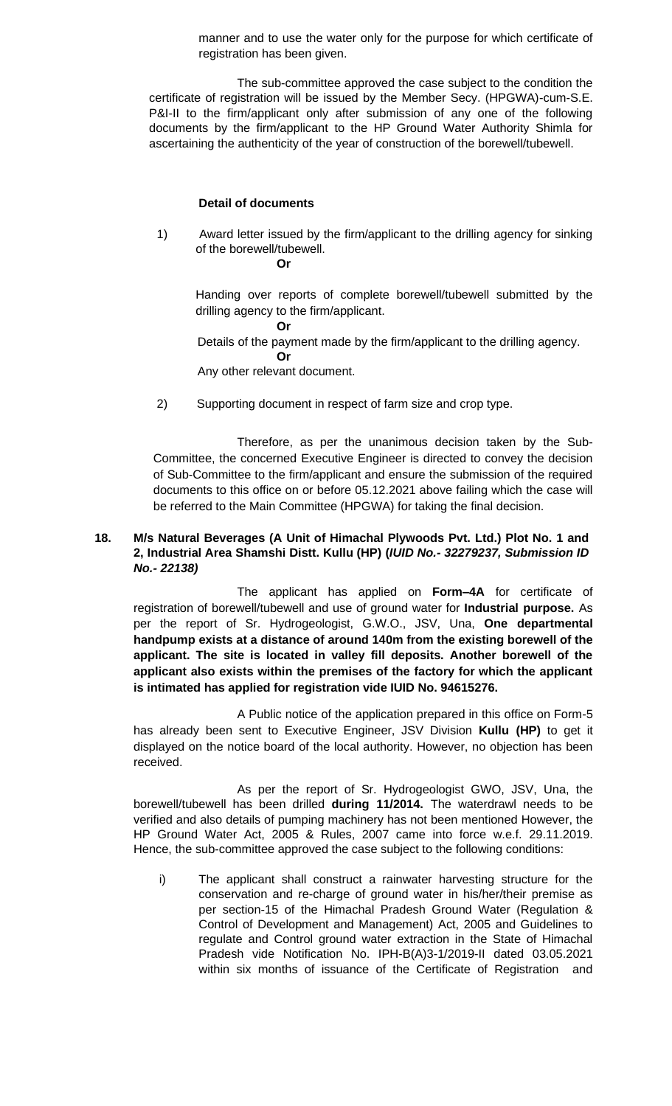manner and to use the water only for the purpose for which certificate of registration has been given.

The sub-committee approved the case subject to the condition the certificate of registration will be issued by the Member Secy. (HPGWA)-cum-S.E. P&I-II to the firm/applicant only after submission of any one of the following documents by the firm/applicant to the HP Ground Water Authority Shimla for ascertaining the authenticity of the year of construction of the borewell/tubewell.

### **Detail of documents**

1) Award letter issued by the firm/applicant to the drilling agency for sinking of the borewell/tubewell.

**Or**

Handing over reports of complete borewell/tubewell submitted by the drilling agency to the firm/applicant.

**Or**

Details of the payment made by the firm/applicant to the drilling agency. **Or**

Any other relevant document.

2) Supporting document in respect of farm size and crop type.

Therefore, as per the unanimous decision taken by the Sub-Committee, the concerned Executive Engineer is directed to convey the decision of Sub-Committee to the firm/applicant and ensure the submission of the required documents to this office on or before 05.12.2021 above failing which the case will be referred to the Main Committee (HPGWA) for taking the final decision.

### **18. M/s Natural Beverages (A Unit of Himachal Plywoods Pvt. Ltd.) Plot No. 1 and 2, Industrial Area Shamshi Distt. Kullu (HP) (***IUID No.- 32279237, Submission ID No.- 22138)*

The applicant has applied on **Form–4A** for certificate of registration of borewell/tubewell and use of ground water for **Industrial purpose.** As per the report of Sr. Hydrogeologist, G.W.O., JSV, Una, **One departmental handpump exists at a distance of around 140m from the existing borewell of the applicant. The site is located in valley fill deposits. Another borewell of the applicant also exists within the premises of the factory for which the applicant is intimated has applied for registration vide IUID No. 94615276.** 

A Public notice of the application prepared in this office on Form-5 has already been sent to Executive Engineer, JSV Division **Kullu (HP)** to get it displayed on the notice board of the local authority. However, no objection has been received.

As per the report of Sr. Hydrogeologist GWO, JSV, Una, the borewell/tubewell has been drilled **during 11/2014.** The waterdrawl needs to be verified and also details of pumping machinery has not been mentioned However, the HP Ground Water Act, 2005 & Rules, 2007 came into force w.e.f. 29.11.2019. Hence, the sub-committee approved the case subject to the following conditions:

i) The applicant shall construct a rainwater harvesting structure for the conservation and re-charge of ground water in his/her/their premise as per section-15 of the Himachal Pradesh Ground Water (Regulation & Control of Development and Management) Act, 2005 and Guidelines to regulate and Control ground water extraction in the State of Himachal Pradesh vide Notification No. IPH-B(A)3-1/2019-II dated 03.05.2021 within six months of issuance of the Certificate of Registration and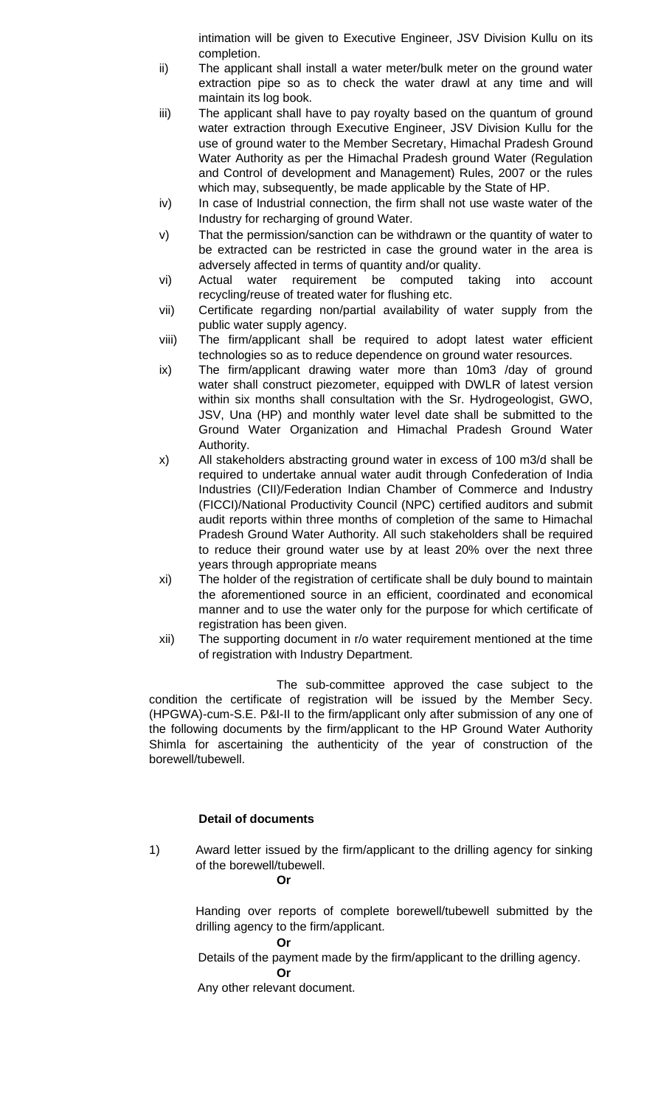intimation will be given to Executive Engineer, JSV Division Kullu on its completion.

- ii) The applicant shall install a water meter/bulk meter on the ground water extraction pipe so as to check the water drawl at any time and will maintain its log book.
- iii) The applicant shall have to pay royalty based on the quantum of ground water extraction through Executive Engineer, JSV Division Kullu for the use of ground water to the Member Secretary, Himachal Pradesh Ground Water Authority as per the Himachal Pradesh ground Water (Regulation and Control of development and Management) Rules, 2007 or the rules which may, subsequently, be made applicable by the State of HP.
- iv) In case of Industrial connection, the firm shall not use waste water of the Industry for recharging of ground Water.
- v) That the permission/sanction can be withdrawn or the quantity of water to be extracted can be restricted in case the ground water in the area is adversely affected in terms of quantity and/or quality.
- vi) Actual water requirement be computed taking into account recycling/reuse of treated water for flushing etc.
- vii) Certificate regarding non/partial availability of water supply from the public water supply agency.
- viii) The firm/applicant shall be required to adopt latest water efficient technologies so as to reduce dependence on ground water resources.
- ix) The firm/applicant drawing water more than 10m3 /day of ground water shall construct piezometer, equipped with DWLR of latest version within six months shall consultation with the Sr. Hydrogeologist, GWO, JSV, Una (HP) and monthly water level date shall be submitted to the Ground Water Organization and Himachal Pradesh Ground Water Authority.
- x) All stakeholders abstracting ground water in excess of 100 m3/d shall be required to undertake annual water audit through Confederation of India Industries (CII)/Federation Indian Chamber of Commerce and Industry (FICCI)/National Productivity Council (NPC) certified auditors and submit audit reports within three months of completion of the same to Himachal Pradesh Ground Water Authority. All such stakeholders shall be required to reduce their ground water use by at least 20% over the next three years through appropriate means
- xi) The holder of the registration of certificate shall be duly bound to maintain the aforementioned source in an efficient, coordinated and economical manner and to use the water only for the purpose for which certificate of registration has been given.
- xii) The supporting document in r/o water requirement mentioned at the time of registration with Industry Department.

The sub-committee approved the case subject to the condition the certificate of registration will be issued by the Member Secy. (HPGWA)-cum-S.E. P&I-II to the firm/applicant only after submission of any one of the following documents by the firm/applicant to the HP Ground Water Authority Shimla for ascertaining the authenticity of the year of construction of the borewell/tubewell.

### **Detail of documents**

1) Award letter issued by the firm/applicant to the drilling agency for sinking of the borewell/tubewell.

#### **Or**

Handing over reports of complete borewell/tubewell submitted by the drilling agency to the firm/applicant.

$$
\mathsf{Or}
$$

Details of the payment made by the firm/applicant to the drilling agency.

**Or**

Any other relevant document.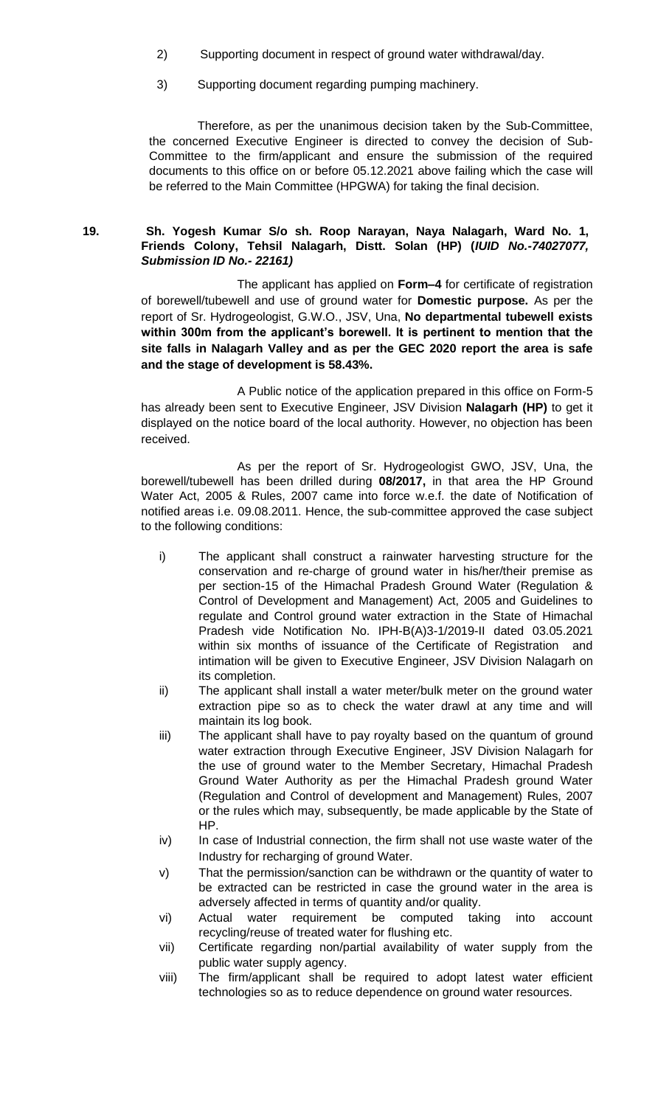- 2) Supporting document in respect of ground water withdrawal/day.
- 3) Supporting document regarding pumping machinery.

Therefore, as per the unanimous decision taken by the Sub-Committee, the concerned Executive Engineer is directed to convey the decision of Sub-Committee to the firm/applicant and ensure the submission of the required documents to this office on or before 05.12.2021 above failing which the case will be referred to the Main Committee (HPGWA) for taking the final decision.

### **19. Sh. Yogesh Kumar S/o sh. Roop Narayan, Naya Nalagarh, Ward No. 1, Friends Colony, Tehsil Nalagarh, Distt. Solan (HP) (***IUID No.-74027077, Submission ID No.- 22161)*

The applicant has applied on **Form–4** for certificate of registration of borewell/tubewell and use of ground water for **Domestic purpose.** As per the report of Sr. Hydrogeologist, G.W.O., JSV, Una, **No departmental tubewell exists within 300m from the applicant's borewell. It is pertinent to mention that the site falls in Nalagarh Valley and as per the GEC 2020 report the area is safe and the stage of development is 58.43%.**

A Public notice of the application prepared in this office on Form-5 has already been sent to Executive Engineer, JSV Division **Nalagarh (HP)** to get it displayed on the notice board of the local authority. However, no objection has been received.

As per the report of Sr. Hydrogeologist GWO, JSV, Una, the borewell/tubewell has been drilled during **08/2017,** in that area the HP Ground Water Act, 2005 & Rules, 2007 came into force w.e.f. the date of Notification of notified areas i.e. 09.08.2011. Hence, the sub-committee approved the case subject to the following conditions:

- i) The applicant shall construct a rainwater harvesting structure for the conservation and re-charge of ground water in his/her/their premise as per section-15 of the Himachal Pradesh Ground Water (Regulation & Control of Development and Management) Act, 2005 and Guidelines to regulate and Control ground water extraction in the State of Himachal Pradesh vide Notification No. IPH-B(A)3-1/2019-II dated 03.05.2021 within six months of issuance of the Certificate of Registration and intimation will be given to Executive Engineer, JSV Division Nalagarh on its completion.
- ii) The applicant shall install a water meter/bulk meter on the ground water extraction pipe so as to check the water drawl at any time and will maintain its log book.
- iii) The applicant shall have to pay royalty based on the quantum of ground water extraction through Executive Engineer, JSV Division Nalagarh for the use of ground water to the Member Secretary, Himachal Pradesh Ground Water Authority as per the Himachal Pradesh ground Water (Regulation and Control of development and Management) Rules, 2007 or the rules which may, subsequently, be made applicable by the State of HP.
- iv) In case of Industrial connection, the firm shall not use waste water of the Industry for recharging of ground Water.
- v) That the permission/sanction can be withdrawn or the quantity of water to be extracted can be restricted in case the ground water in the area is adversely affected in terms of quantity and/or quality.
- vi) Actual water requirement be computed taking into account recycling/reuse of treated water for flushing etc.
- vii) Certificate regarding non/partial availability of water supply from the public water supply agency.
- viii) The firm/applicant shall be required to adopt latest water efficient technologies so as to reduce dependence on ground water resources.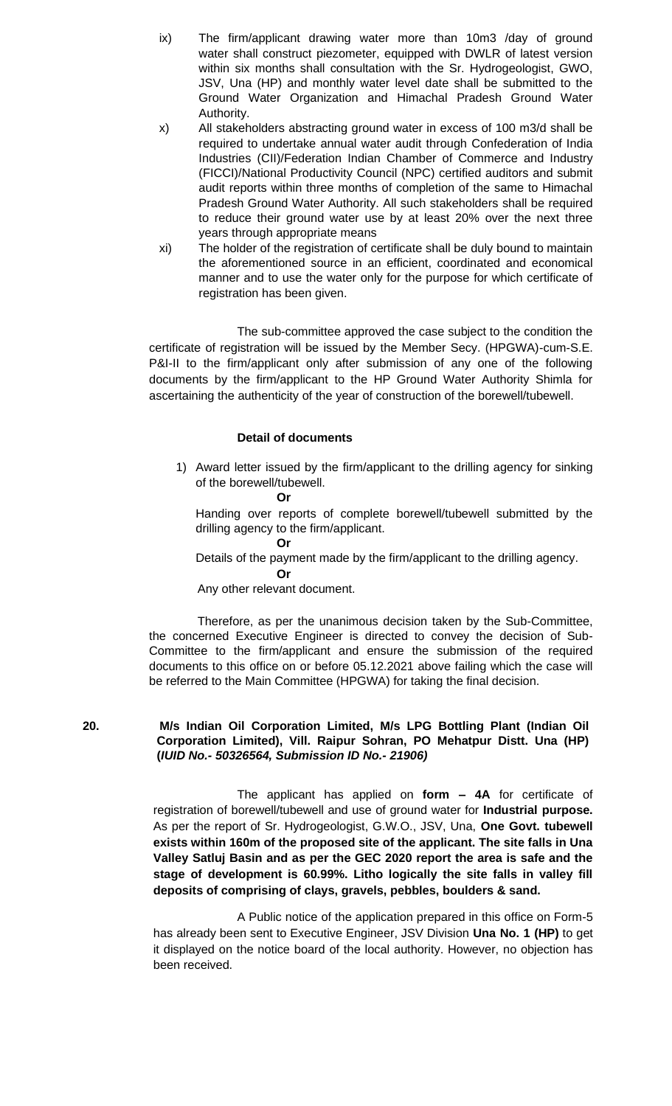- ix) The firm/applicant drawing water more than 10m3 /day of ground water shall construct piezometer, equipped with DWLR of latest version within six months shall consultation with the Sr. Hydrogeologist, GWO, JSV, Una (HP) and monthly water level date shall be submitted to the Ground Water Organization and Himachal Pradesh Ground Water Authority.
- x) All stakeholders abstracting ground water in excess of 100 m3/d shall be required to undertake annual water audit through Confederation of India Industries (CII)/Federation Indian Chamber of Commerce and Industry (FICCI)/National Productivity Council (NPC) certified auditors and submit audit reports within three months of completion of the same to Himachal Pradesh Ground Water Authority. All such stakeholders shall be required to reduce their ground water use by at least 20% over the next three years through appropriate means
- xi) The holder of the registration of certificate shall be duly bound to maintain the aforementioned source in an efficient, coordinated and economical manner and to use the water only for the purpose for which certificate of registration has been given.

The sub-committee approved the case subject to the condition the certificate of registration will be issued by the Member Secy. (HPGWA)-cum-S.E. P&I-II to the firm/applicant only after submission of any one of the following documents by the firm/applicant to the HP Ground Water Authority Shimla for ascertaining the authenticity of the year of construction of the borewell/tubewell.

### **Detail of documents**

1) Award letter issued by the firm/applicant to the drilling agency for sinking of the borewell/tubewell.

**Or**

Handing over reports of complete borewell/tubewell submitted by the drilling agency to the firm/applicant.

**Or**

Details of the payment made by the firm/applicant to the drilling agency.

#### **Or**

Any other relevant document.

Therefore, as per the unanimous decision taken by the Sub-Committee, the concerned Executive Engineer is directed to convey the decision of Sub-Committee to the firm/applicant and ensure the submission of the required documents to this office on or before 05.12.2021 above failing which the case will be referred to the Main Committee (HPGWA) for taking the final decision.

### **20. M/s Indian Oil Corporation Limited, M/s LPG Bottling Plant (Indian Oil Corporation Limited), Vill. Raipur Sohran, PO Mehatpur Distt. Una (HP) (***IUID No.- 50326564, Submission ID No.- 21906)*

The applicant has applied on **form – 4A** for certificate of registration of borewell/tubewell and use of ground water for **Industrial purpose.** As per the report of Sr. Hydrogeologist, G.W.O., JSV, Una, **One Govt. tubewell exists within 160m of the proposed site of the applicant. The site falls in Una Valley Satluj Basin and as per the GEC 2020 report the area is safe and the stage of development is 60.99%. Litho logically the site falls in valley fill deposits of comprising of clays, gravels, pebbles, boulders & sand.**

A Public notice of the application prepared in this office on Form-5 has already been sent to Executive Engineer, JSV Division **Una No. 1 (HP)** to get it displayed on the notice board of the local authority. However, no objection has been received.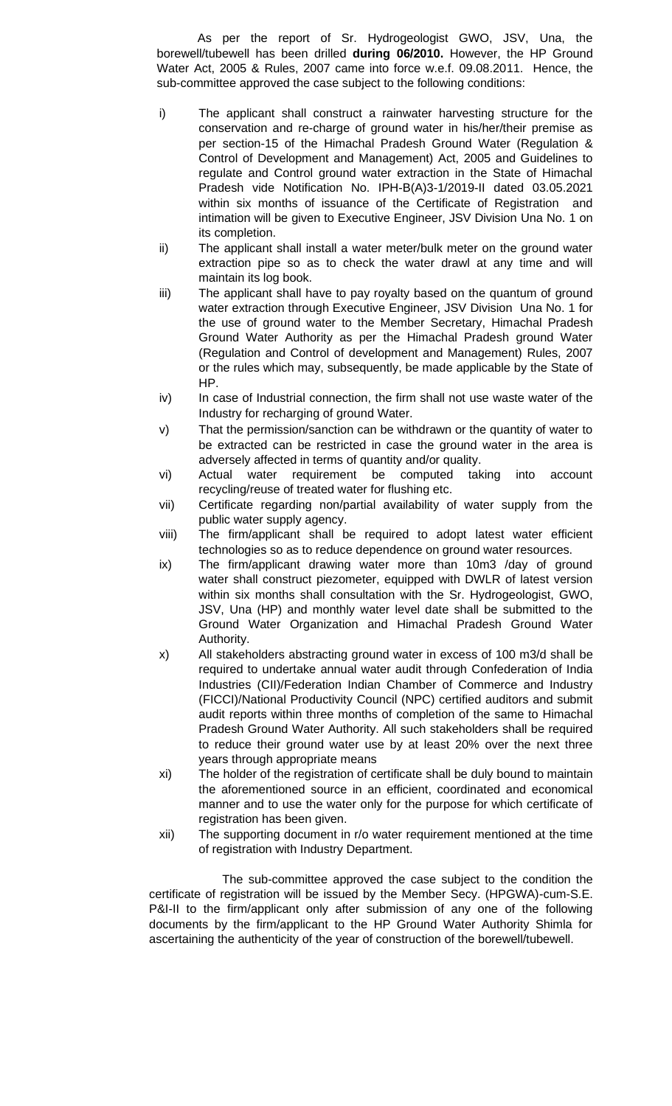As per the report of Sr. Hydrogeologist GWO, JSV, Una, the borewell/tubewell has been drilled **during 06/2010.** However, the HP Ground Water Act, 2005 & Rules, 2007 came into force w.e.f. 09.08.2011. Hence, the sub-committee approved the case subject to the following conditions:

- i) The applicant shall construct a rainwater harvesting structure for the conservation and re-charge of ground water in his/her/their premise as per section-15 of the Himachal Pradesh Ground Water (Regulation & Control of Development and Management) Act, 2005 and Guidelines to regulate and Control ground water extraction in the State of Himachal Pradesh vide Notification No. IPH-B(A)3-1/2019-II dated 03.05.2021 within six months of issuance of the Certificate of Registration and intimation will be given to Executive Engineer, JSV Division Una No. 1 on its completion.
- ii) The applicant shall install a water meter/bulk meter on the ground water extraction pipe so as to check the water drawl at any time and will maintain its log book.
- iii) The applicant shall have to pay royalty based on the quantum of ground water extraction through Executive Engineer, JSV Division Una No. 1 for the use of ground water to the Member Secretary, Himachal Pradesh Ground Water Authority as per the Himachal Pradesh ground Water (Regulation and Control of development and Management) Rules, 2007 or the rules which may, subsequently, be made applicable by the State of HP.
- iv) In case of Industrial connection, the firm shall not use waste water of the Industry for recharging of ground Water.
- v) That the permission/sanction can be withdrawn or the quantity of water to be extracted can be restricted in case the ground water in the area is adversely affected in terms of quantity and/or quality.
- vi) Actual water requirement be computed taking into account recycling/reuse of treated water for flushing etc.
- vii) Certificate regarding non/partial availability of water supply from the public water supply agency.
- viii) The firm/applicant shall be required to adopt latest water efficient technologies so as to reduce dependence on ground water resources.
- ix) The firm/applicant drawing water more than 10m3 /day of ground water shall construct piezometer, equipped with DWLR of latest version within six months shall consultation with the Sr. Hydrogeologist, GWO, JSV, Una (HP) and monthly water level date shall be submitted to the Ground Water Organization and Himachal Pradesh Ground Water Authority.
- x) All stakeholders abstracting ground water in excess of 100 m3/d shall be required to undertake annual water audit through Confederation of India Industries (CII)/Federation Indian Chamber of Commerce and Industry (FICCI)/National Productivity Council (NPC) certified auditors and submit audit reports within three months of completion of the same to Himachal Pradesh Ground Water Authority. All such stakeholders shall be required to reduce their ground water use by at least 20% over the next three years through appropriate means
- xi) The holder of the registration of certificate shall be duly bound to maintain the aforementioned source in an efficient, coordinated and economical manner and to use the water only for the purpose for which certificate of registration has been given.
- xii) The supporting document in r/o water requirement mentioned at the time of registration with Industry Department.

The sub-committee approved the case subject to the condition the certificate of registration will be issued by the Member Secy. (HPGWA)-cum-S.E. P&I-II to the firm/applicant only after submission of any one of the following documents by the firm/applicant to the HP Ground Water Authority Shimla for ascertaining the authenticity of the year of construction of the borewell/tubewell.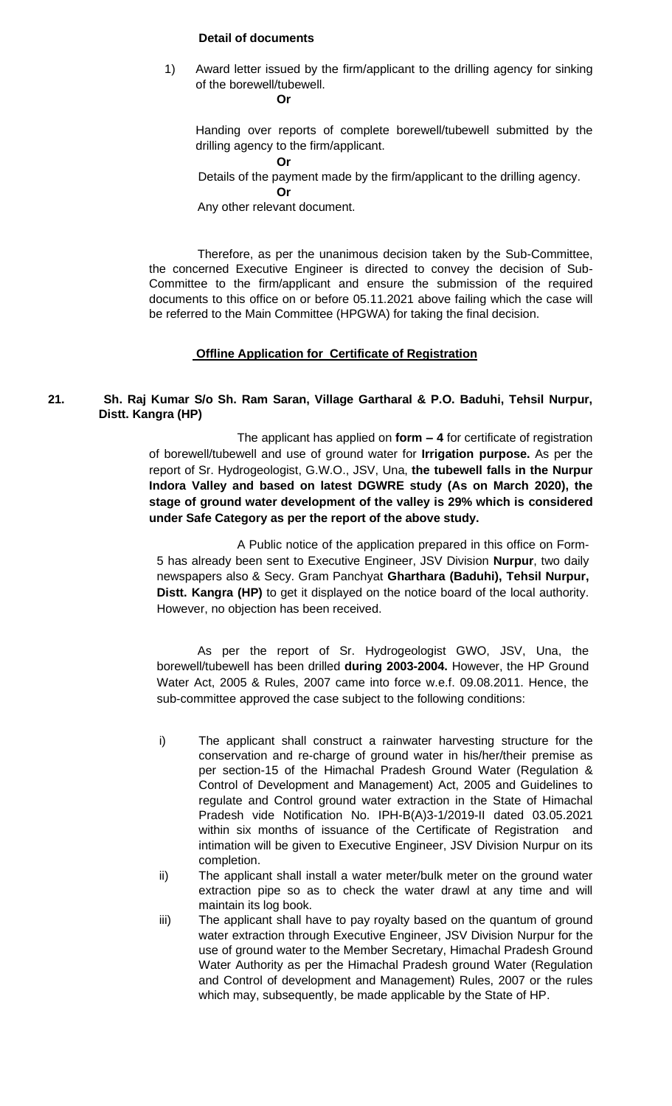### **Detail of documents**

1) Award letter issued by the firm/applicant to the drilling agency for sinking of the borewell/tubewell.

**Or**

Handing over reports of complete borewell/tubewell submitted by the drilling agency to the firm/applicant.

**Or**

Details of the payment made by the firm/applicant to the drilling agency.

**Or**

Any other relevant document.

Therefore, as per the unanimous decision taken by the Sub-Committee, the concerned Executive Engineer is directed to convey the decision of Sub-Committee to the firm/applicant and ensure the submission of the required documents to this office on or before 05.11.2021 above failing which the case will be referred to the Main Committee (HPGWA) for taking the final decision.

## **Offline Application for Certificate of Registration**

### **21. Sh. Raj Kumar S/o Sh. Ram Saran, Village Gartharal & P.O. Baduhi, Tehsil Nurpur, Distt. Kangra (HP)**

The applicant has applied on **form – 4** for certificate of registration of borewell/tubewell and use of ground water for **Irrigation purpose.** As per the report of Sr. Hydrogeologist, G.W.O., JSV, Una, **the tubewell falls in the Nurpur Indora Valley and based on latest DGWRE study (As on March 2020), the stage of ground water development of the valley is 29% which is considered under Safe Category as per the report of the above study.**

A Public notice of the application prepared in this office on Form-5 has already been sent to Executive Engineer, JSV Division **Nurpur**, two daily newspapers also & Secy. Gram Panchyat **Gharthara (Baduhi), Tehsil Nurpur, Distt. Kangra (HP)** to get it displayed on the notice board of the local authority. However, no objection has been received.

As per the report of Sr. Hydrogeologist GWO, JSV, Una, the borewell/tubewell has been drilled **during 2003-2004.** However, the HP Ground Water Act, 2005 & Rules, 2007 came into force w.e.f. 09.08.2011. Hence, the sub-committee approved the case subject to the following conditions:

- i) The applicant shall construct a rainwater harvesting structure for the conservation and re-charge of ground water in his/her/their premise as per section-15 of the Himachal Pradesh Ground Water (Regulation & Control of Development and Management) Act, 2005 and Guidelines to regulate and Control ground water extraction in the State of Himachal Pradesh vide Notification No. IPH-B(A)3-1/2019-II dated 03.05.2021 within six months of issuance of the Certificate of Registration and intimation will be given to Executive Engineer, JSV Division Nurpur on its completion.
- ii) The applicant shall install a water meter/bulk meter on the ground water extraction pipe so as to check the water drawl at any time and will maintain its log book.
- iii) The applicant shall have to pay royalty based on the quantum of ground water extraction through Executive Engineer, JSV Division Nurpur for the use of ground water to the Member Secretary, Himachal Pradesh Ground Water Authority as per the Himachal Pradesh ground Water (Regulation and Control of development and Management) Rules, 2007 or the rules which may, subsequently, be made applicable by the State of HP.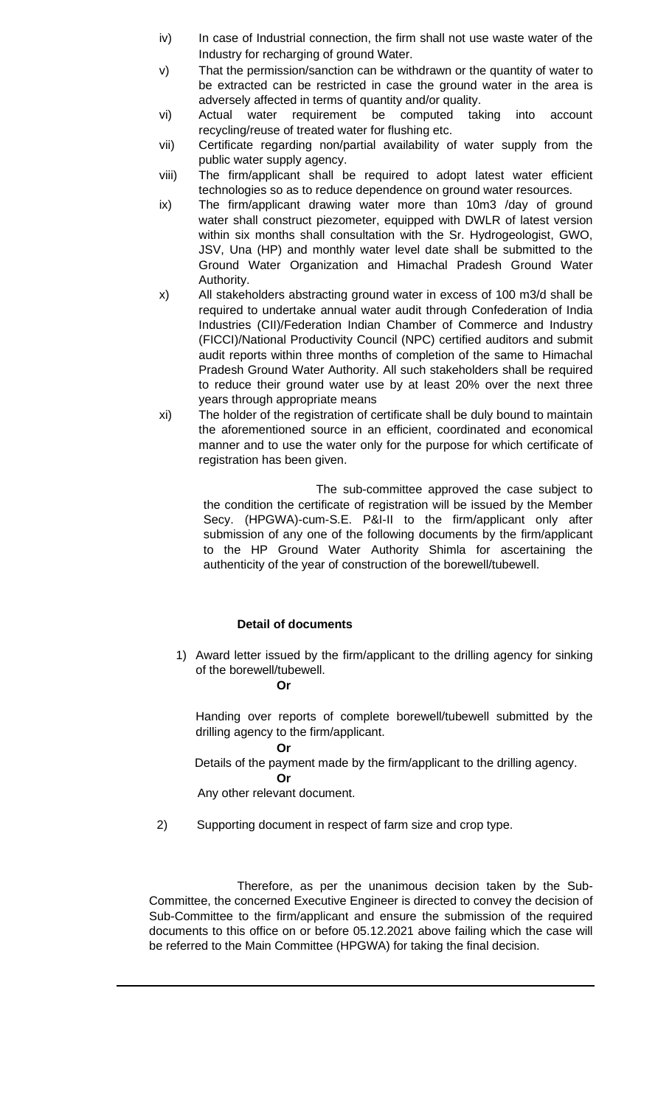- iv) In case of Industrial connection, the firm shall not use waste water of the Industry for recharging of ground Water.
- v) That the permission/sanction can be withdrawn or the quantity of water to be extracted can be restricted in case the ground water in the area is adversely affected in terms of quantity and/or quality.
- vi) Actual water requirement be computed taking into account recycling/reuse of treated water for flushing etc.
- vii) Certificate regarding non/partial availability of water supply from the public water supply agency.
- viii) The firm/applicant shall be required to adopt latest water efficient technologies so as to reduce dependence on ground water resources.
- ix) The firm/applicant drawing water more than 10m3 /day of ground water shall construct piezometer, equipped with DWLR of latest version within six months shall consultation with the Sr. Hydrogeologist, GWO, JSV, Una (HP) and monthly water level date shall be submitted to the Ground Water Organization and Himachal Pradesh Ground Water Authority.
- x) All stakeholders abstracting ground water in excess of 100 m3/d shall be required to undertake annual water audit through Confederation of India Industries (CII)/Federation Indian Chamber of Commerce and Industry (FICCI)/National Productivity Council (NPC) certified auditors and submit audit reports within three months of completion of the same to Himachal Pradesh Ground Water Authority. All such stakeholders shall be required to reduce their ground water use by at least 20% over the next three years through appropriate means
- xi) The holder of the registration of certificate shall be duly bound to maintain the aforementioned source in an efficient, coordinated and economical manner and to use the water only for the purpose for which certificate of registration has been given.

The sub-committee approved the case subject to the condition the certificate of registration will be issued by the Member Secy. (HPGWA)-cum-S.E. P&I-II to the firm/applicant only after submission of any one of the following documents by the firm/applicant to the HP Ground Water Authority Shimla for ascertaining the authenticity of the year of construction of the borewell/tubewell.

### **Detail of documents**

1) Award letter issued by the firm/applicant to the drilling agency for sinking of the borewell/tubewell.

**Or**

**Or**

Handing over reports of complete borewell/tubewell submitted by the drilling agency to the firm/applicant.

Details of the payment made by the firm/applicant to the drilling agency.

**Or** Any other relevant document.

2) Supporting document in respect of farm size and crop type.

Therefore, as per the unanimous decision taken by the Sub-Committee, the concerned Executive Engineer is directed to convey the decision of Sub-Committee to the firm/applicant and ensure the submission of the required documents to this office on or before 05.12.2021 above failing which the case will be referred to the Main Committee (HPGWA) for taking the final decision.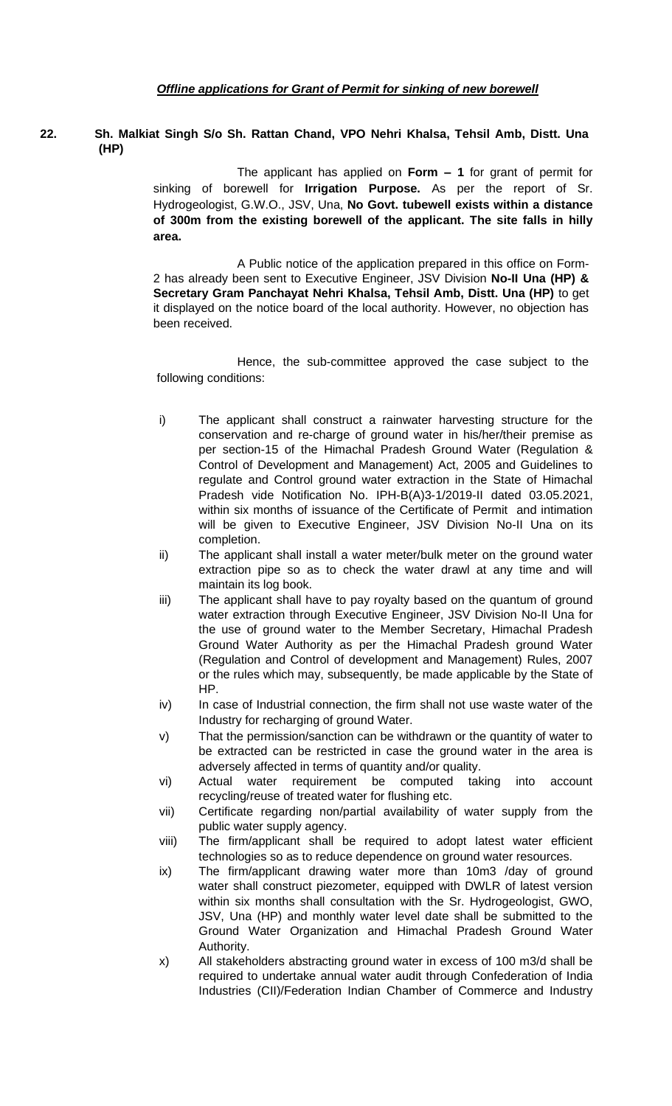**22. Sh. Malkiat Singh S/o Sh. Rattan Chand, VPO Nehri Khalsa, Tehsil Amb, Distt. Una (HP)**

> The applicant has applied on **Form – 1** for grant of permit for sinking of borewell for **Irrigation Purpose.** As per the report of Sr. Hydrogeologist, G.W.O., JSV, Una, **No Govt. tubewell exists within a distance of 300m from the existing borewell of the applicant. The site falls in hilly area.**

> A Public notice of the application prepared in this office on Form-2 has already been sent to Executive Engineer, JSV Division **No-II Una (HP) & Secretary Gram Panchayat Nehri Khalsa, Tehsil Amb, Distt. Una (HP)** to get it displayed on the notice board of the local authority. However, no objection has been received.

> Hence, the sub-committee approved the case subject to the following conditions:

- i) The applicant shall construct a rainwater harvesting structure for the conservation and re-charge of ground water in his/her/their premise as per section-15 of the Himachal Pradesh Ground Water (Regulation & Control of Development and Management) Act, 2005 and Guidelines to regulate and Control ground water extraction in the State of Himachal Pradesh vide Notification No. IPH-B(A)3-1/2019-II dated 03.05.2021, within six months of issuance of the Certificate of Permit and intimation will be given to Executive Engineer, JSV Division No-II Una on its completion.
- ii) The applicant shall install a water meter/bulk meter on the ground water extraction pipe so as to check the water drawl at any time and will maintain its log book.
- iii) The applicant shall have to pay royalty based on the quantum of ground water extraction through Executive Engineer, JSV Division No-II Una for the use of ground water to the Member Secretary, Himachal Pradesh Ground Water Authority as per the Himachal Pradesh ground Water (Regulation and Control of development and Management) Rules, 2007 or the rules which may, subsequently, be made applicable by the State of HP.
- iv) In case of Industrial connection, the firm shall not use waste water of the Industry for recharging of ground Water.
- v) That the permission/sanction can be withdrawn or the quantity of water to be extracted can be restricted in case the ground water in the area is adversely affected in terms of quantity and/or quality.
- vi) Actual water requirement be computed taking into account recycling/reuse of treated water for flushing etc.
- vii) Certificate regarding non/partial availability of water supply from the public water supply agency.
- viii) The firm/applicant shall be required to adopt latest water efficient technologies so as to reduce dependence on ground water resources.
- ix) The firm/applicant drawing water more than 10m3 /day of ground water shall construct piezometer, equipped with DWLR of latest version within six months shall consultation with the Sr. Hydrogeologist, GWO, JSV, Una (HP) and monthly water level date shall be submitted to the Ground Water Organization and Himachal Pradesh Ground Water Authority.
- x) All stakeholders abstracting ground water in excess of 100 m3/d shall be required to undertake annual water audit through Confederation of India Industries (CII)/Federation Indian Chamber of Commerce and Industry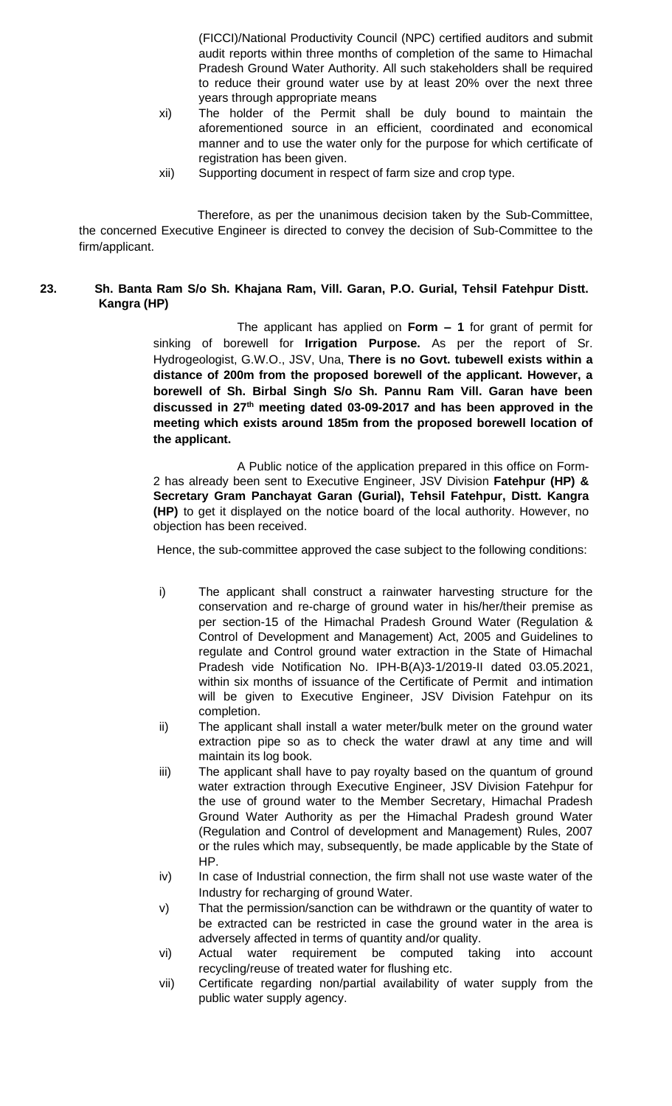(FICCI)/National Productivity Council (NPC) certified auditors and submit audit reports within three months of completion of the same to Himachal Pradesh Ground Water Authority. All such stakeholders shall be required to reduce their ground water use by at least 20% over the next three years through appropriate means

- xi) The holder of the Permit shall be duly bound to maintain the aforementioned source in an efficient, coordinated and economical manner and to use the water only for the purpose for which certificate of registration has been given.
- xii) Supporting document in respect of farm size and crop type.

Therefore, as per the unanimous decision taken by the Sub-Committee, the concerned Executive Engineer is directed to convey the decision of Sub-Committee to the firm/applicant.

### **23. Sh. Banta Ram S/o Sh. Khajana Ram, Vill. Garan, P.O. Gurial, Tehsil Fatehpur Distt. Kangra (HP)**

The applicant has applied on **Form – 1** for grant of permit for sinking of borewell for **Irrigation Purpose.** As per the report of Sr. Hydrogeologist, G.W.O., JSV, Una, **There is no Govt. tubewell exists within a distance of 200m from the proposed borewell of the applicant. However, a borewell of Sh. Birbal Singh S/o Sh. Pannu Ram Vill. Garan have been discussed in 27th meeting dated 03-09-2017 and has been approved in the meeting which exists around 185m from the proposed borewell location of the applicant.** 

A Public notice of the application prepared in this office on Form-2 has already been sent to Executive Engineer, JSV Division **Fatehpur (HP) & Secretary Gram Panchayat Garan (Gurial), Tehsil Fatehpur, Distt. Kangra (HP)** to get it displayed on the notice board of the local authority. However, no objection has been received.

Hence, the sub-committee approved the case subject to the following conditions:

- i) The applicant shall construct a rainwater harvesting structure for the conservation and re-charge of ground water in his/her/their premise as per section-15 of the Himachal Pradesh Ground Water (Regulation & Control of Development and Management) Act, 2005 and Guidelines to regulate and Control ground water extraction in the State of Himachal Pradesh vide Notification No. IPH-B(A)3-1/2019-II dated 03.05.2021, within six months of issuance of the Certificate of Permit and intimation will be given to Executive Engineer, JSV Division Fatehpur on its completion.
- ii) The applicant shall install a water meter/bulk meter on the ground water extraction pipe so as to check the water drawl at any time and will maintain its log book.
- iii) The applicant shall have to pay royalty based on the quantum of ground water extraction through Executive Engineer, JSV Division Fatehpur for the use of ground water to the Member Secretary, Himachal Pradesh Ground Water Authority as per the Himachal Pradesh ground Water (Regulation and Control of development and Management) Rules, 2007 or the rules which may, subsequently, be made applicable by the State of HP.
- iv) In case of Industrial connection, the firm shall not use waste water of the Industry for recharging of ground Water.
- v) That the permission/sanction can be withdrawn or the quantity of water to be extracted can be restricted in case the ground water in the area is adversely affected in terms of quantity and/or quality.
- vi) Actual water requirement be computed taking into account recycling/reuse of treated water for flushing etc.
- vii) Certificate regarding non/partial availability of water supply from the public water supply agency.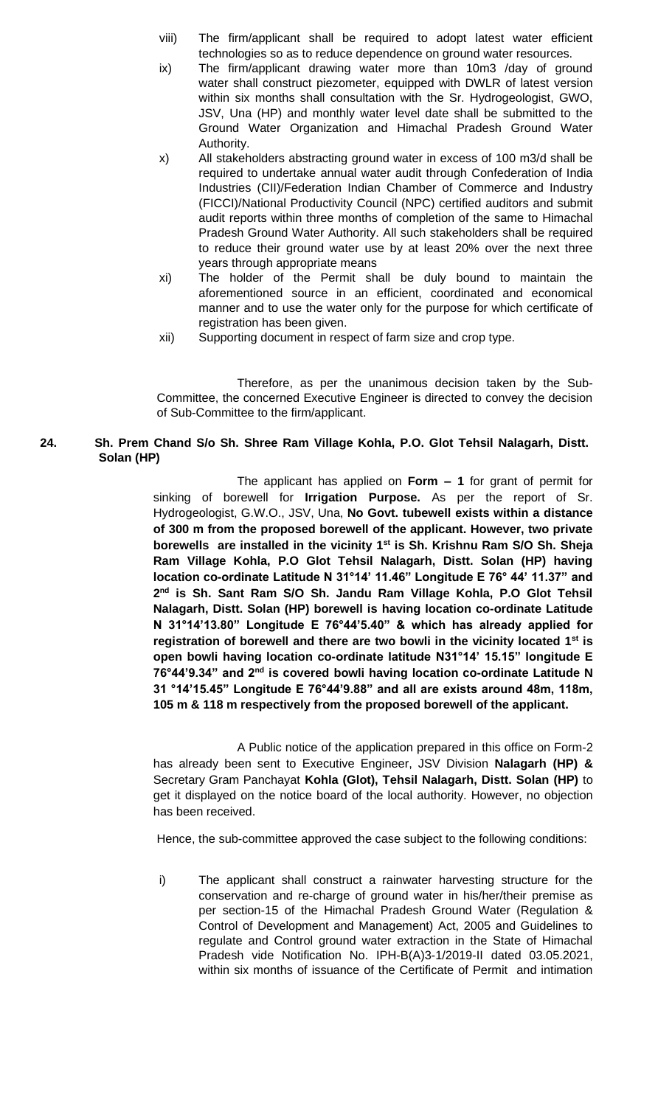- viii) The firm/applicant shall be required to adopt latest water efficient technologies so as to reduce dependence on ground water resources.
- ix) The firm/applicant drawing water more than 10m3 /day of ground water shall construct piezometer, equipped with DWLR of latest version within six months shall consultation with the Sr. Hydrogeologist, GWO, JSV, Una (HP) and monthly water level date shall be submitted to the Ground Water Organization and Himachal Pradesh Ground Water Authority.
- x) All stakeholders abstracting ground water in excess of 100 m3/d shall be required to undertake annual water audit through Confederation of India Industries (CII)/Federation Indian Chamber of Commerce and Industry (FICCI)/National Productivity Council (NPC) certified auditors and submit audit reports within three months of completion of the same to Himachal Pradesh Ground Water Authority. All such stakeholders shall be required to reduce their ground water use by at least 20% over the next three years through appropriate means
- xi) The holder of the Permit shall be duly bound to maintain the aforementioned source in an efficient, coordinated and economical manner and to use the water only for the purpose for which certificate of registration has been given.
- xii) Supporting document in respect of farm size and crop type.

Therefore, as per the unanimous decision taken by the Sub-Committee, the concerned Executive Engineer is directed to convey the decision of Sub-Committee to the firm/applicant.

### **24. Sh. Prem Chand S/o Sh. Shree Ram Village Kohla, P.O. Glot Tehsil Nalagarh, Distt. Solan (HP)**

The applicant has applied on **Form – 1** for grant of permit for sinking of borewell for **Irrigation Purpose.** As per the report of Sr. Hydrogeologist, G.W.O., JSV, Una, **No Govt. tubewell exists within a distance of 300 m from the proposed borewell of the applicant. However, two private borewells are installed in the vicinity 1st is Sh. Krishnu Ram S/O Sh. Sheja Ram Village Kohla, P.O Glot Tehsil Nalagarh, Distt. Solan (HP) having location co-ordinate Latitude N 31°14' 11.46" Longitude E 76° 44' 11.37" and 2 nd is Sh. Sant Ram S/O Sh. Jandu Ram Village Kohla, P.O Glot Tehsil Nalagarh, Distt. Solan (HP) borewell is having location co-ordinate Latitude N 31°14'13.80" Longitude E 76°44'5.40" & which has already applied for registration of borewell and there are two bowli in the vicinity located 1st is open bowli having location co-ordinate latitude N31°14' 15.15" longitude E 76°44'9.34" and 2nd is covered bowli having location co-ordinate Latitude N 31 °14'15.45" Longitude E 76°44'9.88" and all are exists around 48m, 118m, 105 m & 118 m respectively from the proposed borewell of the applicant.**

A Public notice of the application prepared in this office on Form-2 has already been sent to Executive Engineer, JSV Division **Nalagarh (HP) &**  Secretary Gram Panchayat **Kohla (Glot), Tehsil Nalagarh, Distt. Solan (HP)** to get it displayed on the notice board of the local authority. However, no objection has been received.

Hence, the sub-committee approved the case subject to the following conditions:

i) The applicant shall construct a rainwater harvesting structure for the conservation and re-charge of ground water in his/her/their premise as per section-15 of the Himachal Pradesh Ground Water (Regulation & Control of Development and Management) Act, 2005 and Guidelines to regulate and Control ground water extraction in the State of Himachal Pradesh vide Notification No. IPH-B(A)3-1/2019-II dated 03.05.2021, within six months of issuance of the Certificate of Permit and intimation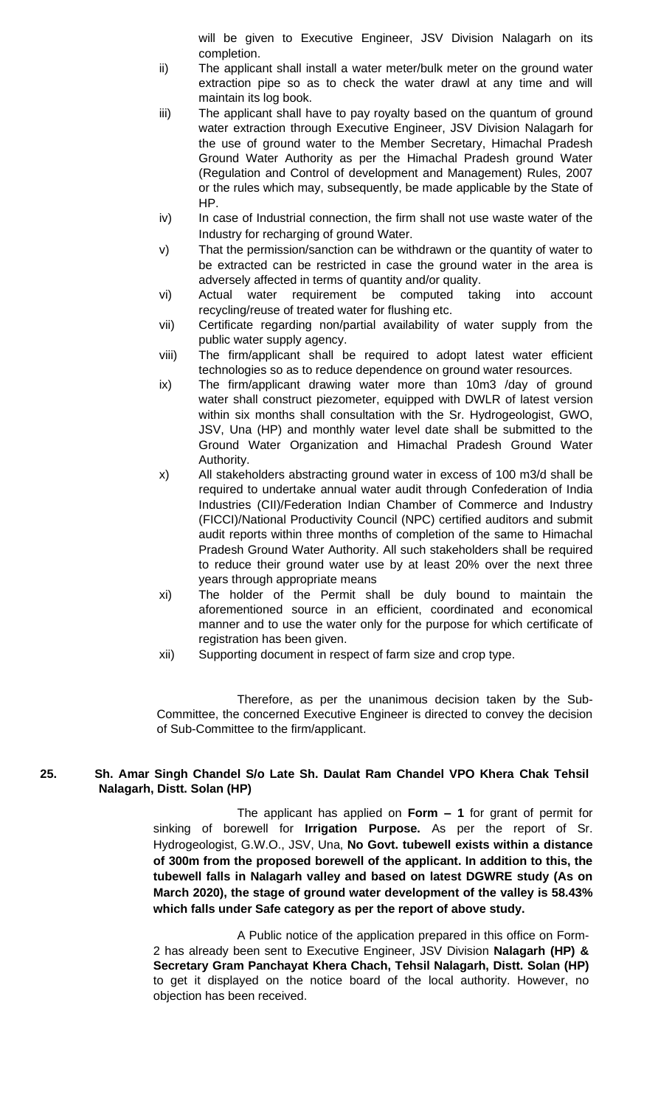will be given to Executive Engineer, JSV Division Nalagarh on its completion.

- ii) The applicant shall install a water meter/bulk meter on the ground water extraction pipe so as to check the water drawl at any time and will maintain its log book.
- iii) The applicant shall have to pay royalty based on the quantum of ground water extraction through Executive Engineer, JSV Division Nalagarh for the use of ground water to the Member Secretary, Himachal Pradesh Ground Water Authority as per the Himachal Pradesh ground Water (Regulation and Control of development and Management) Rules, 2007 or the rules which may, subsequently, be made applicable by the State of HP.
- iv) In case of Industrial connection, the firm shall not use waste water of the Industry for recharging of ground Water.
- v) That the permission/sanction can be withdrawn or the quantity of water to be extracted can be restricted in case the ground water in the area is adversely affected in terms of quantity and/or quality.
- vi) Actual water requirement be computed taking into account recycling/reuse of treated water for flushing etc.
- vii) Certificate regarding non/partial availability of water supply from the public water supply agency.
- viii) The firm/applicant shall be required to adopt latest water efficient technologies so as to reduce dependence on ground water resources.
- ix) The firm/applicant drawing water more than 10m3 /day of ground water shall construct piezometer, equipped with DWLR of latest version within six months shall consultation with the Sr. Hydrogeologist, GWO, JSV, Una (HP) and monthly water level date shall be submitted to the Ground Water Organization and Himachal Pradesh Ground Water Authority.
- x) All stakeholders abstracting ground water in excess of 100 m3/d shall be required to undertake annual water audit through Confederation of India Industries (CII)/Federation Indian Chamber of Commerce and Industry (FICCI)/National Productivity Council (NPC) certified auditors and submit audit reports within three months of completion of the same to Himachal Pradesh Ground Water Authority. All such stakeholders shall be required to reduce their ground water use by at least 20% over the next three years through appropriate means
- xi) The holder of the Permit shall be duly bound to maintain the aforementioned source in an efficient, coordinated and economical manner and to use the water only for the purpose for which certificate of registration has been given.
- xii) Supporting document in respect of farm size and crop type.

Therefore, as per the unanimous decision taken by the Sub-Committee, the concerned Executive Engineer is directed to convey the decision of Sub-Committee to the firm/applicant.

### **25. Sh. Amar Singh Chandel S/o Late Sh. Daulat Ram Chandel VPO Khera Chak Tehsil Nalagarh, Distt. Solan (HP)**

The applicant has applied on **Form – 1** for grant of permit for sinking of borewell for **Irrigation Purpose.** As per the report of Sr. Hydrogeologist, G.W.O., JSV, Una, **No Govt. tubewell exists within a distance of 300m from the proposed borewell of the applicant. In addition to this, the tubewell falls in Nalagarh valley and based on latest DGWRE study (As on March 2020), the stage of ground water development of the valley is 58.43% which falls under Safe category as per the report of above study.**

A Public notice of the application prepared in this office on Form-2 has already been sent to Executive Engineer, JSV Division **Nalagarh (HP) & Secretary Gram Panchayat Khera Chach, Tehsil Nalagarh, Distt. Solan (HP)**  to get it displayed on the notice board of the local authority. However, no objection has been received.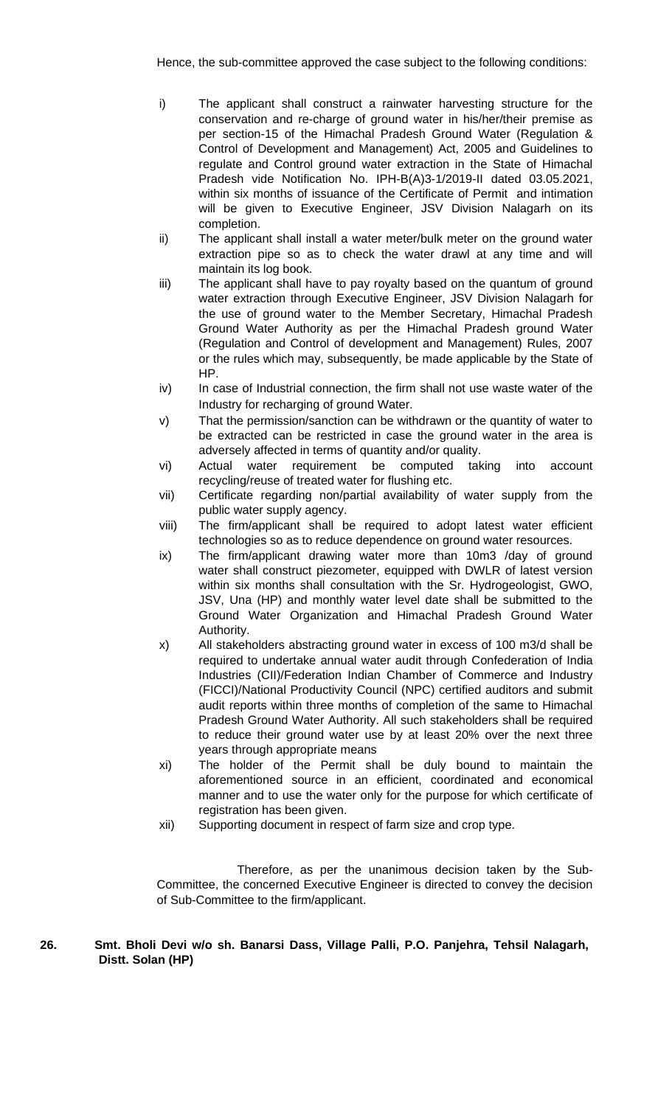Hence, the sub-committee approved the case subject to the following conditions:

- i) The applicant shall construct a rainwater harvesting structure for the conservation and re-charge of ground water in his/her/their premise as per section-15 of the Himachal Pradesh Ground Water (Regulation & Control of Development and Management) Act, 2005 and Guidelines to regulate and Control ground water extraction in the State of Himachal Pradesh vide Notification No. IPH-B(A)3-1/2019-II dated 03.05.2021, within six months of issuance of the Certificate of Permit and intimation will be given to Executive Engineer, JSV Division Nalagarh on its completion.
- ii) The applicant shall install a water meter/bulk meter on the ground water extraction pipe so as to check the water drawl at any time and will maintain its log book.
- iii) The applicant shall have to pay royalty based on the quantum of ground water extraction through Executive Engineer, JSV Division Nalagarh for the use of ground water to the Member Secretary, Himachal Pradesh Ground Water Authority as per the Himachal Pradesh ground Water (Regulation and Control of development and Management) Rules, 2007 or the rules which may, subsequently, be made applicable by the State of HP.
- iv) In case of Industrial connection, the firm shall not use waste water of the Industry for recharging of ground Water.
- v) That the permission/sanction can be withdrawn or the quantity of water to be extracted can be restricted in case the ground water in the area is adversely affected in terms of quantity and/or quality.
- vi) Actual water requirement be computed taking into account recycling/reuse of treated water for flushing etc.
- vii) Certificate regarding non/partial availability of water supply from the public water supply agency.
- viii) The firm/applicant shall be required to adopt latest water efficient technologies so as to reduce dependence on ground water resources.
- ix) The firm/applicant drawing water more than 10m3 /day of ground water shall construct piezometer, equipped with DWLR of latest version within six months shall consultation with the Sr. Hydrogeologist, GWO, JSV, Una (HP) and monthly water level date shall be submitted to the Ground Water Organization and Himachal Pradesh Ground Water Authority.
- x) All stakeholders abstracting ground water in excess of 100 m3/d shall be required to undertake annual water audit through Confederation of India Industries (CII)/Federation Indian Chamber of Commerce and Industry (FICCI)/National Productivity Council (NPC) certified auditors and submit audit reports within three months of completion of the same to Himachal Pradesh Ground Water Authority. All such stakeholders shall be required to reduce their ground water use by at least 20% over the next three years through appropriate means
- xi) The holder of the Permit shall be duly bound to maintain the aforementioned source in an efficient, coordinated and economical manner and to use the water only for the purpose for which certificate of registration has been given.
- xii) Supporting document in respect of farm size and crop type.

Therefore, as per the unanimous decision taken by the Sub-Committee, the concerned Executive Engineer is directed to convey the decision of Sub-Committee to the firm/applicant.

### **26. Smt. Bholi Devi w/o sh. Banarsi Dass, Village Palli, P.O. Panjehra, Tehsil Nalagarh, Distt. Solan (HP)**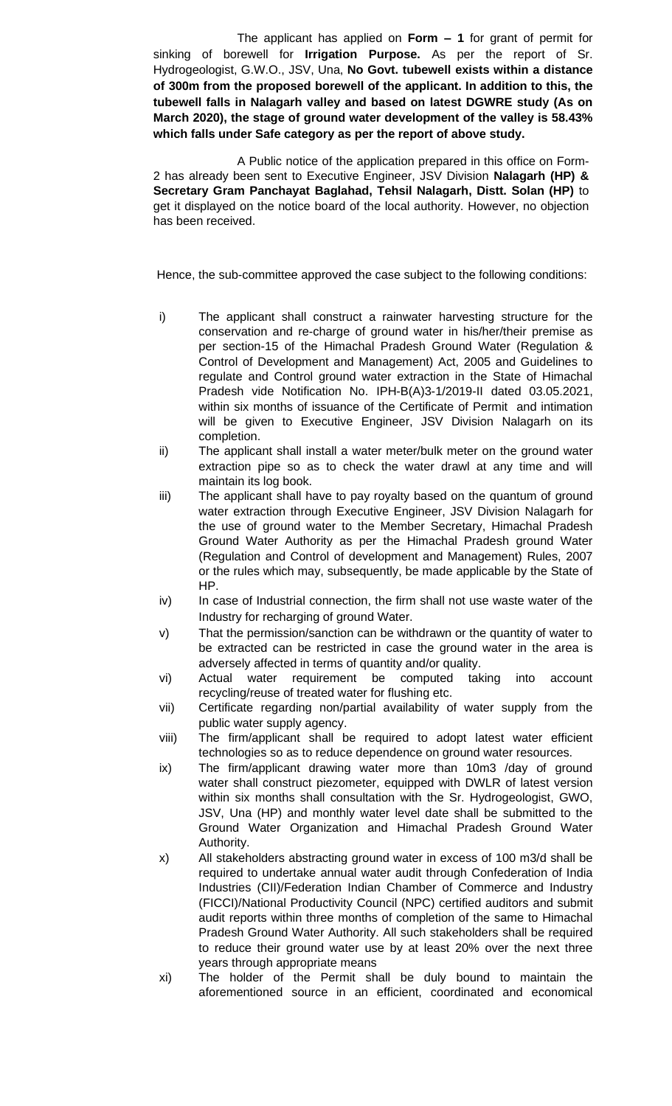The applicant has applied on **Form – 1** for grant of permit for sinking of borewell for **Irrigation Purpose.** As per the report of Sr. Hydrogeologist, G.W.O., JSV, Una, **No Govt. tubewell exists within a distance of 300m from the proposed borewell of the applicant. In addition to this, the tubewell falls in Nalagarh valley and based on latest DGWRE study (As on March 2020), the stage of ground water development of the valley is 58.43% which falls under Safe category as per the report of above study.**

A Public notice of the application prepared in this office on Form-2 has already been sent to Executive Engineer, JSV Division **Nalagarh (HP) & Secretary Gram Panchayat Baglahad, Tehsil Nalagarh, Distt. Solan (HP)** to get it displayed on the notice board of the local authority. However, no objection has been received.

- i) The applicant shall construct a rainwater harvesting structure for the conservation and re-charge of ground water in his/her/their premise as per section-15 of the Himachal Pradesh Ground Water (Regulation & Control of Development and Management) Act, 2005 and Guidelines to regulate and Control ground water extraction in the State of Himachal Pradesh vide Notification No. IPH-B(A)3-1/2019-II dated 03.05.2021, within six months of issuance of the Certificate of Permit and intimation will be given to Executive Engineer, JSV Division Nalagarh on its completion.
- ii) The applicant shall install a water meter/bulk meter on the ground water extraction pipe so as to check the water drawl at any time and will maintain its log book.
- iii) The applicant shall have to pay royalty based on the quantum of ground water extraction through Executive Engineer, JSV Division Nalagarh for the use of ground water to the Member Secretary, Himachal Pradesh Ground Water Authority as per the Himachal Pradesh ground Water (Regulation and Control of development and Management) Rules, 2007 or the rules which may, subsequently, be made applicable by the State of HP.
- iv) In case of Industrial connection, the firm shall not use waste water of the Industry for recharging of ground Water.
- v) That the permission/sanction can be withdrawn or the quantity of water to be extracted can be restricted in case the ground water in the area is adversely affected in terms of quantity and/or quality.
- vi) Actual water requirement be computed taking into account recycling/reuse of treated water for flushing etc.
- vii) Certificate regarding non/partial availability of water supply from the public water supply agency.
- viii) The firm/applicant shall be required to adopt latest water efficient technologies so as to reduce dependence on ground water resources.
- ix) The firm/applicant drawing water more than 10m3 /day of ground water shall construct piezometer, equipped with DWLR of latest version within six months shall consultation with the Sr. Hydrogeologist, GWO, JSV, Una (HP) and monthly water level date shall be submitted to the Ground Water Organization and Himachal Pradesh Ground Water Authority.
- x) All stakeholders abstracting ground water in excess of 100 m3/d shall be required to undertake annual water audit through Confederation of India Industries (CII)/Federation Indian Chamber of Commerce and Industry (FICCI)/National Productivity Council (NPC) certified auditors and submit audit reports within three months of completion of the same to Himachal Pradesh Ground Water Authority. All such stakeholders shall be required to reduce their ground water use by at least 20% over the next three years through appropriate means
- xi) The holder of the Permit shall be duly bound to maintain the aforementioned source in an efficient, coordinated and economical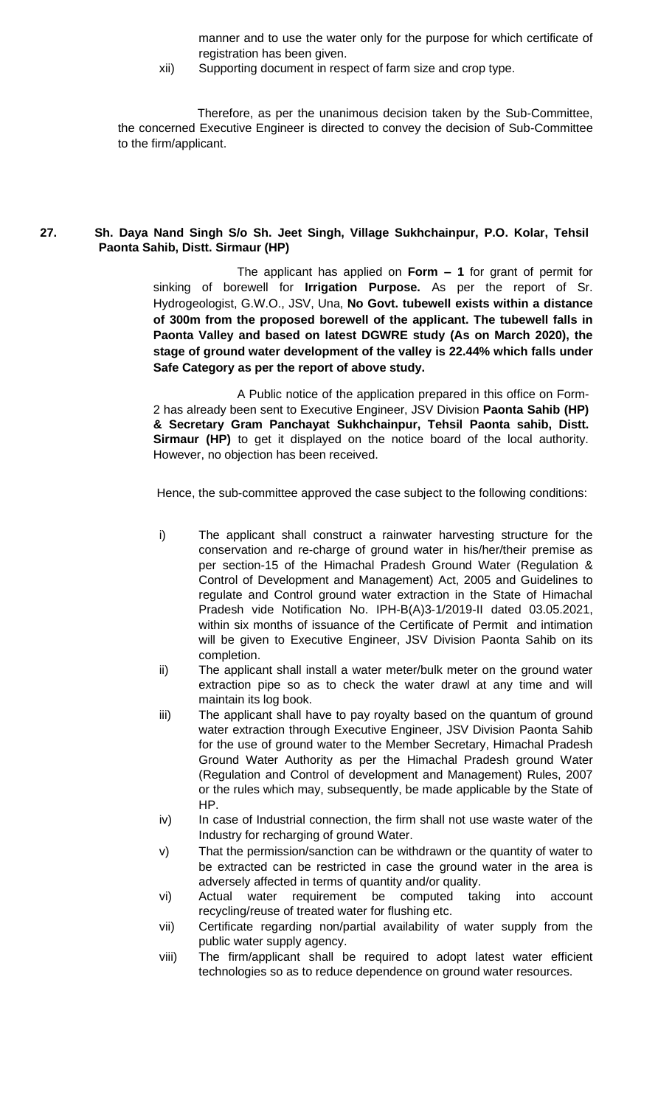manner and to use the water only for the purpose for which certificate of registration has been given.

xii) Supporting document in respect of farm size and crop type.

Therefore, as per the unanimous decision taken by the Sub-Committee, the concerned Executive Engineer is directed to convey the decision of Sub-Committee to the firm/applicant.

#### **27. Sh. Daya Nand Singh S/o Sh. Jeet Singh, Village Sukhchainpur, P.O. Kolar, Tehsil Paonta Sahib, Distt. Sirmaur (HP)**

The applicant has applied on **Form – 1** for grant of permit for sinking of borewell for **Irrigation Purpose.** As per the report of Sr. Hydrogeologist, G.W.O., JSV, Una, **No Govt. tubewell exists within a distance of 300m from the proposed borewell of the applicant. The tubewell falls in Paonta Valley and based on latest DGWRE study (As on March 2020), the stage of ground water development of the valley is 22.44% which falls under Safe Category as per the report of above study.**

A Public notice of the application prepared in this office on Form-2 has already been sent to Executive Engineer, JSV Division **Paonta Sahib (HP) & Secretary Gram Panchayat Sukhchainpur, Tehsil Paonta sahib, Distt. Sirmaur (HP)** to get it displayed on the notice board of the local authority. However, no objection has been received.

- i) The applicant shall construct a rainwater harvesting structure for the conservation and re-charge of ground water in his/her/their premise as per section-15 of the Himachal Pradesh Ground Water (Regulation & Control of Development and Management) Act, 2005 and Guidelines to regulate and Control ground water extraction in the State of Himachal Pradesh vide Notification No. IPH-B(A)3-1/2019-II dated 03.05.2021, within six months of issuance of the Certificate of Permit and intimation will be given to Executive Engineer, JSV Division Paonta Sahib on its completion.
- ii) The applicant shall install a water meter/bulk meter on the ground water extraction pipe so as to check the water drawl at any time and will maintain its log book.
- iii) The applicant shall have to pay royalty based on the quantum of ground water extraction through Executive Engineer, JSV Division Paonta Sahib for the use of ground water to the Member Secretary, Himachal Pradesh Ground Water Authority as per the Himachal Pradesh ground Water (Regulation and Control of development and Management) Rules, 2007 or the rules which may, subsequently, be made applicable by the State of HP.
- iv) In case of Industrial connection, the firm shall not use waste water of the Industry for recharging of ground Water.
- v) That the permission/sanction can be withdrawn or the quantity of water to be extracted can be restricted in case the ground water in the area is adversely affected in terms of quantity and/or quality.
- vi) Actual water requirement be computed taking into account recycling/reuse of treated water for flushing etc.
- vii) Certificate regarding non/partial availability of water supply from the public water supply agency.
- viii) The firm/applicant shall be required to adopt latest water efficient technologies so as to reduce dependence on ground water resources.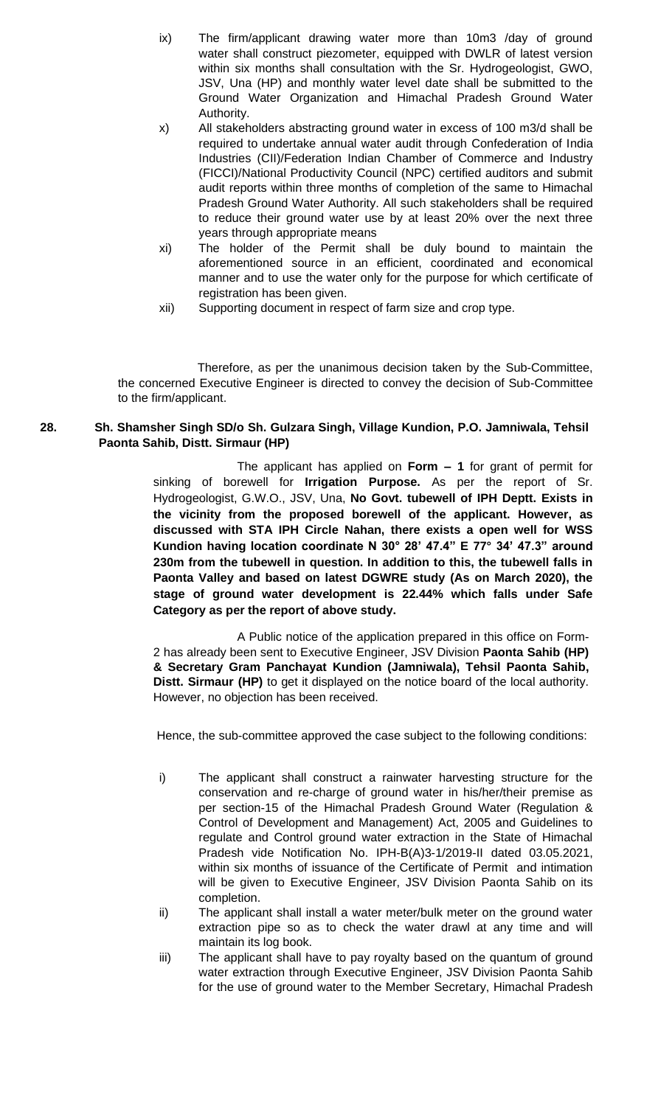- ix) The firm/applicant drawing water more than 10m3 /day of ground water shall construct piezometer, equipped with DWLR of latest version within six months shall consultation with the Sr. Hydrogeologist, GWO, JSV, Una (HP) and monthly water level date shall be submitted to the Ground Water Organization and Himachal Pradesh Ground Water Authority.
- x) All stakeholders abstracting ground water in excess of 100 m3/d shall be required to undertake annual water audit through Confederation of India Industries (CII)/Federation Indian Chamber of Commerce and Industry (FICCI)/National Productivity Council (NPC) certified auditors and submit audit reports within three months of completion of the same to Himachal Pradesh Ground Water Authority. All such stakeholders shall be required to reduce their ground water use by at least 20% over the next three years through appropriate means
- xi) The holder of the Permit shall be duly bound to maintain the aforementioned source in an efficient, coordinated and economical manner and to use the water only for the purpose for which certificate of registration has been given.
- xii) Supporting document in respect of farm size and crop type.

# **28. Sh. Shamsher Singh SD/o Sh. Gulzara Singh, Village Kundion, P.O. Jamniwala, Tehsil Paonta Sahib, Distt. Sirmaur (HP)**

The applicant has applied on **Form – 1** for grant of permit for sinking of borewell for **Irrigation Purpose.** As per the report of Sr. Hydrogeologist, G.W.O., JSV, Una, **No Govt. tubewell of IPH Deptt. Exists in the vicinity from the proposed borewell of the applicant. However, as discussed with STA IPH Circle Nahan, there exists a open well for WSS Kundion having location coordinate N 30° 28' 47.4" E 77° 34' 47.3" around 230m from the tubewell in question. In addition to this, the tubewell falls in Paonta Valley and based on latest DGWRE study (As on March 2020), the stage of ground water development is 22.44% which falls under Safe Category as per the report of above study.**

A Public notice of the application prepared in this office on Form-2 has already been sent to Executive Engineer, JSV Division **Paonta Sahib (HP) & Secretary Gram Panchayat Kundion (Jamniwala), Tehsil Paonta Sahib, Distt. Sirmaur (HP)** to get it displayed on the notice board of the local authority. However, no objection has been received.

- i) The applicant shall construct a rainwater harvesting structure for the conservation and re-charge of ground water in his/her/their premise as per section-15 of the Himachal Pradesh Ground Water (Regulation & Control of Development and Management) Act, 2005 and Guidelines to regulate and Control ground water extraction in the State of Himachal Pradesh vide Notification No. IPH-B(A)3-1/2019-II dated 03.05.2021, within six months of issuance of the Certificate of Permit and intimation will be given to Executive Engineer, JSV Division Paonta Sahib on its completion.
- ii) The applicant shall install a water meter/bulk meter on the ground water extraction pipe so as to check the water drawl at any time and will maintain its log book.
- iii) The applicant shall have to pay royalty based on the quantum of ground water extraction through Executive Engineer, JSV Division Paonta Sahib for the use of ground water to the Member Secretary, Himachal Pradesh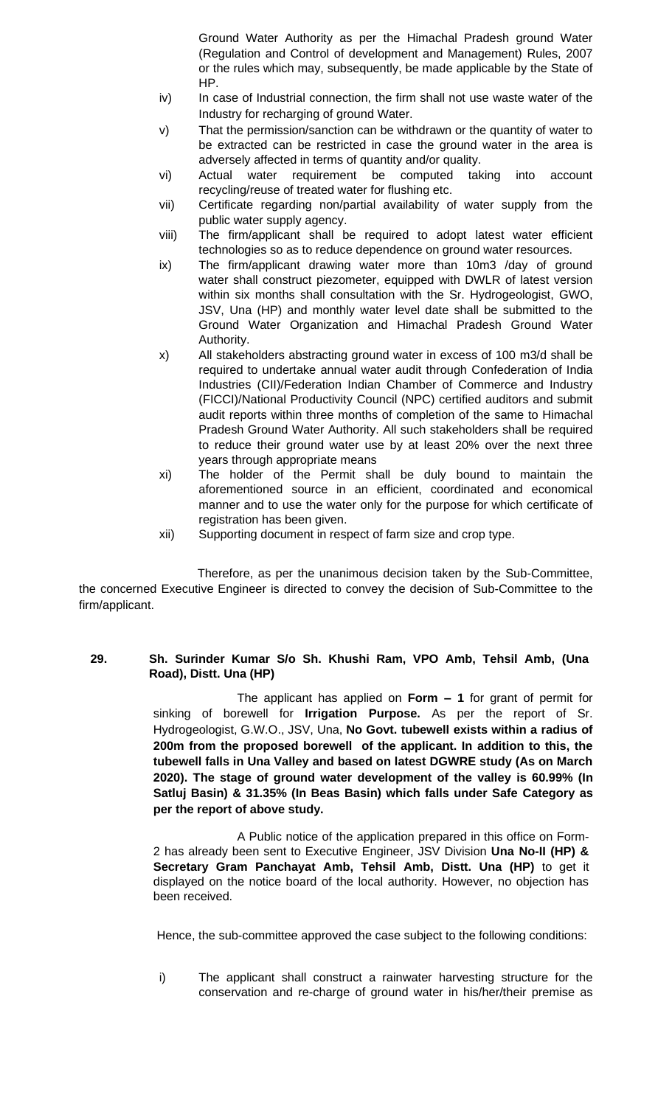Ground Water Authority as per the Himachal Pradesh ground Water (Regulation and Control of development and Management) Rules, 2007 or the rules which may, subsequently, be made applicable by the State of HP.

- iv) In case of Industrial connection, the firm shall not use waste water of the Industry for recharging of ground Water.
- v) That the permission/sanction can be withdrawn or the quantity of water to be extracted can be restricted in case the ground water in the area is adversely affected in terms of quantity and/or quality.
- vi) Actual water requirement be computed taking into account recycling/reuse of treated water for flushing etc.
- vii) Certificate regarding non/partial availability of water supply from the public water supply agency.
- viii) The firm/applicant shall be required to adopt latest water efficient technologies so as to reduce dependence on ground water resources.
- ix) The firm/applicant drawing water more than 10m3 /day of ground water shall construct piezometer, equipped with DWLR of latest version within six months shall consultation with the Sr. Hydrogeologist, GWO, JSV, Una (HP) and monthly water level date shall be submitted to the Ground Water Organization and Himachal Pradesh Ground Water Authority.
- x) All stakeholders abstracting ground water in excess of 100 m3/d shall be required to undertake annual water audit through Confederation of India Industries (CII)/Federation Indian Chamber of Commerce and Industry (FICCI)/National Productivity Council (NPC) certified auditors and submit audit reports within three months of completion of the same to Himachal Pradesh Ground Water Authority. All such stakeholders shall be required to reduce their ground water use by at least 20% over the next three years through appropriate means
- xi) The holder of the Permit shall be duly bound to maintain the aforementioned source in an efficient, coordinated and economical manner and to use the water only for the purpose for which certificate of registration has been given.
- xii) Supporting document in respect of farm size and crop type.

Therefore, as per the unanimous decision taken by the Sub-Committee, the concerned Executive Engineer is directed to convey the decision of Sub-Committee to the firm/applicant.

### **29. Sh. Surinder Kumar S/o Sh. Khushi Ram, VPO Amb, Tehsil Amb, (Una Road), Distt. Una (HP)**

The applicant has applied on **Form – 1** for grant of permit for sinking of borewell for **Irrigation Purpose.** As per the report of Sr. Hydrogeologist, G.W.O., JSV, Una, **No Govt. tubewell exists within a radius of 200m from the proposed borewell of the applicant. In addition to this, the tubewell falls in Una Valley and based on latest DGWRE study (As on March 2020). The stage of ground water development of the valley is 60.99% (In Satluj Basin) & 31.35% (In Beas Basin) which falls under Safe Category as per the report of above study.**

A Public notice of the application prepared in this office on Form-2 has already been sent to Executive Engineer, JSV Division **Una No-II (HP) & Secretary Gram Panchayat Amb, Tehsil Amb, Distt. Una (HP)** to get it displayed on the notice board of the local authority. However, no objection has been received.

Hence, the sub-committee approved the case subject to the following conditions:

i) The applicant shall construct a rainwater harvesting structure for the conservation and re-charge of ground water in his/her/their premise as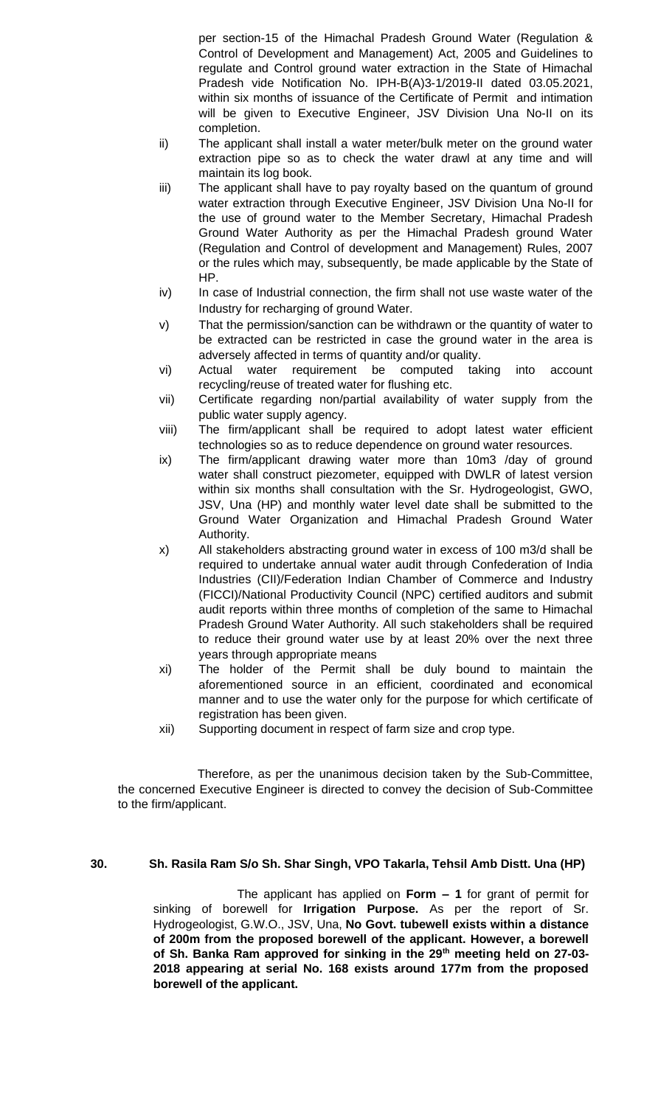per section-15 of the Himachal Pradesh Ground Water (Regulation & Control of Development and Management) Act, 2005 and Guidelines to regulate and Control ground water extraction in the State of Himachal Pradesh vide Notification No. IPH-B(A)3-1/2019-II dated 03.05.2021, within six months of issuance of the Certificate of Permit and intimation will be given to Executive Engineer, JSV Division Una No-II on its completion.

- ii) The applicant shall install a water meter/bulk meter on the ground water extraction pipe so as to check the water drawl at any time and will maintain its log book.
- iii) The applicant shall have to pay royalty based on the quantum of ground water extraction through Executive Engineer, JSV Division Una No-II for the use of ground water to the Member Secretary, Himachal Pradesh Ground Water Authority as per the Himachal Pradesh ground Water (Regulation and Control of development and Management) Rules, 2007 or the rules which may, subsequently, be made applicable by the State of HP.
- iv) In case of Industrial connection, the firm shall not use waste water of the Industry for recharging of ground Water.
- v) That the permission/sanction can be withdrawn or the quantity of water to be extracted can be restricted in case the ground water in the area is adversely affected in terms of quantity and/or quality.
- vi) Actual water requirement be computed taking into account recycling/reuse of treated water for flushing etc.
- vii) Certificate regarding non/partial availability of water supply from the public water supply agency.
- viii) The firm/applicant shall be required to adopt latest water efficient technologies so as to reduce dependence on ground water resources.
- ix) The firm/applicant drawing water more than 10m3 /day of ground water shall construct piezometer, equipped with DWLR of latest version within six months shall consultation with the Sr. Hydrogeologist, GWO, JSV, Una (HP) and monthly water level date shall be submitted to the Ground Water Organization and Himachal Pradesh Ground Water Authority.
- x) All stakeholders abstracting ground water in excess of 100 m3/d shall be required to undertake annual water audit through Confederation of India Industries (CII)/Federation Indian Chamber of Commerce and Industry (FICCI)/National Productivity Council (NPC) certified auditors and submit audit reports within three months of completion of the same to Himachal Pradesh Ground Water Authority. All such stakeholders shall be required to reduce their ground water use by at least 20% over the next three years through appropriate means
- xi) The holder of the Permit shall be duly bound to maintain the aforementioned source in an efficient, coordinated and economical manner and to use the water only for the purpose for which certificate of registration has been given.
- xii) Supporting document in respect of farm size and crop type.

Therefore, as per the unanimous decision taken by the Sub-Committee, the concerned Executive Engineer is directed to convey the decision of Sub-Committee to the firm/applicant.

### **30. Sh. Rasila Ram S/o Sh. Shar Singh, VPO Takarla, Tehsil Amb Distt. Una (HP)**

The applicant has applied on **Form – 1** for grant of permit for sinking of borewell for **Irrigation Purpose.** As per the report of Sr. Hydrogeologist, G.W.O., JSV, Una, **No Govt. tubewell exists within a distance of 200m from the proposed borewell of the applicant. However, a borewell of Sh. Banka Ram approved for sinking in the 29th meeting held on 27-03- 2018 appearing at serial No. 168 exists around 177m from the proposed borewell of the applicant.**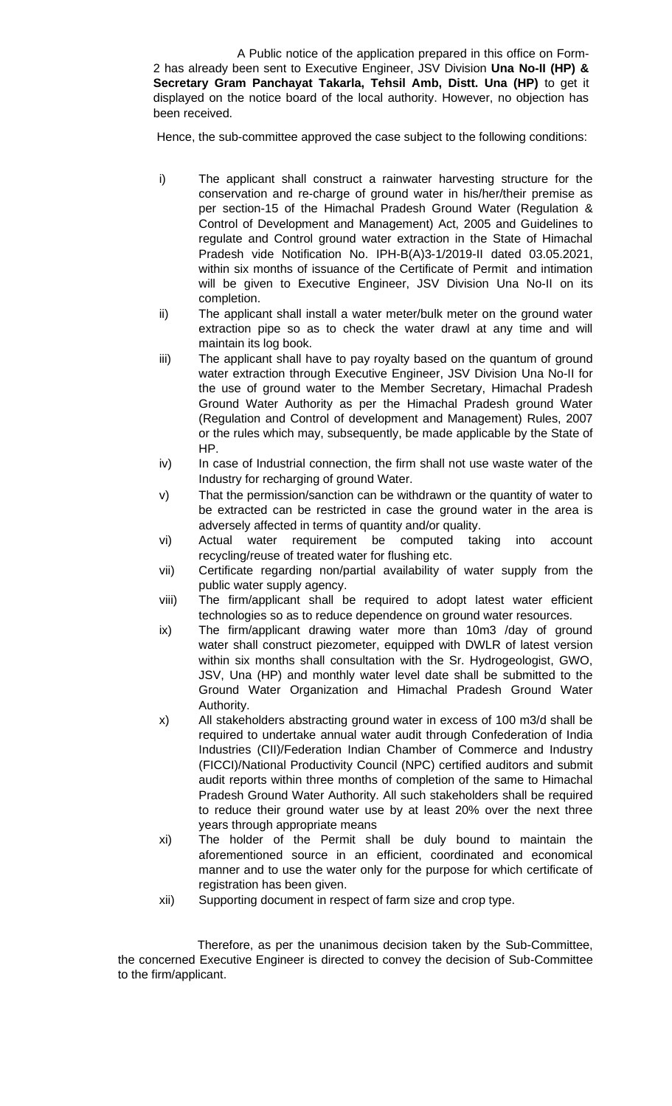A Public notice of the application prepared in this office on Form-2 has already been sent to Executive Engineer, JSV Division **Una No-II (HP) & Secretary Gram Panchayat Takarla, Tehsil Amb, Distt. Una (HP)** to get it displayed on the notice board of the local authority. However, no objection has been received.

Hence, the sub-committee approved the case subject to the following conditions:

- i) The applicant shall construct a rainwater harvesting structure for the conservation and re-charge of ground water in his/her/their premise as per section-15 of the Himachal Pradesh Ground Water (Regulation & Control of Development and Management) Act, 2005 and Guidelines to regulate and Control ground water extraction in the State of Himachal Pradesh vide Notification No. IPH-B(A)3-1/2019-II dated 03.05.2021, within six months of issuance of the Certificate of Permit and intimation will be given to Executive Engineer, JSV Division Una No-II on its completion.
- ii) The applicant shall install a water meter/bulk meter on the ground water extraction pipe so as to check the water drawl at any time and will maintain its log book.
- iii) The applicant shall have to pay royalty based on the quantum of ground water extraction through Executive Engineer, JSV Division Una No-II for the use of ground water to the Member Secretary, Himachal Pradesh Ground Water Authority as per the Himachal Pradesh ground Water (Regulation and Control of development and Management) Rules, 2007 or the rules which may, subsequently, be made applicable by the State of HP.
- iv) In case of Industrial connection, the firm shall not use waste water of the Industry for recharging of ground Water.
- v) That the permission/sanction can be withdrawn or the quantity of water to be extracted can be restricted in case the ground water in the area is adversely affected in terms of quantity and/or quality.
- vi) Actual water requirement be computed taking into account recycling/reuse of treated water for flushing etc.
- vii) Certificate regarding non/partial availability of water supply from the public water supply agency.
- viii) The firm/applicant shall be required to adopt latest water efficient technologies so as to reduce dependence on ground water resources.
- ix) The firm/applicant drawing water more than 10m3 /day of ground water shall construct piezometer, equipped with DWLR of latest version within six months shall consultation with the Sr. Hydrogeologist, GWO, JSV, Una (HP) and monthly water level date shall be submitted to the Ground Water Organization and Himachal Pradesh Ground Water Authority.
- x) All stakeholders abstracting ground water in excess of 100 m3/d shall be required to undertake annual water audit through Confederation of India Industries (CII)/Federation Indian Chamber of Commerce and Industry (FICCI)/National Productivity Council (NPC) certified auditors and submit audit reports within three months of completion of the same to Himachal Pradesh Ground Water Authority. All such stakeholders shall be required to reduce their ground water use by at least 20% over the next three years through appropriate means
- xi) The holder of the Permit shall be duly bound to maintain the aforementioned source in an efficient, coordinated and economical manner and to use the water only for the purpose for which certificate of registration has been given.
- xii) Supporting document in respect of farm size and crop type.

Therefore, as per the unanimous decision taken by the Sub-Committee, the concerned Executive Engineer is directed to convey the decision of Sub-Committee to the firm/applicant.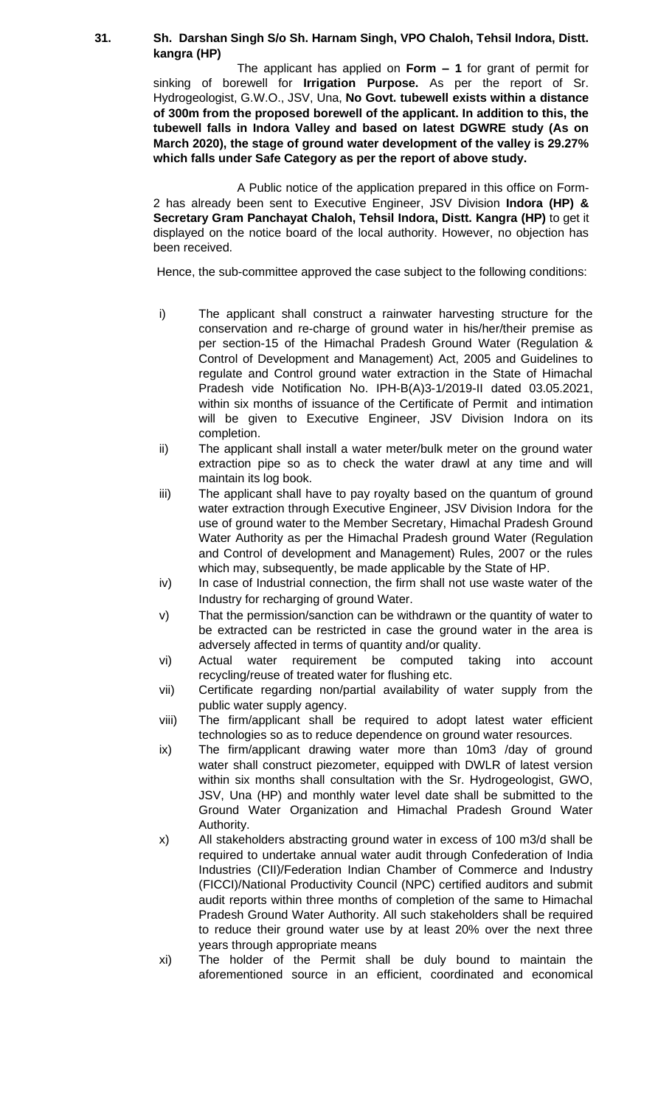### **31. Sh. Darshan Singh S/o Sh. Harnam Singh, VPO Chaloh, Tehsil Indora, Distt. kangra (HP)**

The applicant has applied on **Form – 1** for grant of permit for sinking of borewell for **Irrigation Purpose.** As per the report of Sr. Hydrogeologist, G.W.O., JSV, Una, **No Govt. tubewell exists within a distance of 300m from the proposed borewell of the applicant. In addition to this, the tubewell falls in Indora Valley and based on latest DGWRE study (As on March 2020), the stage of ground water development of the valley is 29.27% which falls under Safe Category as per the report of above study.**

A Public notice of the application prepared in this office on Form-2 has already been sent to Executive Engineer, JSV Division **Indora (HP) & Secretary Gram Panchayat Chaloh, Tehsil Indora, Distt. Kangra (HP)** to get it displayed on the notice board of the local authority. However, no objection has been received.

- i) The applicant shall construct a rainwater harvesting structure for the conservation and re-charge of ground water in his/her/their premise as per section-15 of the Himachal Pradesh Ground Water (Regulation & Control of Development and Management) Act, 2005 and Guidelines to regulate and Control ground water extraction in the State of Himachal Pradesh vide Notification No. IPH-B(A)3-1/2019-II dated 03.05.2021, within six months of issuance of the Certificate of Permit and intimation will be given to Executive Engineer, JSV Division Indora on its completion.
- ii) The applicant shall install a water meter/bulk meter on the ground water extraction pipe so as to check the water drawl at any time and will maintain its log book.
- iii) The applicant shall have to pay royalty based on the quantum of ground water extraction through Executive Engineer, JSV Division Indora for the use of ground water to the Member Secretary, Himachal Pradesh Ground Water Authority as per the Himachal Pradesh ground Water (Regulation and Control of development and Management) Rules, 2007 or the rules which may, subsequently, be made applicable by the State of HP.
- iv) In case of Industrial connection, the firm shall not use waste water of the Industry for recharging of ground Water.
- v) That the permission/sanction can be withdrawn or the quantity of water to be extracted can be restricted in case the ground water in the area is adversely affected in terms of quantity and/or quality.
- vi) Actual water requirement be computed taking into account recycling/reuse of treated water for flushing etc.
- vii) Certificate regarding non/partial availability of water supply from the public water supply agency.
- viii) The firm/applicant shall be required to adopt latest water efficient technologies so as to reduce dependence on ground water resources.
- ix) The firm/applicant drawing water more than 10m3 /day of ground water shall construct piezometer, equipped with DWLR of latest version within six months shall consultation with the Sr. Hydrogeologist, GWO, JSV, Una (HP) and monthly water level date shall be submitted to the Ground Water Organization and Himachal Pradesh Ground Water Authority.
- x) All stakeholders abstracting ground water in excess of 100 m3/d shall be required to undertake annual water audit through Confederation of India Industries (CII)/Federation Indian Chamber of Commerce and Industry (FICCI)/National Productivity Council (NPC) certified auditors and submit audit reports within three months of completion of the same to Himachal Pradesh Ground Water Authority. All such stakeholders shall be required to reduce their ground water use by at least 20% over the next three years through appropriate means
- xi) The holder of the Permit shall be duly bound to maintain the aforementioned source in an efficient, coordinated and economical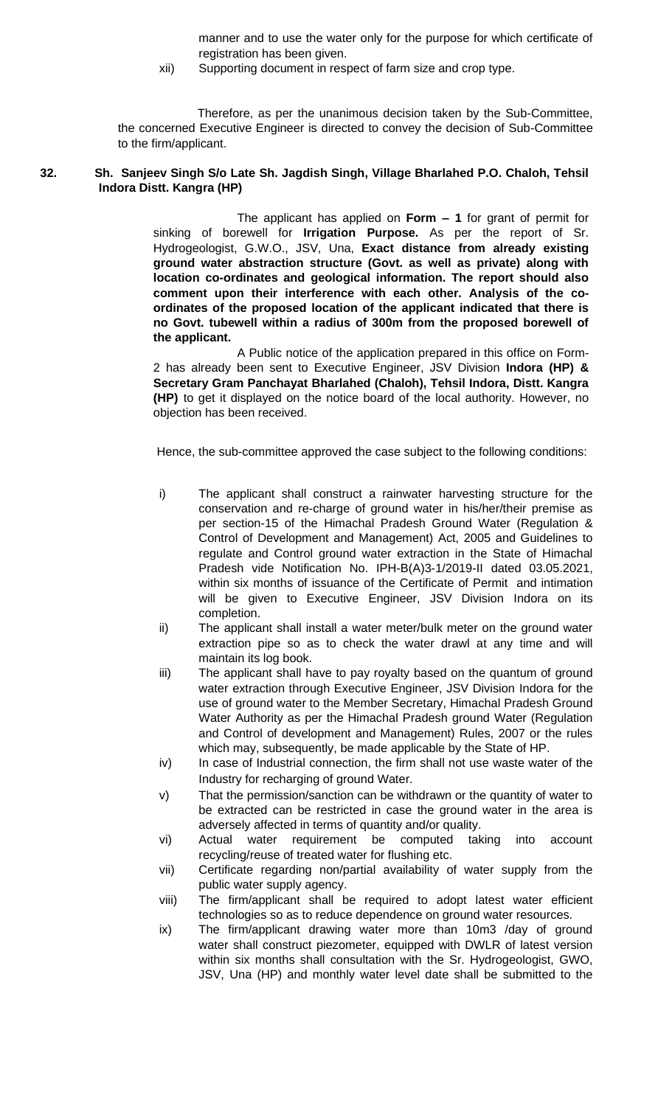manner and to use the water only for the purpose for which certificate of registration has been given.

xii) Supporting document in respect of farm size and crop type.

Therefore, as per the unanimous decision taken by the Sub-Committee, the concerned Executive Engineer is directed to convey the decision of Sub-Committee to the firm/applicant.

#### **32. Sh. Sanjeev Singh S/o Late Sh. Jagdish Singh, Village Bharlahed P.O. Chaloh, Tehsil Indora Distt. Kangra (HP)**

The applicant has applied on **Form – 1** for grant of permit for sinking of borewell for **Irrigation Purpose.** As per the report of Sr. Hydrogeologist, G.W.O., JSV, Una, **Exact distance from already existing ground water abstraction structure (Govt. as well as private) along with location co-ordinates and geological information. The report should also comment upon their interference with each other. Analysis of the coordinates of the proposed location of the applicant indicated that there is no Govt. tubewell within a radius of 300m from the proposed borewell of the applicant.**

A Public notice of the application prepared in this office on Form-2 has already been sent to Executive Engineer, JSV Division **Indora (HP) & Secretary Gram Panchayat Bharlahed (Chaloh), Tehsil Indora, Distt. Kangra (HP)** to get it displayed on the notice board of the local authority. However, no objection has been received.

- i) The applicant shall construct a rainwater harvesting structure for the conservation and re-charge of ground water in his/her/their premise as per section-15 of the Himachal Pradesh Ground Water (Regulation & Control of Development and Management) Act, 2005 and Guidelines to regulate and Control ground water extraction in the State of Himachal Pradesh vide Notification No. IPH-B(A)3-1/2019-II dated 03.05.2021, within six months of issuance of the Certificate of Permit and intimation will be given to Executive Engineer, JSV Division Indora on its completion.
- ii) The applicant shall install a water meter/bulk meter on the ground water extraction pipe so as to check the water drawl at any time and will maintain its log book.
- iii) The applicant shall have to pay royalty based on the quantum of ground water extraction through Executive Engineer, JSV Division Indora for the use of ground water to the Member Secretary, Himachal Pradesh Ground Water Authority as per the Himachal Pradesh ground Water (Regulation and Control of development and Management) Rules, 2007 or the rules which may, subsequently, be made applicable by the State of HP.
- iv) In case of Industrial connection, the firm shall not use waste water of the Industry for recharging of ground Water.
- v) That the permission/sanction can be withdrawn or the quantity of water to be extracted can be restricted in case the ground water in the area is adversely affected in terms of quantity and/or quality.
- vi) Actual water requirement be computed taking into account recycling/reuse of treated water for flushing etc.
- vii) Certificate regarding non/partial availability of water supply from the public water supply agency.
- viii) The firm/applicant shall be required to adopt latest water efficient technologies so as to reduce dependence on ground water resources.
- ix) The firm/applicant drawing water more than 10m3 /day of ground water shall construct piezometer, equipped with DWLR of latest version within six months shall consultation with the Sr. Hydrogeologist, GWO, JSV, Una (HP) and monthly water level date shall be submitted to the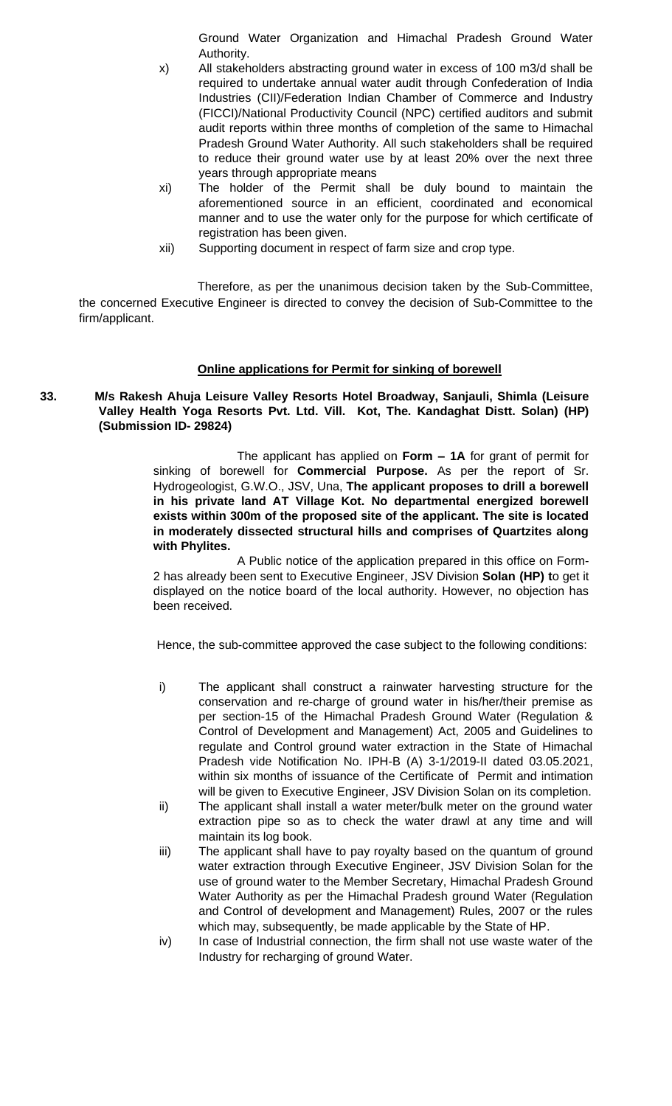Ground Water Organization and Himachal Pradesh Ground Water Authority.

- x) All stakeholders abstracting ground water in excess of 100 m3/d shall be required to undertake annual water audit through Confederation of India Industries (CII)/Federation Indian Chamber of Commerce and Industry (FICCI)/National Productivity Council (NPC) certified auditors and submit audit reports within three months of completion of the same to Himachal Pradesh Ground Water Authority. All such stakeholders shall be required to reduce their ground water use by at least 20% over the next three years through appropriate means
- xi) The holder of the Permit shall be duly bound to maintain the aforementioned source in an efficient, coordinated and economical manner and to use the water only for the purpose for which certificate of registration has been given.
- xii) Supporting document in respect of farm size and crop type.

Therefore, as per the unanimous decision taken by the Sub-Committee, the concerned Executive Engineer is directed to convey the decision of Sub-Committee to the firm/applicant.

# **Online applications for Permit for sinking of borewell**

**33. M/s Rakesh Ahuja Leisure Valley Resorts Hotel Broadway, Sanjauli, Shimla (Leisure Valley Health Yoga Resorts Pvt. Ltd. Vill. Kot, The. Kandaghat Distt. Solan) (HP) (Submission ID- 29824)**

> The applicant has applied on **Form – 1A** for grant of permit for sinking of borewell for **Commercial Purpose.** As per the report of Sr. Hydrogeologist, G.W.O., JSV, Una, **The applicant proposes to drill a borewell in his private land AT Village Kot. No departmental energized borewell exists within 300m of the proposed site of the applicant. The site is located in moderately dissected structural hills and comprises of Quartzites along with Phylites.**

> A Public notice of the application prepared in this office on Form-2 has already been sent to Executive Engineer, JSV Division **Solan (HP) t**o get it displayed on the notice board of the local authority. However, no objection has been received.

- i) The applicant shall construct a rainwater harvesting structure for the conservation and re-charge of ground water in his/her/their premise as per section-15 of the Himachal Pradesh Ground Water (Regulation & Control of Development and Management) Act, 2005 and Guidelines to regulate and Control ground water extraction in the State of Himachal Pradesh vide Notification No. IPH-B (A) 3-1/2019-II dated 03.05.2021, within six months of issuance of the Certificate of Permit and intimation will be given to Executive Engineer, JSV Division Solan on its completion.
- ii) The applicant shall install a water meter/bulk meter on the ground water extraction pipe so as to check the water drawl at any time and will maintain its log book.
- iii) The applicant shall have to pay royalty based on the quantum of ground water extraction through Executive Engineer, JSV Division Solan for the use of ground water to the Member Secretary, Himachal Pradesh Ground Water Authority as per the Himachal Pradesh ground Water (Regulation and Control of development and Management) Rules, 2007 or the rules which may, subsequently, be made applicable by the State of HP.
- iv) In case of Industrial connection, the firm shall not use waste water of the Industry for recharging of ground Water.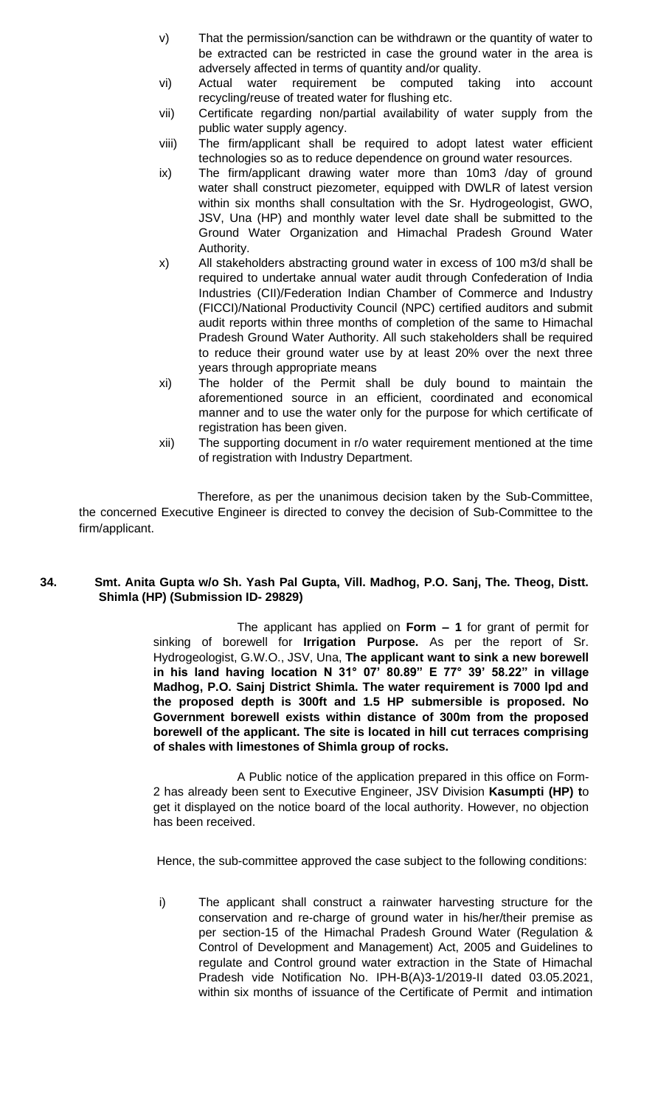- v) That the permission/sanction can be withdrawn or the quantity of water to be extracted can be restricted in case the ground water in the area is adversely affected in terms of quantity and/or quality.
- vi) Actual water requirement be computed taking into account recycling/reuse of treated water for flushing etc.
- vii) Certificate regarding non/partial availability of water supply from the public water supply agency.
- viii) The firm/applicant shall be required to adopt latest water efficient technologies so as to reduce dependence on ground water resources.
- ix) The firm/applicant drawing water more than 10m3 /day of ground water shall construct piezometer, equipped with DWLR of latest version within six months shall consultation with the Sr. Hydrogeologist, GWO, JSV, Una (HP) and monthly water level date shall be submitted to the Ground Water Organization and Himachal Pradesh Ground Water Authority.
- x) All stakeholders abstracting ground water in excess of 100 m3/d shall be required to undertake annual water audit through Confederation of India Industries (CII)/Federation Indian Chamber of Commerce and Industry (FICCI)/National Productivity Council (NPC) certified auditors and submit audit reports within three months of completion of the same to Himachal Pradesh Ground Water Authority. All such stakeholders shall be required to reduce their ground water use by at least 20% over the next three years through appropriate means
- xi) The holder of the Permit shall be duly bound to maintain the aforementioned source in an efficient, coordinated and economical manner and to use the water only for the purpose for which certificate of registration has been given.
- xii) The supporting document in r/o water requirement mentioned at the time of registration with Industry Department.

### **34. Smt. Anita Gupta w/o Sh. Yash Pal Gupta, Vill. Madhog, P.O. Sanj, The. Theog, Distt. Shimla (HP) (Submission ID- 29829)**

The applicant has applied on **Form – 1** for grant of permit for sinking of borewell for **Irrigation Purpose.** As per the report of Sr. Hydrogeologist, G.W.O., JSV, Una, **The applicant want to sink a new borewell in his land having location N 31° 07' 80.89" E 77° 39' 58.22" in village Madhog, P.O. Sainj District Shimla. The water requirement is 7000 lpd and the proposed depth is 300ft and 1.5 HP submersible is proposed. No Government borewell exists within distance of 300m from the proposed borewell of the applicant. The site is located in hill cut terraces comprising of shales with limestones of Shimla group of rocks.**

A Public notice of the application prepared in this office on Form-2 has already been sent to Executive Engineer, JSV Division **Kasumpti (HP) t**o get it displayed on the notice board of the local authority. However, no objection has been received.

Hence, the sub-committee approved the case subject to the following conditions:

i) The applicant shall construct a rainwater harvesting structure for the conservation and re-charge of ground water in his/her/their premise as per section-15 of the Himachal Pradesh Ground Water (Regulation & Control of Development and Management) Act, 2005 and Guidelines to regulate and Control ground water extraction in the State of Himachal Pradesh vide Notification No. IPH-B(A)3-1/2019-II dated 03.05.2021, within six months of issuance of the Certificate of Permit and intimation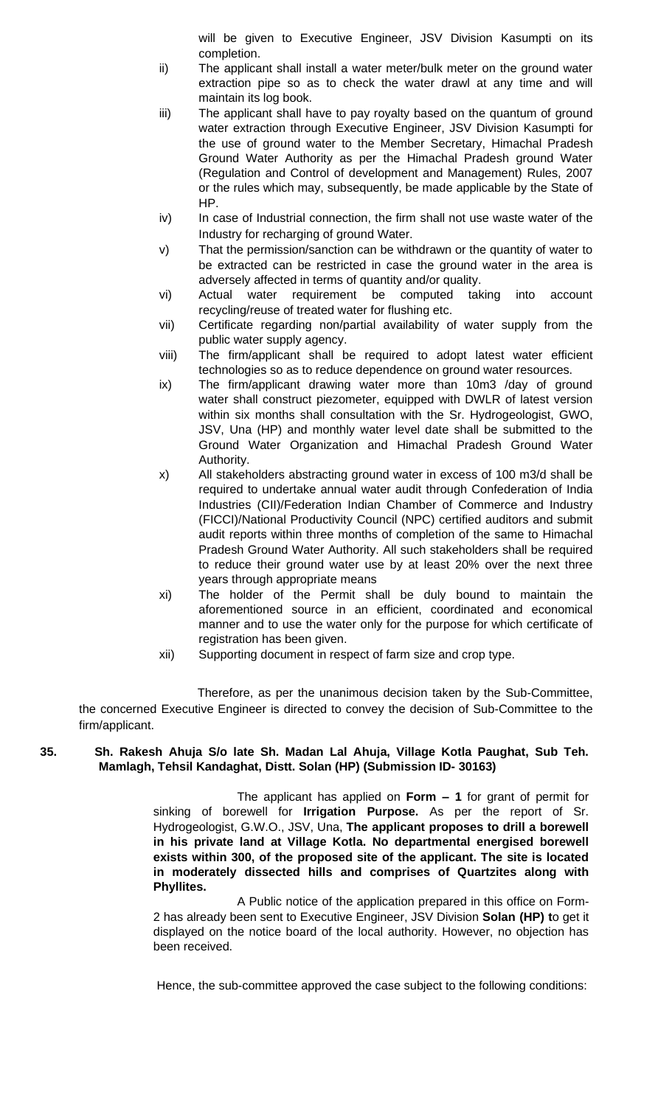will be given to Executive Engineer, JSV Division Kasumpti on its completion.

- ii) The applicant shall install a water meter/bulk meter on the ground water extraction pipe so as to check the water drawl at any time and will maintain its log book.
- iii) The applicant shall have to pay royalty based on the quantum of ground water extraction through Executive Engineer, JSV Division Kasumpti for the use of ground water to the Member Secretary, Himachal Pradesh Ground Water Authority as per the Himachal Pradesh ground Water (Regulation and Control of development and Management) Rules, 2007 or the rules which may, subsequently, be made applicable by the State of HP.
- iv) In case of Industrial connection, the firm shall not use waste water of the Industry for recharging of ground Water.
- v) That the permission/sanction can be withdrawn or the quantity of water to be extracted can be restricted in case the ground water in the area is adversely affected in terms of quantity and/or quality.
- vi) Actual water requirement be computed taking into account recycling/reuse of treated water for flushing etc.
- vii) Certificate regarding non/partial availability of water supply from the public water supply agency.
- viii) The firm/applicant shall be required to adopt latest water efficient technologies so as to reduce dependence on ground water resources.
- ix) The firm/applicant drawing water more than 10m3 /day of ground water shall construct piezometer, equipped with DWLR of latest version within six months shall consultation with the Sr. Hydrogeologist, GWO, JSV, Una (HP) and monthly water level date shall be submitted to the Ground Water Organization and Himachal Pradesh Ground Water Authority.
- x) All stakeholders abstracting ground water in excess of 100 m3/d shall be required to undertake annual water audit through Confederation of India Industries (CII)/Federation Indian Chamber of Commerce and Industry (FICCI)/National Productivity Council (NPC) certified auditors and submit audit reports within three months of completion of the same to Himachal Pradesh Ground Water Authority. All such stakeholders shall be required to reduce their ground water use by at least 20% over the next three years through appropriate means
- xi) The holder of the Permit shall be duly bound to maintain the aforementioned source in an efficient, coordinated and economical manner and to use the water only for the purpose for which certificate of registration has been given.
- xii) Supporting document in respect of farm size and crop type.

Therefore, as per the unanimous decision taken by the Sub-Committee, the concerned Executive Engineer is directed to convey the decision of Sub-Committee to the firm/applicant.

### **35. Sh. Rakesh Ahuja S/o late Sh. Madan Lal Ahuja, Village Kotla Paughat, Sub Teh. Mamlagh, Tehsil Kandaghat, Distt. Solan (HP) (Submission ID- 30163)**

The applicant has applied on **Form – 1** for grant of permit for sinking of borewell for **Irrigation Purpose.** As per the report of Sr. Hydrogeologist, G.W.O., JSV, Una, **The applicant proposes to drill a borewell in his private land at Village Kotla. No departmental energised borewell exists within 300, of the proposed site of the applicant. The site is located in moderately dissected hills and comprises of Quartzites along with Phyllites.**

A Public notice of the application prepared in this office on Form-2 has already been sent to Executive Engineer, JSV Division **Solan (HP) t**o get it displayed on the notice board of the local authority. However, no objection has been received.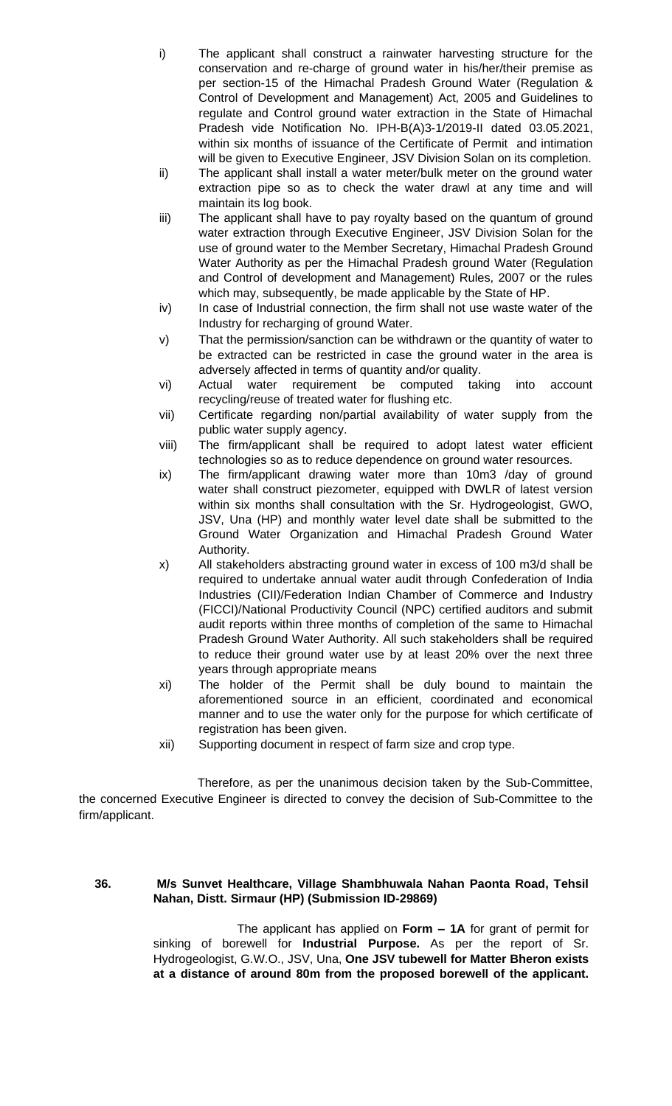- i) The applicant shall construct a rainwater harvesting structure for the conservation and re-charge of ground water in his/her/their premise as per section-15 of the Himachal Pradesh Ground Water (Regulation & Control of Development and Management) Act, 2005 and Guidelines to regulate and Control ground water extraction in the State of Himachal Pradesh vide Notification No. IPH-B(A)3-1/2019-II dated 03.05.2021, within six months of issuance of the Certificate of Permit and intimation will be given to Executive Engineer, JSV Division Solan on its completion.
- ii) The applicant shall install a water meter/bulk meter on the ground water extraction pipe so as to check the water drawl at any time and will maintain its log book.
- iii) The applicant shall have to pay royalty based on the quantum of ground water extraction through Executive Engineer, JSV Division Solan for the use of ground water to the Member Secretary, Himachal Pradesh Ground Water Authority as per the Himachal Pradesh ground Water (Regulation and Control of development and Management) Rules, 2007 or the rules which may, subsequently, be made applicable by the State of HP.
- iv) In case of Industrial connection, the firm shall not use waste water of the Industry for recharging of ground Water.
- v) That the permission/sanction can be withdrawn or the quantity of water to be extracted can be restricted in case the ground water in the area is adversely affected in terms of quantity and/or quality.
- vi) Actual water requirement be computed taking into account recycling/reuse of treated water for flushing etc.
- vii) Certificate regarding non/partial availability of water supply from the public water supply agency.
- viii) The firm/applicant shall be required to adopt latest water efficient technologies so as to reduce dependence on ground water resources.
- ix) The firm/applicant drawing water more than 10m3 /day of ground water shall construct piezometer, equipped with DWLR of latest version within six months shall consultation with the Sr. Hydrogeologist, GWO, JSV, Una (HP) and monthly water level date shall be submitted to the Ground Water Organization and Himachal Pradesh Ground Water Authority.
- x) All stakeholders abstracting ground water in excess of 100 m3/d shall be required to undertake annual water audit through Confederation of India Industries (CII)/Federation Indian Chamber of Commerce and Industry (FICCI)/National Productivity Council (NPC) certified auditors and submit audit reports within three months of completion of the same to Himachal Pradesh Ground Water Authority. All such stakeholders shall be required to reduce their ground water use by at least 20% over the next three years through appropriate means
- xi) The holder of the Permit shall be duly bound to maintain the aforementioned source in an efficient, coordinated and economical manner and to use the water only for the purpose for which certificate of registration has been given.
- xii) Supporting document in respect of farm size and crop type.

#### **36. M/s Sunvet Healthcare, Village Shambhuwala Nahan Paonta Road, Tehsil Nahan, Distt. Sirmaur (HP) (Submission ID-29869)**

The applicant has applied on **Form – 1A** for grant of permit for sinking of borewell for **Industrial Purpose.** As per the report of Sr. Hydrogeologist, G.W.O., JSV, Una, **One JSV tubewell for Matter Bheron exists at a distance of around 80m from the proposed borewell of the applicant.**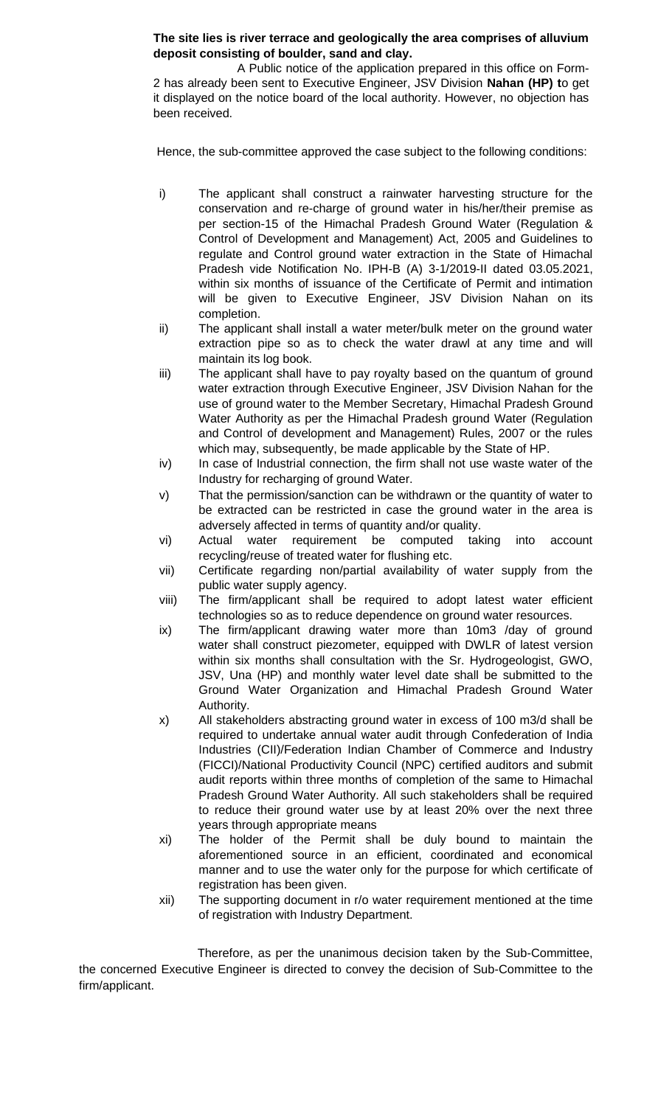**The site lies is river terrace and geologically the area comprises of alluvium deposit consisting of boulder, sand and clay.**

A Public notice of the application prepared in this office on Form-2 has already been sent to Executive Engineer, JSV Division **Nahan (HP) t**o get it displayed on the notice board of the local authority. However, no objection has been received.

Hence, the sub-committee approved the case subject to the following conditions:

- i) The applicant shall construct a rainwater harvesting structure for the conservation and re-charge of ground water in his/her/their premise as per section-15 of the Himachal Pradesh Ground Water (Regulation & Control of Development and Management) Act, 2005 and Guidelines to regulate and Control ground water extraction in the State of Himachal Pradesh vide Notification No. IPH-B (A) 3-1/2019-II dated 03.05.2021, within six months of issuance of the Certificate of Permit and intimation will be given to Executive Engineer, JSV Division Nahan on its completion.
- ii) The applicant shall install a water meter/bulk meter on the ground water extraction pipe so as to check the water drawl at any time and will maintain its log book.
- iii) The applicant shall have to pay royalty based on the quantum of ground water extraction through Executive Engineer, JSV Division Nahan for the use of ground water to the Member Secretary, Himachal Pradesh Ground Water Authority as per the Himachal Pradesh ground Water (Regulation and Control of development and Management) Rules, 2007 or the rules which may, subsequently, be made applicable by the State of HP.
- iv) In case of Industrial connection, the firm shall not use waste water of the Industry for recharging of ground Water.
- v) That the permission/sanction can be withdrawn or the quantity of water to be extracted can be restricted in case the ground water in the area is adversely affected in terms of quantity and/or quality.
- vi) Actual water requirement be computed taking into account recycling/reuse of treated water for flushing etc.
- vii) Certificate regarding non/partial availability of water supply from the public water supply agency.
- viii) The firm/applicant shall be required to adopt latest water efficient technologies so as to reduce dependence on ground water resources.
- ix) The firm/applicant drawing water more than 10m3 /day of ground water shall construct piezometer, equipped with DWLR of latest version within six months shall consultation with the Sr. Hydrogeologist, GWO, JSV, Una (HP) and monthly water level date shall be submitted to the Ground Water Organization and Himachal Pradesh Ground Water Authority.
- x) All stakeholders abstracting ground water in excess of 100 m3/d shall be required to undertake annual water audit through Confederation of India Industries (CII)/Federation Indian Chamber of Commerce and Industry (FICCI)/National Productivity Council (NPC) certified auditors and submit audit reports within three months of completion of the same to Himachal Pradesh Ground Water Authority. All such stakeholders shall be required to reduce their ground water use by at least 20% over the next three years through appropriate means
- xi) The holder of the Permit shall be duly bound to maintain the aforementioned source in an efficient, coordinated and economical manner and to use the water only for the purpose for which certificate of registration has been given.
- xii) The supporting document in r/o water requirement mentioned at the time of registration with Industry Department.

Therefore, as per the unanimous decision taken by the Sub-Committee, the concerned Executive Engineer is directed to convey the decision of Sub-Committee to the firm/applicant.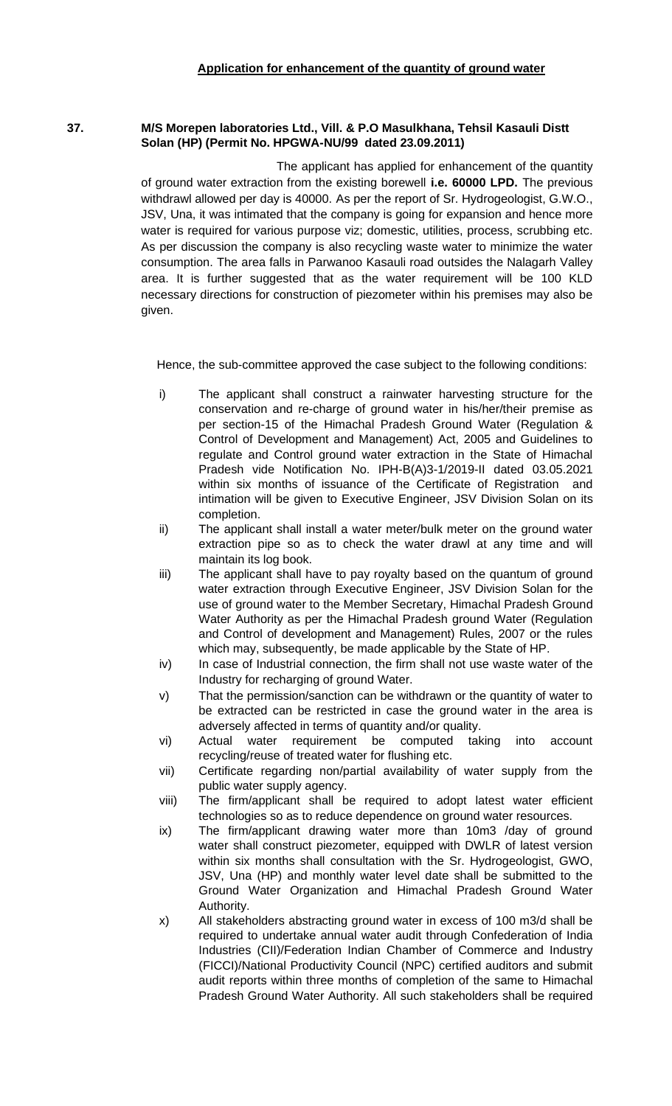#### **37. M/S Morepen laboratories Ltd., Vill. & P.O Masulkhana, Tehsil Kasauli Distt Solan (HP) (Permit No. HPGWA-NU/99 dated 23.09.2011)**

The applicant has applied for enhancement of the quantity of ground water extraction from the existing borewell **i.e. 60000 LPD.** The previous withdrawl allowed per day is 40000. As per the report of Sr. Hydrogeologist, G.W.O., JSV, Una, it was intimated that the company is going for expansion and hence more water is required for various purpose viz; domestic, utilities, process, scrubbing etc. As per discussion the company is also recycling waste water to minimize the water consumption. The area falls in Parwanoo Kasauli road outsides the Nalagarh Valley area. It is further suggested that as the water requirement will be 100 KLD necessary directions for construction of piezometer within his premises may also be given.

- i) The applicant shall construct a rainwater harvesting structure for the conservation and re-charge of ground water in his/her/their premise as per section-15 of the Himachal Pradesh Ground Water (Regulation & Control of Development and Management) Act, 2005 and Guidelines to regulate and Control ground water extraction in the State of Himachal Pradesh vide Notification No. IPH-B(A)3-1/2019-II dated 03.05.2021 within six months of issuance of the Certificate of Registration and intimation will be given to Executive Engineer, JSV Division Solan on its completion.
- ii) The applicant shall install a water meter/bulk meter on the ground water extraction pipe so as to check the water drawl at any time and will maintain its log book.
- iii) The applicant shall have to pay royalty based on the quantum of ground water extraction through Executive Engineer, JSV Division Solan for the use of ground water to the Member Secretary, Himachal Pradesh Ground Water Authority as per the Himachal Pradesh ground Water (Regulation and Control of development and Management) Rules, 2007 or the rules which may, subsequently, be made applicable by the State of HP.
- iv) In case of Industrial connection, the firm shall not use waste water of the Industry for recharging of ground Water.
- v) That the permission/sanction can be withdrawn or the quantity of water to be extracted can be restricted in case the ground water in the area is adversely affected in terms of quantity and/or quality.
- vi) Actual water requirement be computed taking into account recycling/reuse of treated water for flushing etc.
- vii) Certificate regarding non/partial availability of water supply from the public water supply agency.
- viii) The firm/applicant shall be required to adopt latest water efficient technologies so as to reduce dependence on ground water resources.
- ix) The firm/applicant drawing water more than 10m3 /day of ground water shall construct piezometer, equipped with DWLR of latest version within six months shall consultation with the Sr. Hydrogeologist, GWO, JSV, Una (HP) and monthly water level date shall be submitted to the Ground Water Organization and Himachal Pradesh Ground Water Authority.
- x) All stakeholders abstracting ground water in excess of 100 m3/d shall be required to undertake annual water audit through Confederation of India Industries (CII)/Federation Indian Chamber of Commerce and Industry (FICCI)/National Productivity Council (NPC) certified auditors and submit audit reports within three months of completion of the same to Himachal Pradesh Ground Water Authority. All such stakeholders shall be required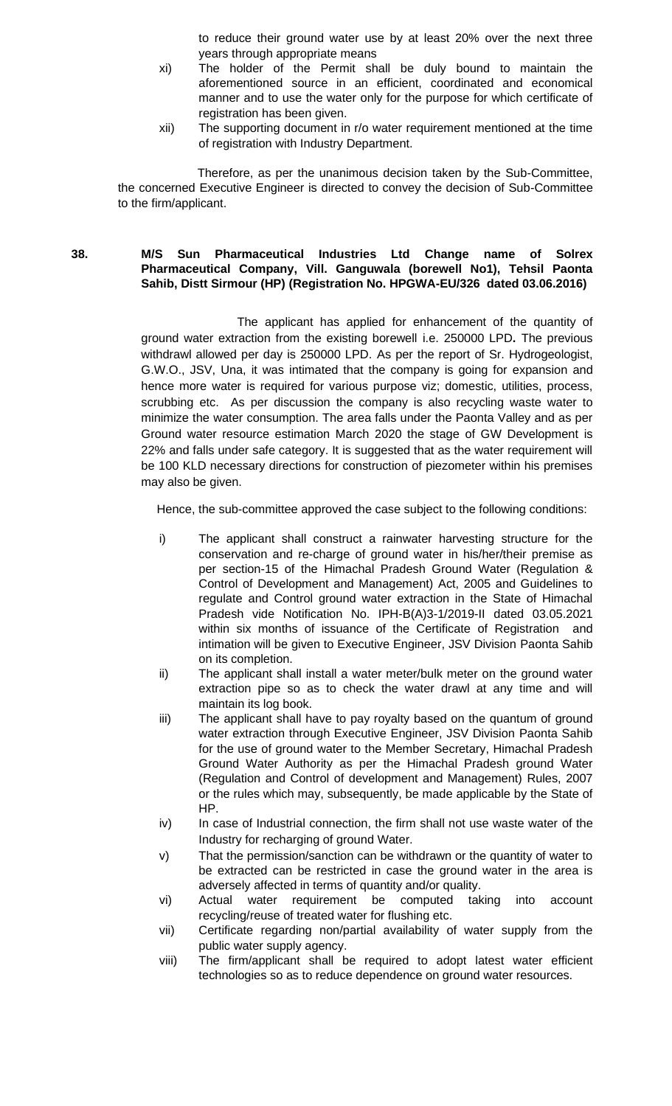to reduce their ground water use by at least 20% over the next three years through appropriate means

- xi) The holder of the Permit shall be duly bound to maintain the aforementioned source in an efficient, coordinated and economical manner and to use the water only for the purpose for which certificate of registration has been given.
- xii) The supporting document in r/o water requirement mentioned at the time of registration with Industry Department.

Therefore, as per the unanimous decision taken by the Sub-Committee, the concerned Executive Engineer is directed to convey the decision of Sub-Committee to the firm/applicant.

**38. M/S Sun Pharmaceutical Industries Ltd Change name of Solrex Pharmaceutical Company, Vill. Ganguwala (borewell No1), Tehsil Paonta Sahib, Distt Sirmour (HP) (Registration No. HPGWA-EU/326 dated 03.06.2016)**

> The applicant has applied for enhancement of the quantity of ground water extraction from the existing borewell i.e. 250000 LPD**.** The previous withdrawl allowed per day is 250000 LPD. As per the report of Sr. Hydrogeologist, G.W.O., JSV, Una, it was intimated that the company is going for expansion and hence more water is required for various purpose viz; domestic, utilities, process, scrubbing etc. As per discussion the company is also recycling waste water to minimize the water consumption. The area falls under the Paonta Valley and as per Ground water resource estimation March 2020 the stage of GW Development is 22% and falls under safe category. It is suggested that as the water requirement will be 100 KLD necessary directions for construction of piezometer within his premises may also be given.

- i) The applicant shall construct a rainwater harvesting structure for the conservation and re-charge of ground water in his/her/their premise as per section-15 of the Himachal Pradesh Ground Water (Regulation & Control of Development and Management) Act, 2005 and Guidelines to regulate and Control ground water extraction in the State of Himachal Pradesh vide Notification No. IPH-B(A)3-1/2019-II dated 03.05.2021 within six months of issuance of the Certificate of Registration and intimation will be given to Executive Engineer, JSV Division Paonta Sahib on its completion.
- ii) The applicant shall install a water meter/bulk meter on the ground water extraction pipe so as to check the water drawl at any time and will maintain its log book.
- iii) The applicant shall have to pay royalty based on the quantum of ground water extraction through Executive Engineer, JSV Division Paonta Sahib for the use of ground water to the Member Secretary, Himachal Pradesh Ground Water Authority as per the Himachal Pradesh ground Water (Regulation and Control of development and Management) Rules, 2007 or the rules which may, subsequently, be made applicable by the State of HP.
- iv) In case of Industrial connection, the firm shall not use waste water of the Industry for recharging of ground Water.
- v) That the permission/sanction can be withdrawn or the quantity of water to be extracted can be restricted in case the ground water in the area is adversely affected in terms of quantity and/or quality.
- vi) Actual water requirement be computed taking into account recycling/reuse of treated water for flushing etc.
- vii) Certificate regarding non/partial availability of water supply from the public water supply agency.
- viii) The firm/applicant shall be required to adopt latest water efficient technologies so as to reduce dependence on ground water resources.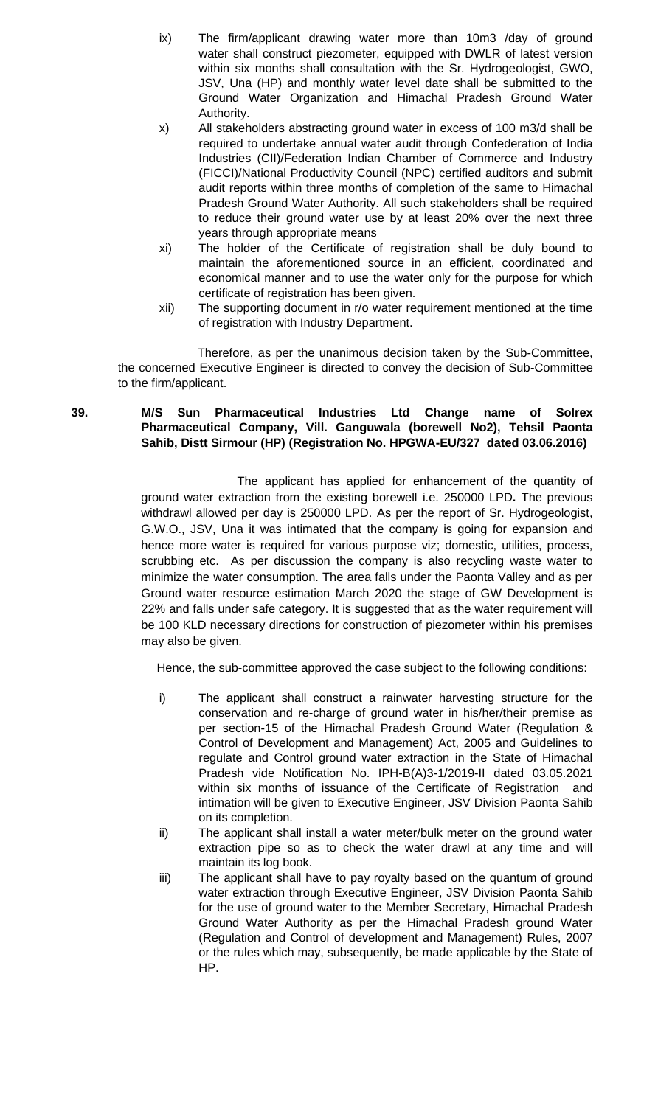- ix) The firm/applicant drawing water more than 10m3 /day of ground water shall construct piezometer, equipped with DWLR of latest version within six months shall consultation with the Sr. Hydrogeologist, GWO, JSV, Una (HP) and monthly water level date shall be submitted to the Ground Water Organization and Himachal Pradesh Ground Water Authority.
- x) All stakeholders abstracting ground water in excess of 100 m3/d shall be required to undertake annual water audit through Confederation of India Industries (CII)/Federation Indian Chamber of Commerce and Industry (FICCI)/National Productivity Council (NPC) certified auditors and submit audit reports within three months of completion of the same to Himachal Pradesh Ground Water Authority. All such stakeholders shall be required to reduce their ground water use by at least 20% over the next three years through appropriate means
- xi) The holder of the Certificate of registration shall be duly bound to maintain the aforementioned source in an efficient, coordinated and economical manner and to use the water only for the purpose for which certificate of registration has been given.
- xii) The supporting document in r/o water requirement mentioned at the time of registration with Industry Department.

# **39. M/S Sun Pharmaceutical Industries Ltd Change name of Solrex Pharmaceutical Company, Vill. Ganguwala (borewell No2), Tehsil Paonta Sahib, Distt Sirmour (HP) (Registration No. HPGWA-EU/327 dated 03.06.2016)**

The applicant has applied for enhancement of the quantity of ground water extraction from the existing borewell i.e. 250000 LPD**.** The previous withdrawl allowed per day is 250000 LPD. As per the report of Sr. Hydrogeologist, G.W.O., JSV, Una it was intimated that the company is going for expansion and hence more water is required for various purpose viz; domestic, utilities, process, scrubbing etc. As per discussion the company is also recycling waste water to minimize the water consumption. The area falls under the Paonta Valley and as per Ground water resource estimation March 2020 the stage of GW Development is 22% and falls under safe category. It is suggested that as the water requirement will be 100 KLD necessary directions for construction of piezometer within his premises may also be given.

- i) The applicant shall construct a rainwater harvesting structure for the conservation and re-charge of ground water in his/her/their premise as per section-15 of the Himachal Pradesh Ground Water (Regulation & Control of Development and Management) Act, 2005 and Guidelines to regulate and Control ground water extraction in the State of Himachal Pradesh vide Notification No. IPH-B(A)3-1/2019-II dated 03.05.2021 within six months of issuance of the Certificate of Registration and intimation will be given to Executive Engineer, JSV Division Paonta Sahib on its completion.
- ii) The applicant shall install a water meter/bulk meter on the ground water extraction pipe so as to check the water drawl at any time and will maintain its log book.
- iii) The applicant shall have to pay royalty based on the quantum of ground water extraction through Executive Engineer, JSV Division Paonta Sahib for the use of ground water to the Member Secretary, Himachal Pradesh Ground Water Authority as per the Himachal Pradesh ground Water (Regulation and Control of development and Management) Rules, 2007 or the rules which may, subsequently, be made applicable by the State of HP.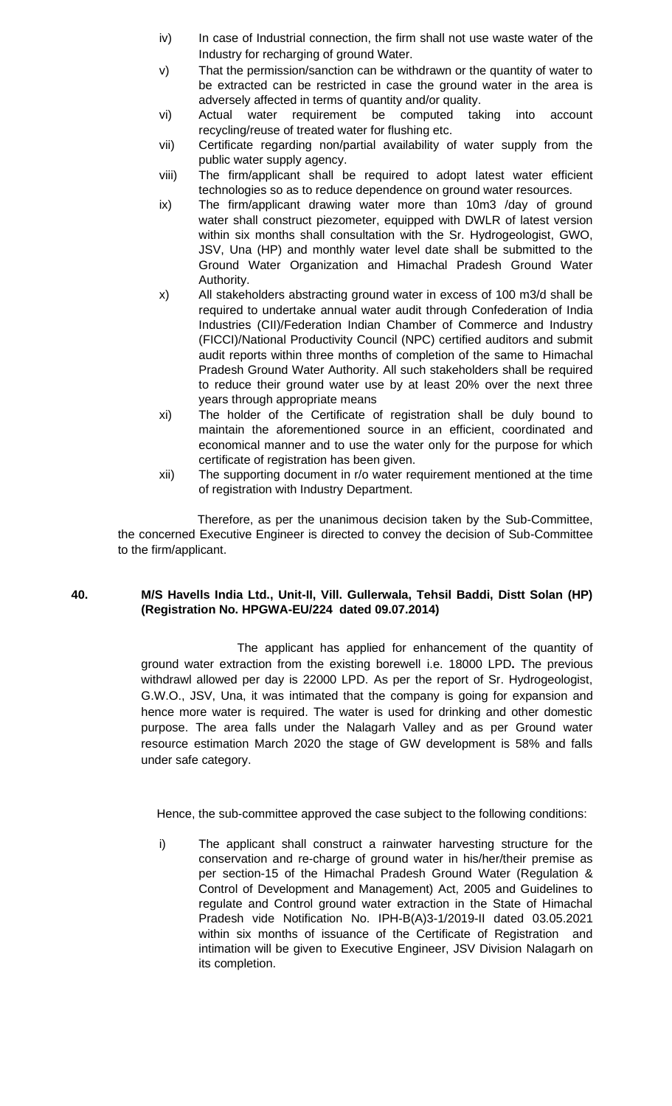- iv) In case of Industrial connection, the firm shall not use waste water of the Industry for recharging of ground Water.
- v) That the permission/sanction can be withdrawn or the quantity of water to be extracted can be restricted in case the ground water in the area is adversely affected in terms of quantity and/or quality.
- vi) Actual water requirement be computed taking into account recycling/reuse of treated water for flushing etc.
- vii) Certificate regarding non/partial availability of water supply from the public water supply agency.
- viii) The firm/applicant shall be required to adopt latest water efficient technologies so as to reduce dependence on ground water resources.
- ix) The firm/applicant drawing water more than 10m3 /day of ground water shall construct piezometer, equipped with DWLR of latest version within six months shall consultation with the Sr. Hydrogeologist, GWO, JSV, Una (HP) and monthly water level date shall be submitted to the Ground Water Organization and Himachal Pradesh Ground Water Authority.
- x) All stakeholders abstracting ground water in excess of 100 m3/d shall be required to undertake annual water audit through Confederation of India Industries (CII)/Federation Indian Chamber of Commerce and Industry (FICCI)/National Productivity Council (NPC) certified auditors and submit audit reports within three months of completion of the same to Himachal Pradesh Ground Water Authority. All such stakeholders shall be required to reduce their ground water use by at least 20% over the next three years through appropriate means
- xi) The holder of the Certificate of registration shall be duly bound to maintain the aforementioned source in an efficient, coordinated and economical manner and to use the water only for the purpose for which certificate of registration has been given.
- xii) The supporting document in r/o water requirement mentioned at the time of registration with Industry Department.

#### **40. M/S Havells India Ltd., Unit-II, Vill. Gullerwala, Tehsil Baddi, Distt Solan (HP) (Registration No. HPGWA-EU/224 dated 09.07.2014)**

The applicant has applied for enhancement of the quantity of ground water extraction from the existing borewell i.e. 18000 LPD**.** The previous withdrawl allowed per day is 22000 LPD. As per the report of Sr. Hydrogeologist, G.W.O., JSV, Una, it was intimated that the company is going for expansion and hence more water is required. The water is used for drinking and other domestic purpose. The area falls under the Nalagarh Valley and as per Ground water resource estimation March 2020 the stage of GW development is 58% and falls under safe category.

Hence, the sub-committee approved the case subject to the following conditions:

i) The applicant shall construct a rainwater harvesting structure for the conservation and re-charge of ground water in his/her/their premise as per section-15 of the Himachal Pradesh Ground Water (Regulation & Control of Development and Management) Act, 2005 and Guidelines to regulate and Control ground water extraction in the State of Himachal Pradesh vide Notification No. IPH-B(A)3-1/2019-II dated 03.05.2021 within six months of issuance of the Certificate of Registration and intimation will be given to Executive Engineer, JSV Division Nalagarh on its completion.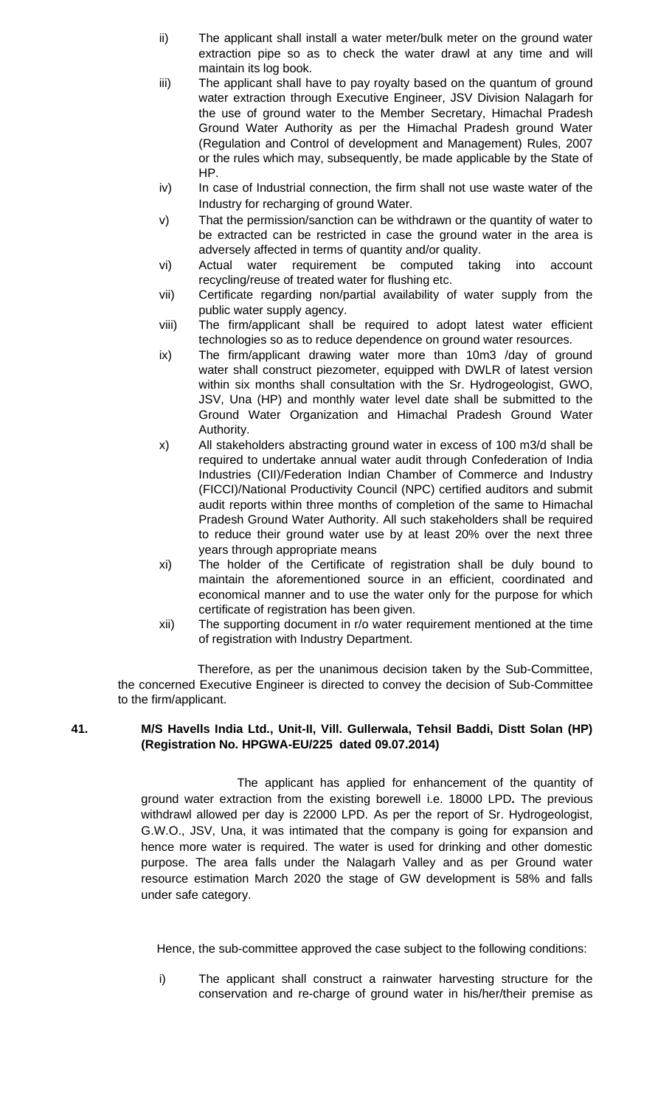- ii) The applicant shall install a water meter/bulk meter on the ground water extraction pipe so as to check the water drawl at any time and will maintain its log book.
- iii) The applicant shall have to pay royalty based on the quantum of ground water extraction through Executive Engineer, JSV Division Nalagarh for the use of ground water to the Member Secretary, Himachal Pradesh Ground Water Authority as per the Himachal Pradesh ground Water (Regulation and Control of development and Management) Rules, 2007 or the rules which may, subsequently, be made applicable by the State of HP.
- iv) In case of Industrial connection, the firm shall not use waste water of the Industry for recharging of ground Water.
- v) That the permission/sanction can be withdrawn or the quantity of water to be extracted can be restricted in case the ground water in the area is adversely affected in terms of quantity and/or quality.
- vi) Actual water requirement be computed taking into account recycling/reuse of treated water for flushing etc.
- vii) Certificate regarding non/partial availability of water supply from the public water supply agency.
- viii) The firm/applicant shall be required to adopt latest water efficient technologies so as to reduce dependence on ground water resources.
- ix) The firm/applicant drawing water more than 10m3 /day of ground water shall construct piezometer, equipped with DWLR of latest version within six months shall consultation with the Sr. Hydrogeologist, GWO, JSV, Una (HP) and monthly water level date shall be submitted to the Ground Water Organization and Himachal Pradesh Ground Water Authority.
- x) All stakeholders abstracting ground water in excess of 100 m3/d shall be required to undertake annual water audit through Confederation of India Industries (CII)/Federation Indian Chamber of Commerce and Industry (FICCI)/National Productivity Council (NPC) certified auditors and submit audit reports within three months of completion of the same to Himachal Pradesh Ground Water Authority. All such stakeholders shall be required to reduce their ground water use by at least 20% over the next three years through appropriate means
- xi) The holder of the Certificate of registration shall be duly bound to maintain the aforementioned source in an efficient, coordinated and economical manner and to use the water only for the purpose for which certificate of registration has been given.
- xii) The supporting document in r/o water requirement mentioned at the time of registration with Industry Department.

### **41. M/S Havells India Ltd., Unit-II, Vill. Gullerwala, Tehsil Baddi, Distt Solan (HP) (Registration No. HPGWA-EU/225 dated 09.07.2014)**

The applicant has applied for enhancement of the quantity of ground water extraction from the existing borewell i.e. 18000 LPD**.** The previous withdrawl allowed per day is 22000 LPD. As per the report of Sr. Hydrogeologist, G.W.O., JSV, Una, it was intimated that the company is going for expansion and hence more water is required. The water is used for drinking and other domestic purpose. The area falls under the Nalagarh Valley and as per Ground water resource estimation March 2020 the stage of GW development is 58% and falls under safe category.

Hence, the sub-committee approved the case subject to the following conditions:

i) The applicant shall construct a rainwater harvesting structure for the conservation and re-charge of ground water in his/her/their premise as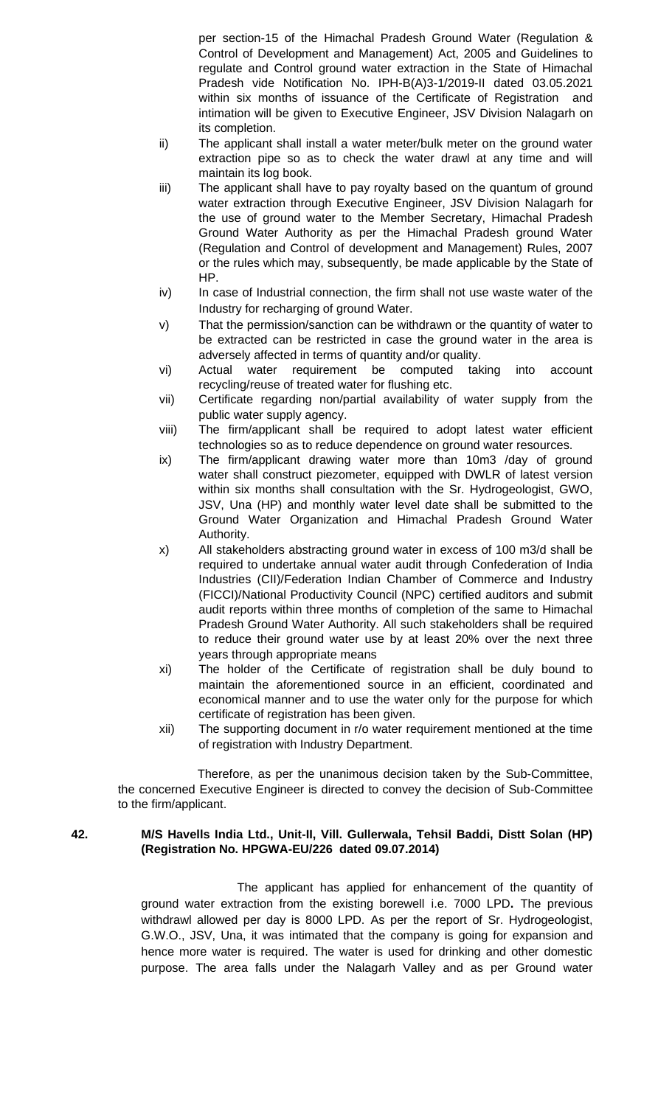per section-15 of the Himachal Pradesh Ground Water (Regulation & Control of Development and Management) Act, 2005 and Guidelines to regulate and Control ground water extraction in the State of Himachal Pradesh vide Notification No. IPH-B(A)3-1/2019-II dated 03.05.2021 within six months of issuance of the Certificate of Registration and intimation will be given to Executive Engineer, JSV Division Nalagarh on its completion.

- ii) The applicant shall install a water meter/bulk meter on the ground water extraction pipe so as to check the water drawl at any time and will maintain its log book.
- iii) The applicant shall have to pay royalty based on the quantum of ground water extraction through Executive Engineer, JSV Division Nalagarh for the use of ground water to the Member Secretary, Himachal Pradesh Ground Water Authority as per the Himachal Pradesh ground Water (Regulation and Control of development and Management) Rules, 2007 or the rules which may, subsequently, be made applicable by the State of HP.
- iv) In case of Industrial connection, the firm shall not use waste water of the Industry for recharging of ground Water.
- v) That the permission/sanction can be withdrawn or the quantity of water to be extracted can be restricted in case the ground water in the area is adversely affected in terms of quantity and/or quality.
- vi) Actual water requirement be computed taking into account recycling/reuse of treated water for flushing etc.
- vii) Certificate regarding non/partial availability of water supply from the public water supply agency.
- viii) The firm/applicant shall be required to adopt latest water efficient technologies so as to reduce dependence on ground water resources.
- ix) The firm/applicant drawing water more than 10m3 /day of ground water shall construct piezometer, equipped with DWLR of latest version within six months shall consultation with the Sr. Hydrogeologist, GWO, JSV, Una (HP) and monthly water level date shall be submitted to the Ground Water Organization and Himachal Pradesh Ground Water Authority.
- x) All stakeholders abstracting ground water in excess of 100 m3/d shall be required to undertake annual water audit through Confederation of India Industries (CII)/Federation Indian Chamber of Commerce and Industry (FICCI)/National Productivity Council (NPC) certified auditors and submit audit reports within three months of completion of the same to Himachal Pradesh Ground Water Authority. All such stakeholders shall be required to reduce their ground water use by at least 20% over the next three years through appropriate means
- xi) The holder of the Certificate of registration shall be duly bound to maintain the aforementioned source in an efficient, coordinated and economical manner and to use the water only for the purpose for which certificate of registration has been given.
- xii) The supporting document in r/o water requirement mentioned at the time of registration with Industry Department.

Therefore, as per the unanimous decision taken by the Sub-Committee, the concerned Executive Engineer is directed to convey the decision of Sub-Committee to the firm/applicant.

### **42. M/S Havells India Ltd., Unit-II, Vill. Gullerwala, Tehsil Baddi, Distt Solan (HP) (Registration No. HPGWA-EU/226 dated 09.07.2014)**

The applicant has applied for enhancement of the quantity of ground water extraction from the existing borewell i.e. 7000 LPD**.** The previous withdrawl allowed per day is 8000 LPD. As per the report of Sr. Hydrogeologist, G.W.O., JSV, Una, it was intimated that the company is going for expansion and hence more water is required. The water is used for drinking and other domestic purpose. The area falls under the Nalagarh Valley and as per Ground water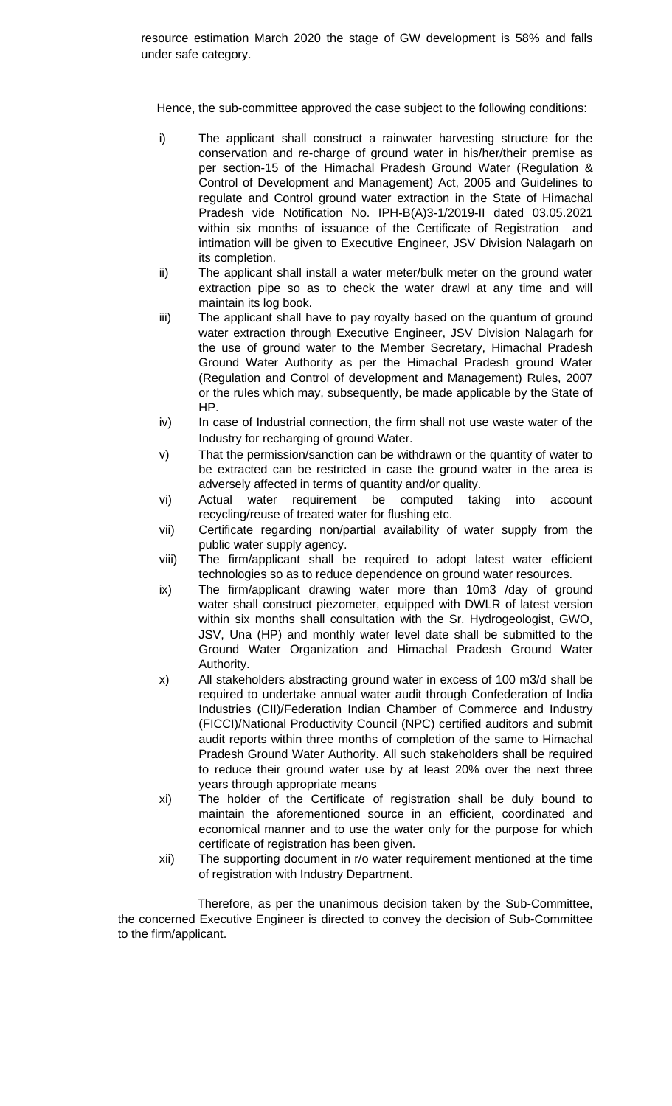resource estimation March 2020 the stage of GW development is 58% and falls under safe category.

Hence, the sub-committee approved the case subject to the following conditions:

- i) The applicant shall construct a rainwater harvesting structure for the conservation and re-charge of ground water in his/her/their premise as per section-15 of the Himachal Pradesh Ground Water (Regulation & Control of Development and Management) Act, 2005 and Guidelines to regulate and Control ground water extraction in the State of Himachal Pradesh vide Notification No. IPH-B(A)3-1/2019-II dated 03.05.2021 within six months of issuance of the Certificate of Registration and intimation will be given to Executive Engineer, JSV Division Nalagarh on its completion.
- ii) The applicant shall install a water meter/bulk meter on the ground water extraction pipe so as to check the water drawl at any time and will maintain its log book.
- iii) The applicant shall have to pay royalty based on the quantum of ground water extraction through Executive Engineer, JSV Division Nalagarh for the use of ground water to the Member Secretary, Himachal Pradesh Ground Water Authority as per the Himachal Pradesh ground Water (Regulation and Control of development and Management) Rules, 2007 or the rules which may, subsequently, be made applicable by the State of HP.
- iv) In case of Industrial connection, the firm shall not use waste water of the Industry for recharging of ground Water.
- v) That the permission/sanction can be withdrawn or the quantity of water to be extracted can be restricted in case the ground water in the area is adversely affected in terms of quantity and/or quality.
- vi) Actual water requirement be computed taking into account recycling/reuse of treated water for flushing etc.
- vii) Certificate regarding non/partial availability of water supply from the public water supply agency.
- viii) The firm/applicant shall be required to adopt latest water efficient technologies so as to reduce dependence on ground water resources.
- ix) The firm/applicant drawing water more than 10m3 /day of ground water shall construct piezometer, equipped with DWLR of latest version within six months shall consultation with the Sr. Hydrogeologist, GWO, JSV, Una (HP) and monthly water level date shall be submitted to the Ground Water Organization and Himachal Pradesh Ground Water Authority.
- x) All stakeholders abstracting ground water in excess of 100 m3/d shall be required to undertake annual water audit through Confederation of India Industries (CII)/Federation Indian Chamber of Commerce and Industry (FICCI)/National Productivity Council (NPC) certified auditors and submit audit reports within three months of completion of the same to Himachal Pradesh Ground Water Authority. All such stakeholders shall be required to reduce their ground water use by at least 20% over the next three years through appropriate means
- xi) The holder of the Certificate of registration shall be duly bound to maintain the aforementioned source in an efficient, coordinated and economical manner and to use the water only for the purpose for which certificate of registration has been given.
- xii) The supporting document in r/o water requirement mentioned at the time of registration with Industry Department.

Therefore, as per the unanimous decision taken by the Sub-Committee, the concerned Executive Engineer is directed to convey the decision of Sub-Committee to the firm/applicant.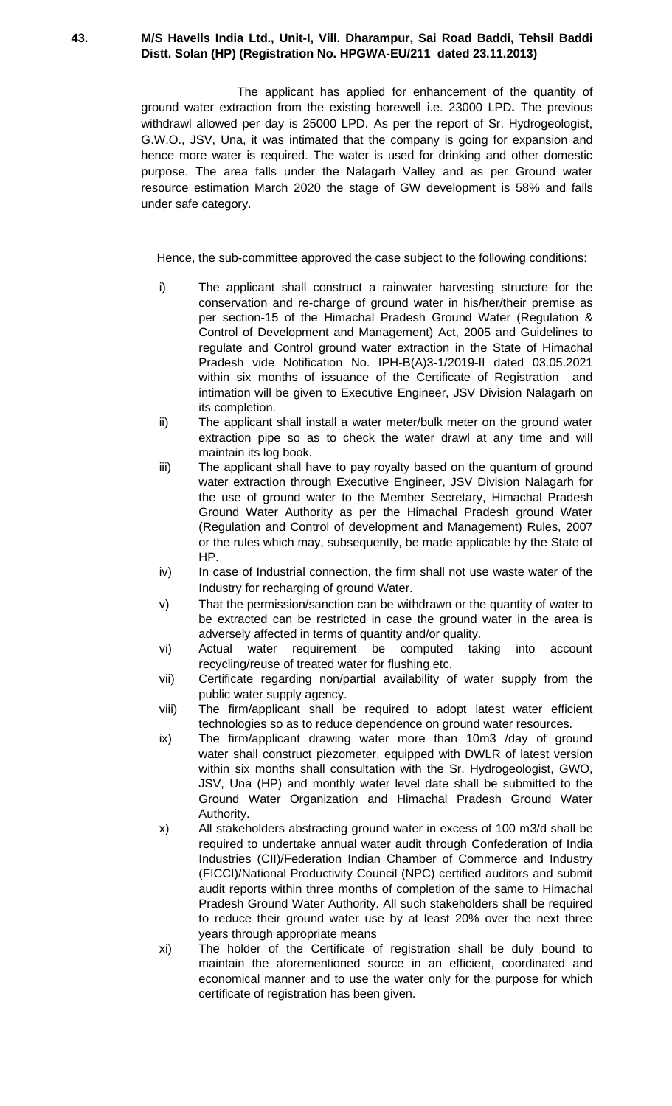#### **43. M/S Havells India Ltd., Unit-I, Vill. Dharampur, Sai Road Baddi, Tehsil Baddi Distt. Solan (HP) (Registration No. HPGWA-EU/211 dated 23.11.2013)**

The applicant has applied for enhancement of the quantity of ground water extraction from the existing borewell i.e. 23000 LPD**.** The previous withdrawl allowed per day is 25000 LPD. As per the report of Sr. Hydrogeologist, G.W.O., JSV, Una, it was intimated that the company is going for expansion and hence more water is required. The water is used for drinking and other domestic purpose. The area falls under the Nalagarh Valley and as per Ground water resource estimation March 2020 the stage of GW development is 58% and falls under safe category.

- i) The applicant shall construct a rainwater harvesting structure for the conservation and re-charge of ground water in his/her/their premise as per section-15 of the Himachal Pradesh Ground Water (Regulation & Control of Development and Management) Act, 2005 and Guidelines to regulate and Control ground water extraction in the State of Himachal Pradesh vide Notification No. IPH-B(A)3-1/2019-II dated 03.05.2021 within six months of issuance of the Certificate of Registration and intimation will be given to Executive Engineer, JSV Division Nalagarh on its completion.
- ii) The applicant shall install a water meter/bulk meter on the ground water extraction pipe so as to check the water drawl at any time and will maintain its log book.
- iii) The applicant shall have to pay royalty based on the quantum of ground water extraction through Executive Engineer, JSV Division Nalagarh for the use of ground water to the Member Secretary, Himachal Pradesh Ground Water Authority as per the Himachal Pradesh ground Water (Regulation and Control of development and Management) Rules, 2007 or the rules which may, subsequently, be made applicable by the State of HP.
- iv) In case of Industrial connection, the firm shall not use waste water of the Industry for recharging of ground Water.
- v) That the permission/sanction can be withdrawn or the quantity of water to be extracted can be restricted in case the ground water in the area is adversely affected in terms of quantity and/or quality.
- vi) Actual water requirement be computed taking into account recycling/reuse of treated water for flushing etc.
- vii) Certificate regarding non/partial availability of water supply from the public water supply agency.
- viii) The firm/applicant shall be required to adopt latest water efficient technologies so as to reduce dependence on ground water resources.
- ix) The firm/applicant drawing water more than 10m3 /day of ground water shall construct piezometer, equipped with DWLR of latest version within six months shall consultation with the Sr. Hydrogeologist, GWO, JSV, Una (HP) and monthly water level date shall be submitted to the Ground Water Organization and Himachal Pradesh Ground Water Authority.
- x) All stakeholders abstracting ground water in excess of 100 m3/d shall be required to undertake annual water audit through Confederation of India Industries (CII)/Federation Indian Chamber of Commerce and Industry (FICCI)/National Productivity Council (NPC) certified auditors and submit audit reports within three months of completion of the same to Himachal Pradesh Ground Water Authority. All such stakeholders shall be required to reduce their ground water use by at least 20% over the next three years through appropriate means
- xi) The holder of the Certificate of registration shall be duly bound to maintain the aforementioned source in an efficient, coordinated and economical manner and to use the water only for the purpose for which certificate of registration has been given.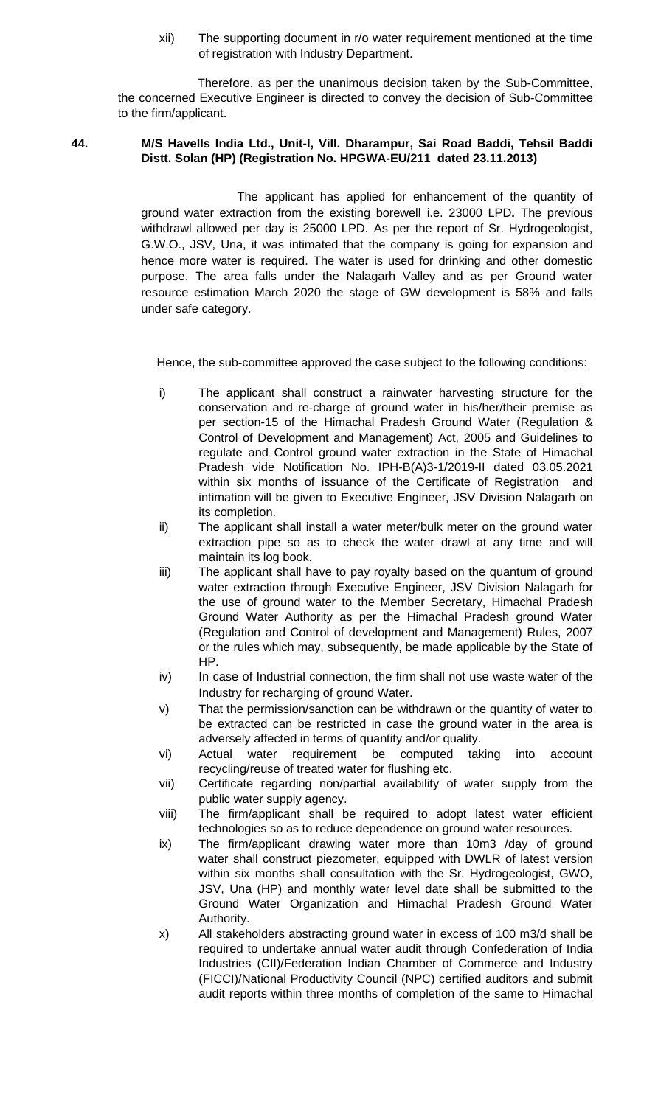xii) The supporting document in r/o water requirement mentioned at the time of registration with Industry Department.

Therefore, as per the unanimous decision taken by the Sub-Committee, the concerned Executive Engineer is directed to convey the decision of Sub-Committee to the firm/applicant.

#### **44. M/S Havells India Ltd., Unit-I, Vill. Dharampur, Sai Road Baddi, Tehsil Baddi Distt. Solan (HP) (Registration No. HPGWA-EU/211 dated 23.11.2013)**

The applicant has applied for enhancement of the quantity of ground water extraction from the existing borewell i.e. 23000 LPD**.** The previous withdrawl allowed per day is 25000 LPD. As per the report of Sr. Hydrogeologist, G.W.O., JSV, Una, it was intimated that the company is going for expansion and hence more water is required. The water is used for drinking and other domestic purpose. The area falls under the Nalagarh Valley and as per Ground water resource estimation March 2020 the stage of GW development is 58% and falls under safe category.

- i) The applicant shall construct a rainwater harvesting structure for the conservation and re-charge of ground water in his/her/their premise as per section-15 of the Himachal Pradesh Ground Water (Regulation & Control of Development and Management) Act, 2005 and Guidelines to regulate and Control ground water extraction in the State of Himachal Pradesh vide Notification No. IPH-B(A)3-1/2019-II dated 03.05.2021 within six months of issuance of the Certificate of Registration and intimation will be given to Executive Engineer, JSV Division Nalagarh on its completion.
- ii) The applicant shall install a water meter/bulk meter on the ground water extraction pipe so as to check the water drawl at any time and will maintain its log book.
- iii) The applicant shall have to pay royalty based on the quantum of ground water extraction through Executive Engineer, JSV Division Nalagarh for the use of ground water to the Member Secretary, Himachal Pradesh Ground Water Authority as per the Himachal Pradesh ground Water (Regulation and Control of development and Management) Rules, 2007 or the rules which may, subsequently, be made applicable by the State of HP.
- iv) In case of Industrial connection, the firm shall not use waste water of the Industry for recharging of ground Water.
- v) That the permission/sanction can be withdrawn or the quantity of water to be extracted can be restricted in case the ground water in the area is adversely affected in terms of quantity and/or quality.
- vi) Actual water requirement be computed taking into account recycling/reuse of treated water for flushing etc.
- vii) Certificate regarding non/partial availability of water supply from the public water supply agency.
- viii) The firm/applicant shall be required to adopt latest water efficient technologies so as to reduce dependence on ground water resources.
- ix) The firm/applicant drawing water more than 10m3 /day of ground water shall construct piezometer, equipped with DWLR of latest version within six months shall consultation with the Sr. Hydrogeologist, GWO, JSV, Una (HP) and monthly water level date shall be submitted to the Ground Water Organization and Himachal Pradesh Ground Water Authority.
- x) All stakeholders abstracting ground water in excess of 100 m3/d shall be required to undertake annual water audit through Confederation of India Industries (CII)/Federation Indian Chamber of Commerce and Industry (FICCI)/National Productivity Council (NPC) certified auditors and submit audit reports within three months of completion of the same to Himachal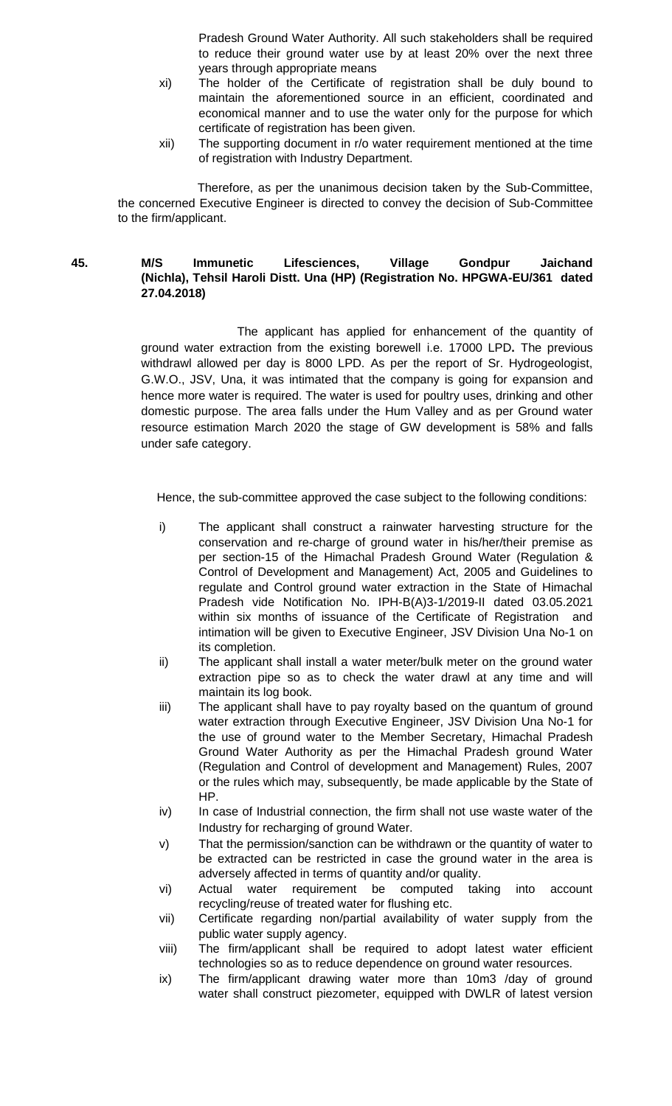Pradesh Ground Water Authority. All such stakeholders shall be required to reduce their ground water use by at least 20% over the next three years through appropriate means

- xi) The holder of the Certificate of registration shall be duly bound to maintain the aforementioned source in an efficient, coordinated and economical manner and to use the water only for the purpose for which certificate of registration has been given.
- xii) The supporting document in r/o water requirement mentioned at the time of registration with Industry Department.

Therefore, as per the unanimous decision taken by the Sub-Committee, the concerned Executive Engineer is directed to convey the decision of Sub-Committee to the firm/applicant.

### **45. M/S Immunetic Lifesciences, Village Gondpur Jaichand (Nichla), Tehsil Haroli Distt. Una (HP) (Registration No. HPGWA-EU/361 dated 27.04.2018)**

The applicant has applied for enhancement of the quantity of ground water extraction from the existing borewell i.e. 17000 LPD**.** The previous withdrawl allowed per day is 8000 LPD. As per the report of Sr. Hydrogeologist, G.W.O., JSV, Una, it was intimated that the company is going for expansion and hence more water is required. The water is used for poultry uses, drinking and other domestic purpose. The area falls under the Hum Valley and as per Ground water resource estimation March 2020 the stage of GW development is 58% and falls under safe category.

- i) The applicant shall construct a rainwater harvesting structure for the conservation and re-charge of ground water in his/her/their premise as per section-15 of the Himachal Pradesh Ground Water (Regulation & Control of Development and Management) Act, 2005 and Guidelines to regulate and Control ground water extraction in the State of Himachal Pradesh vide Notification No. IPH-B(A)3-1/2019-II dated 03.05.2021 within six months of issuance of the Certificate of Registration and intimation will be given to Executive Engineer, JSV Division Una No-1 on its completion.
- ii) The applicant shall install a water meter/bulk meter on the ground water extraction pipe so as to check the water drawl at any time and will maintain its log book.
- iii) The applicant shall have to pay royalty based on the quantum of ground water extraction through Executive Engineer, JSV Division Una No-1 for the use of ground water to the Member Secretary, Himachal Pradesh Ground Water Authority as per the Himachal Pradesh ground Water (Regulation and Control of development and Management) Rules, 2007 or the rules which may, subsequently, be made applicable by the State of HP.
- iv) In case of Industrial connection, the firm shall not use waste water of the Industry for recharging of ground Water.
- v) That the permission/sanction can be withdrawn or the quantity of water to be extracted can be restricted in case the ground water in the area is adversely affected in terms of quantity and/or quality.
- vi) Actual water requirement be computed taking into account recycling/reuse of treated water for flushing etc.
- vii) Certificate regarding non/partial availability of water supply from the public water supply agency.
- viii) The firm/applicant shall be required to adopt latest water efficient technologies so as to reduce dependence on ground water resources.
- ix) The firm/applicant drawing water more than 10m3 /day of ground water shall construct piezometer, equipped with DWLR of latest version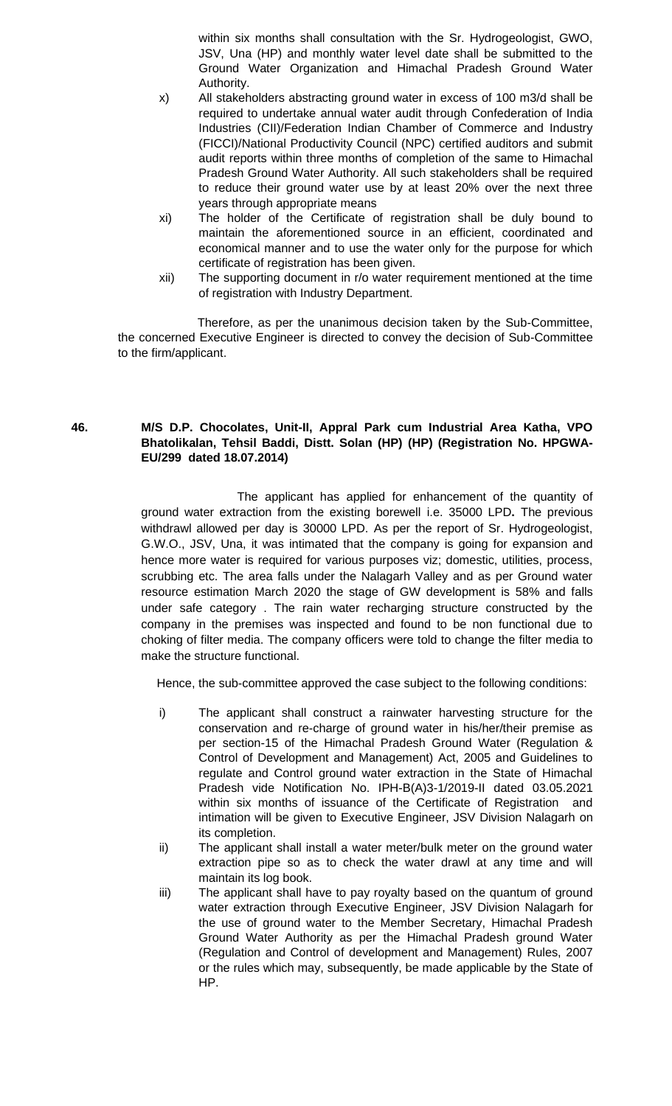within six months shall consultation with the Sr. Hydrogeologist, GWO, JSV, Una (HP) and monthly water level date shall be submitted to the Ground Water Organization and Himachal Pradesh Ground Water Authority.

- x) All stakeholders abstracting ground water in excess of 100 m3/d shall be required to undertake annual water audit through Confederation of India Industries (CII)/Federation Indian Chamber of Commerce and Industry (FICCI)/National Productivity Council (NPC) certified auditors and submit audit reports within three months of completion of the same to Himachal Pradesh Ground Water Authority. All such stakeholders shall be required to reduce their ground water use by at least 20% over the next three years through appropriate means
- xi) The holder of the Certificate of registration shall be duly bound to maintain the aforementioned source in an efficient, coordinated and economical manner and to use the water only for the purpose for which certificate of registration has been given.
- xii) The supporting document in r/o water requirement mentioned at the time of registration with Industry Department.

Therefore, as per the unanimous decision taken by the Sub-Committee, the concerned Executive Engineer is directed to convey the decision of Sub-Committee to the firm/applicant.

### **46. M/S D.P. Chocolates, Unit-II, Appral Park cum Industrial Area Katha, VPO Bhatolikalan, Tehsil Baddi, Distt. Solan (HP) (HP) (Registration No. HPGWA-EU/299 dated 18.07.2014)**

The applicant has applied for enhancement of the quantity of ground water extraction from the existing borewell i.e. 35000 LPD**.** The previous withdrawl allowed per day is 30000 LPD. As per the report of Sr. Hydrogeologist, G.W.O., JSV, Una, it was intimated that the company is going for expansion and hence more water is required for various purposes viz; domestic, utilities, process, scrubbing etc. The area falls under the Nalagarh Valley and as per Ground water resource estimation March 2020 the stage of GW development is 58% and falls under safe category . The rain water recharging structure constructed by the company in the premises was inspected and found to be non functional due to choking of filter media. The company officers were told to change the filter media to make the structure functional.

- i) The applicant shall construct a rainwater harvesting structure for the conservation and re-charge of ground water in his/her/their premise as per section-15 of the Himachal Pradesh Ground Water (Regulation & Control of Development and Management) Act, 2005 and Guidelines to regulate and Control ground water extraction in the State of Himachal Pradesh vide Notification No. IPH-B(A)3-1/2019-II dated 03.05.2021 within six months of issuance of the Certificate of Registration and intimation will be given to Executive Engineer, JSV Division Nalagarh on its completion.
- ii) The applicant shall install a water meter/bulk meter on the ground water extraction pipe so as to check the water drawl at any time and will maintain its log book.
- iii) The applicant shall have to pay royalty based on the quantum of ground water extraction through Executive Engineer, JSV Division Nalagarh for the use of ground water to the Member Secretary, Himachal Pradesh Ground Water Authority as per the Himachal Pradesh ground Water (Regulation and Control of development and Management) Rules, 2007 or the rules which may, subsequently, be made applicable by the State of HP.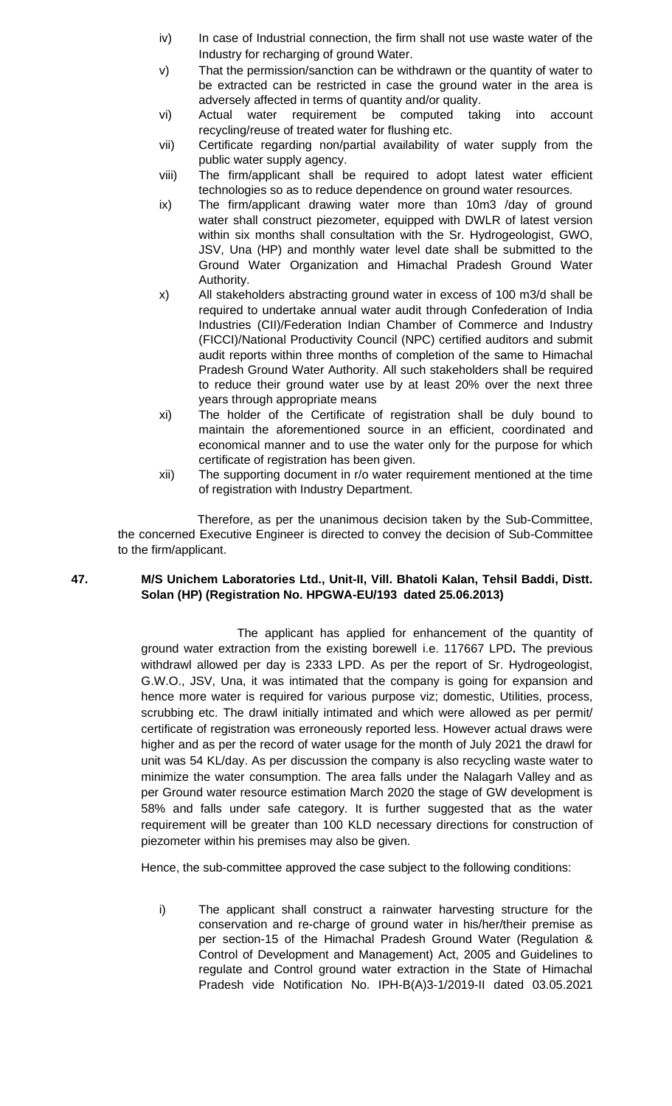- iv) In case of Industrial connection, the firm shall not use waste water of the Industry for recharging of ground Water.
- v) That the permission/sanction can be withdrawn or the quantity of water to be extracted can be restricted in case the ground water in the area is adversely affected in terms of quantity and/or quality.
- vi) Actual water requirement be computed taking into account recycling/reuse of treated water for flushing etc.
- vii) Certificate regarding non/partial availability of water supply from the public water supply agency.
- viii) The firm/applicant shall be required to adopt latest water efficient technologies so as to reduce dependence on ground water resources.
- ix) The firm/applicant drawing water more than 10m3 /day of ground water shall construct piezometer, equipped with DWLR of latest version within six months shall consultation with the Sr. Hydrogeologist, GWO, JSV, Una (HP) and monthly water level date shall be submitted to the Ground Water Organization and Himachal Pradesh Ground Water Authority.
- x) All stakeholders abstracting ground water in excess of 100 m3/d shall be required to undertake annual water audit through Confederation of India Industries (CII)/Federation Indian Chamber of Commerce and Industry (FICCI)/National Productivity Council (NPC) certified auditors and submit audit reports within three months of completion of the same to Himachal Pradesh Ground Water Authority. All such stakeholders shall be required to reduce their ground water use by at least 20% over the next three years through appropriate means
- xi) The holder of the Certificate of registration shall be duly bound to maintain the aforementioned source in an efficient, coordinated and economical manner and to use the water only for the purpose for which certificate of registration has been given.
- xii) The supporting document in r/o water requirement mentioned at the time of registration with Industry Department.

# **47. M/S Unichem Laboratories Ltd., Unit-II, Vill. Bhatoli Kalan, Tehsil Baddi, Distt. Solan (HP) (Registration No. HPGWA-EU/193 dated 25.06.2013)**

The applicant has applied for enhancement of the quantity of ground water extraction from the existing borewell i.e. 117667 LPD**.** The previous withdrawl allowed per day is 2333 LPD. As per the report of Sr. Hydrogeologist, G.W.O., JSV, Una, it was intimated that the company is going for expansion and hence more water is required for various purpose viz; domestic, Utilities, process, scrubbing etc. The drawl initially intimated and which were allowed as per permit/ certificate of registration was erroneously reported less. However actual draws were higher and as per the record of water usage for the month of July 2021 the drawl for unit was 54 KL/day. As per discussion the company is also recycling waste water to minimize the water consumption. The area falls under the Nalagarh Valley and as per Ground water resource estimation March 2020 the stage of GW development is 58% and falls under safe category. It is further suggested that as the water requirement will be greater than 100 KLD necessary directions for construction of piezometer within his premises may also be given.

Hence, the sub-committee approved the case subject to the following conditions:

i) The applicant shall construct a rainwater harvesting structure for the conservation and re-charge of ground water in his/her/their premise as per section-15 of the Himachal Pradesh Ground Water (Regulation & Control of Development and Management) Act, 2005 and Guidelines to regulate and Control ground water extraction in the State of Himachal Pradesh vide Notification No. IPH-B(A)3-1/2019-II dated 03.05.2021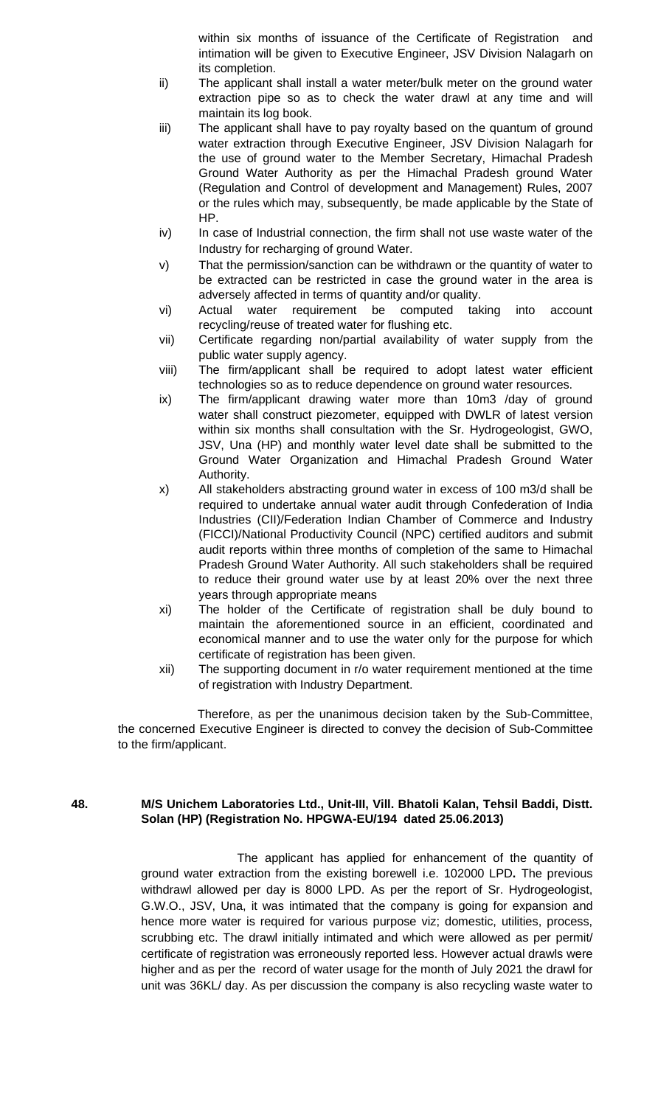within six months of issuance of the Certificate of Registration and intimation will be given to Executive Engineer, JSV Division Nalagarh on its completion.

- ii) The applicant shall install a water meter/bulk meter on the ground water extraction pipe so as to check the water drawl at any time and will maintain its log book.
- iii) The applicant shall have to pay royalty based on the quantum of ground water extraction through Executive Engineer, JSV Division Nalagarh for the use of ground water to the Member Secretary, Himachal Pradesh Ground Water Authority as per the Himachal Pradesh ground Water (Regulation and Control of development and Management) Rules, 2007 or the rules which may, subsequently, be made applicable by the State of HP.
- iv) In case of Industrial connection, the firm shall not use waste water of the Industry for recharging of ground Water.
- v) That the permission/sanction can be withdrawn or the quantity of water to be extracted can be restricted in case the ground water in the area is adversely affected in terms of quantity and/or quality.
- vi) Actual water requirement be computed taking into account recycling/reuse of treated water for flushing etc.
- vii) Certificate regarding non/partial availability of water supply from the public water supply agency.
- viii) The firm/applicant shall be required to adopt latest water efficient technologies so as to reduce dependence on ground water resources.
- ix) The firm/applicant drawing water more than 10m3 /day of ground water shall construct piezometer, equipped with DWLR of latest version within six months shall consultation with the Sr. Hydrogeologist, GWO, JSV, Una (HP) and monthly water level date shall be submitted to the Ground Water Organization and Himachal Pradesh Ground Water Authority.
- x) All stakeholders abstracting ground water in excess of 100 m3/d shall be required to undertake annual water audit through Confederation of India Industries (CII)/Federation Indian Chamber of Commerce and Industry (FICCI)/National Productivity Council (NPC) certified auditors and submit audit reports within three months of completion of the same to Himachal Pradesh Ground Water Authority. All such stakeholders shall be required to reduce their ground water use by at least 20% over the next three years through appropriate means
- xi) The holder of the Certificate of registration shall be duly bound to maintain the aforementioned source in an efficient, coordinated and economical manner and to use the water only for the purpose for which certificate of registration has been given.
- xii) The supporting document in r/o water requirement mentioned at the time of registration with Industry Department.

Therefore, as per the unanimous decision taken by the Sub-Committee, the concerned Executive Engineer is directed to convey the decision of Sub-Committee to the firm/applicant.

### **48. M/S Unichem Laboratories Ltd., Unit-III, Vill. Bhatoli Kalan, Tehsil Baddi, Distt. Solan (HP) (Registration No. HPGWA-EU/194 dated 25.06.2013)**

The applicant has applied for enhancement of the quantity of ground water extraction from the existing borewell i.e. 102000 LPD**.** The previous withdrawl allowed per day is 8000 LPD. As per the report of Sr. Hydrogeologist, G.W.O., JSV, Una, it was intimated that the company is going for expansion and hence more water is required for various purpose viz; domestic, utilities, process, scrubbing etc. The drawl initially intimated and which were allowed as per permit/ certificate of registration was erroneously reported less. However actual drawls were higher and as per the record of water usage for the month of July 2021 the drawl for unit was 36KL/ day. As per discussion the company is also recycling waste water to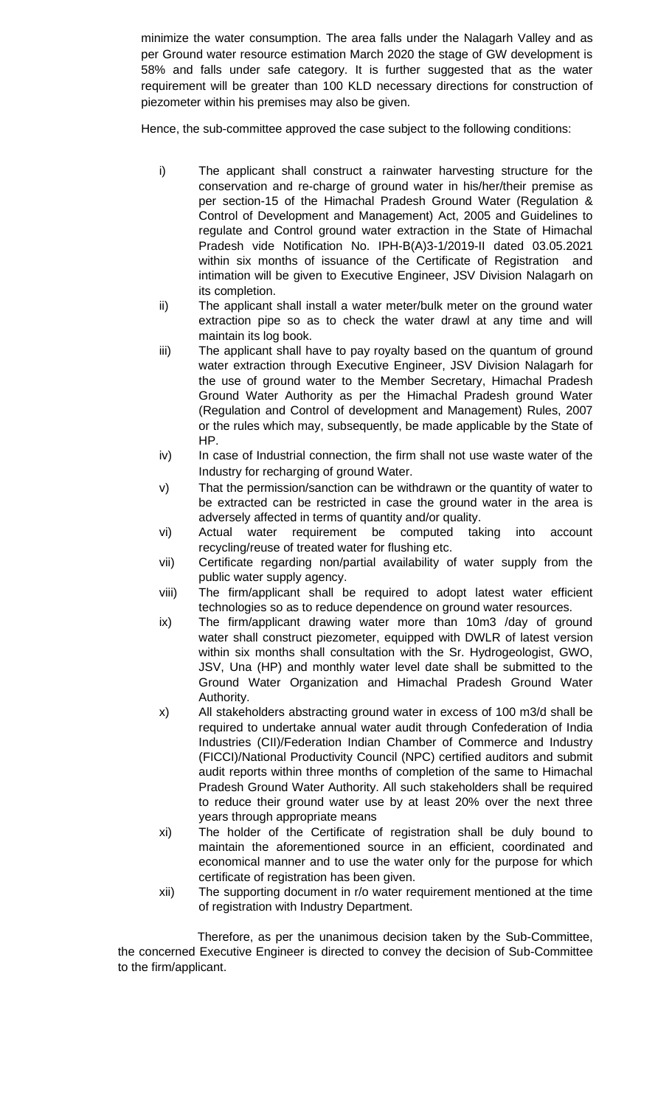minimize the water consumption. The area falls under the Nalagarh Valley and as per Ground water resource estimation March 2020 the stage of GW development is 58% and falls under safe category. It is further suggested that as the water requirement will be greater than 100 KLD necessary directions for construction of piezometer within his premises may also be given.

Hence, the sub-committee approved the case subject to the following conditions:

- i) The applicant shall construct a rainwater harvesting structure for the conservation and re-charge of ground water in his/her/their premise as per section-15 of the Himachal Pradesh Ground Water (Regulation & Control of Development and Management) Act, 2005 and Guidelines to regulate and Control ground water extraction in the State of Himachal Pradesh vide Notification No. IPH-B(A)3-1/2019-II dated 03.05.2021 within six months of issuance of the Certificate of Registration and intimation will be given to Executive Engineer, JSV Division Nalagarh on its completion.
- ii) The applicant shall install a water meter/bulk meter on the ground water extraction pipe so as to check the water drawl at any time and will maintain its log book.
- iii) The applicant shall have to pay royalty based on the quantum of ground water extraction through Executive Engineer, JSV Division Nalagarh for the use of ground water to the Member Secretary, Himachal Pradesh Ground Water Authority as per the Himachal Pradesh ground Water (Regulation and Control of development and Management) Rules, 2007 or the rules which may, subsequently, be made applicable by the State of HP.
- iv) In case of Industrial connection, the firm shall not use waste water of the Industry for recharging of ground Water.
- v) That the permission/sanction can be withdrawn or the quantity of water to be extracted can be restricted in case the ground water in the area is adversely affected in terms of quantity and/or quality.
- vi) Actual water requirement be computed taking into account recycling/reuse of treated water for flushing etc.
- vii) Certificate regarding non/partial availability of water supply from the public water supply agency.
- viii) The firm/applicant shall be required to adopt latest water efficient technologies so as to reduce dependence on ground water resources.
- ix) The firm/applicant drawing water more than 10m3 /day of ground water shall construct piezometer, equipped with DWLR of latest version within six months shall consultation with the Sr. Hydrogeologist, GWO, JSV, Una (HP) and monthly water level date shall be submitted to the Ground Water Organization and Himachal Pradesh Ground Water Authority.
- x) All stakeholders abstracting ground water in excess of 100 m3/d shall be required to undertake annual water audit through Confederation of India Industries (CII)/Federation Indian Chamber of Commerce and Industry (FICCI)/National Productivity Council (NPC) certified auditors and submit audit reports within three months of completion of the same to Himachal Pradesh Ground Water Authority. All such stakeholders shall be required to reduce their ground water use by at least 20% over the next three years through appropriate means
- xi) The holder of the Certificate of registration shall be duly bound to maintain the aforementioned source in an efficient, coordinated and economical manner and to use the water only for the purpose for which certificate of registration has been given.
- xii) The supporting document in r/o water requirement mentioned at the time of registration with Industry Department.

Therefore, as per the unanimous decision taken by the Sub-Committee, the concerned Executive Engineer is directed to convey the decision of Sub-Committee to the firm/applicant.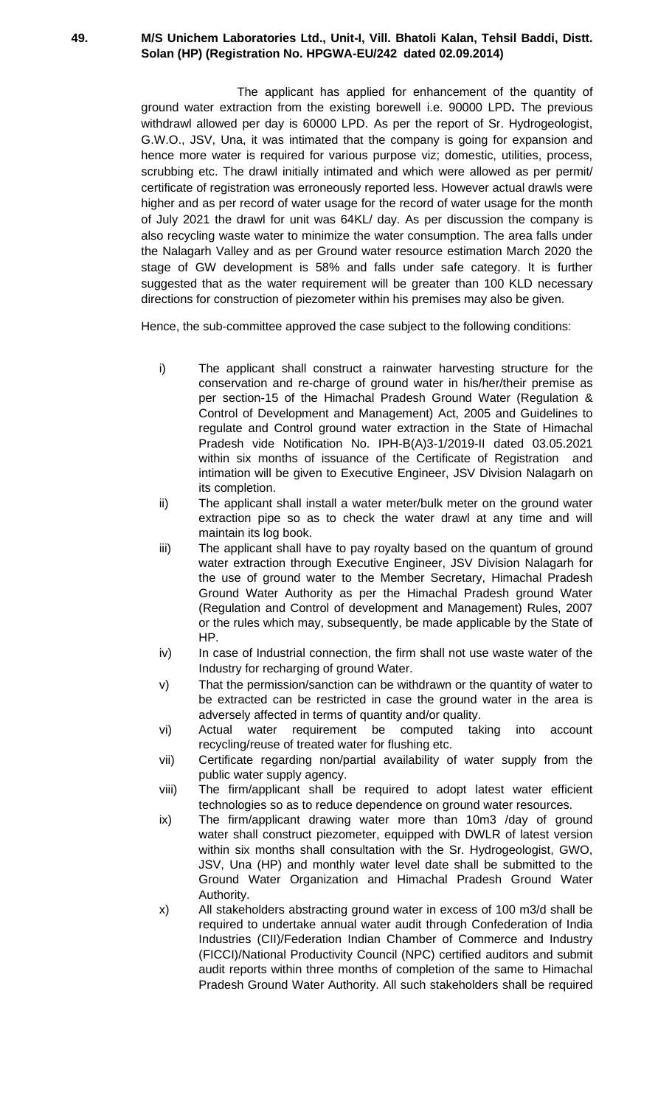#### **49. M/S Unichem Laboratories Ltd., Unit-I, Vill. Bhatoli Kalan, Tehsil Baddi, Distt. Solan (HP) (Registration No. HPGWA-EU/242 dated 02.09.2014)**

The applicant has applied for enhancement of the quantity of ground water extraction from the existing borewell i.e. 90000 LPD**.** The previous withdrawl allowed per day is 60000 LPD. As per the report of Sr. Hydrogeologist, G.W.O., JSV, Una, it was intimated that the company is going for expansion and hence more water is required for various purpose viz; domestic, utilities, process, scrubbing etc. The drawl initially intimated and which were allowed as per permit/ certificate of registration was erroneously reported less. However actual drawls were higher and as per record of water usage for the record of water usage for the month of July 2021 the drawl for unit was 64KL/ day. As per discussion the company is also recycling waste water to minimize the water consumption. The area falls under the Nalagarh Valley and as per Ground water resource estimation March 2020 the stage of GW development is 58% and falls under safe category. It is further suggested that as the water requirement will be greater than 100 KLD necessary directions for construction of piezometer within his premises may also be given.

- i) The applicant shall construct a rainwater harvesting structure for the conservation and re-charge of ground water in his/her/their premise as per section-15 of the Himachal Pradesh Ground Water (Regulation & Control of Development and Management) Act, 2005 and Guidelines to regulate and Control ground water extraction in the State of Himachal Pradesh vide Notification No. IPH-B(A)3-1/2019-II dated 03.05.2021 within six months of issuance of the Certificate of Registration and intimation will be given to Executive Engineer, JSV Division Nalagarh on its completion.
- ii) The applicant shall install a water meter/bulk meter on the ground water extraction pipe so as to check the water drawl at any time and will maintain its log book.
- iii) The applicant shall have to pay royalty based on the quantum of ground water extraction through Executive Engineer, JSV Division Nalagarh for the use of ground water to the Member Secretary, Himachal Pradesh Ground Water Authority as per the Himachal Pradesh ground Water (Regulation and Control of development and Management) Rules, 2007 or the rules which may, subsequently, be made applicable by the State of HP.
- iv) In case of Industrial connection, the firm shall not use waste water of the Industry for recharging of ground Water.
- v) That the permission/sanction can be withdrawn or the quantity of water to be extracted can be restricted in case the ground water in the area is adversely affected in terms of quantity and/or quality.
- vi) Actual water requirement be computed taking into account recycling/reuse of treated water for flushing etc.
- vii) Certificate regarding non/partial availability of water supply from the public water supply agency.
- viii) The firm/applicant shall be required to adopt latest water efficient technologies so as to reduce dependence on ground water resources.
- ix) The firm/applicant drawing water more than 10m3 /day of ground water shall construct piezometer, equipped with DWLR of latest version within six months shall consultation with the Sr. Hydrogeologist, GWO, JSV, Una (HP) and monthly water level date shall be submitted to the Ground Water Organization and Himachal Pradesh Ground Water Authority.
- x) All stakeholders abstracting ground water in excess of 100 m3/d shall be required to undertake annual water audit through Confederation of India Industries (CII)/Federation Indian Chamber of Commerce and Industry (FICCI)/National Productivity Council (NPC) certified auditors and submit audit reports within three months of completion of the same to Himachal Pradesh Ground Water Authority. All such stakeholders shall be required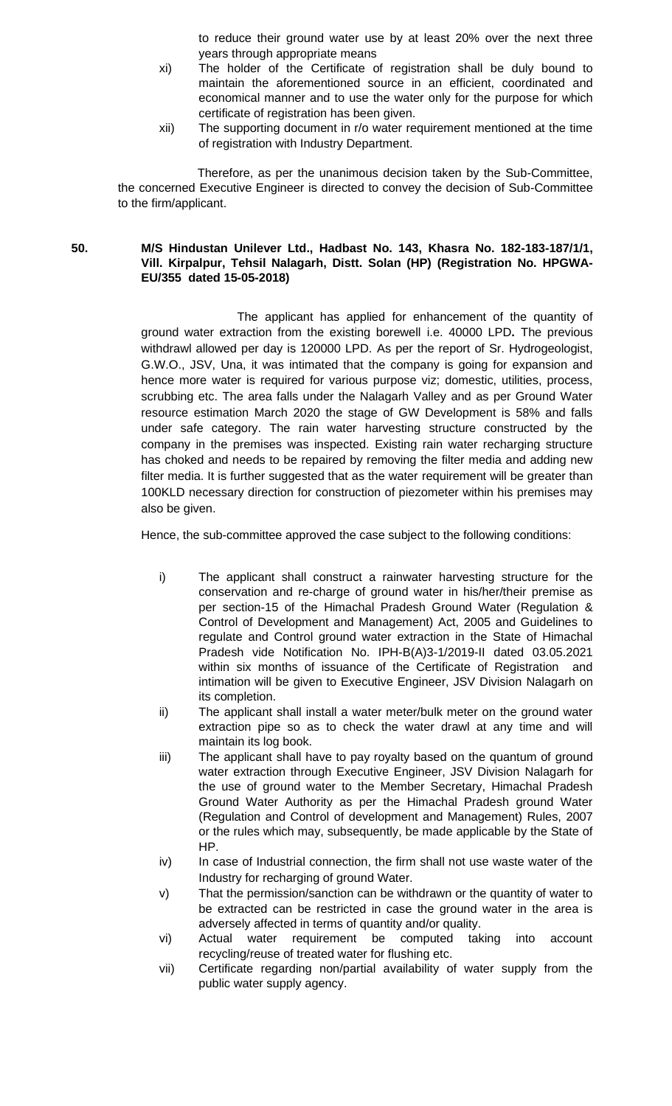to reduce their ground water use by at least 20% over the next three years through appropriate means

- xi) The holder of the Certificate of registration shall be duly bound to maintain the aforementioned source in an efficient, coordinated and economical manner and to use the water only for the purpose for which certificate of registration has been given.
- xii) The supporting document in r/o water requirement mentioned at the time of registration with Industry Department.

Therefore, as per the unanimous decision taken by the Sub-Committee, the concerned Executive Engineer is directed to convey the decision of Sub-Committee to the firm/applicant.

## **50. M/S Hindustan Unilever Ltd., Hadbast No. 143, Khasra No. 182-183-187/1/1, Vill. Kirpalpur, Tehsil Nalagarh, Distt. Solan (HP) (Registration No. HPGWA-EU/355 dated 15-05-2018)**

The applicant has applied for enhancement of the quantity of ground water extraction from the existing borewell i.e. 40000 LPD**.** The previous withdrawl allowed per day is 120000 LPD. As per the report of Sr. Hydrogeologist, G.W.O., JSV, Una, it was intimated that the company is going for expansion and hence more water is required for various purpose viz; domestic, utilities, process, scrubbing etc. The area falls under the Nalagarh Valley and as per Ground Water resource estimation March 2020 the stage of GW Development is 58% and falls under safe category. The rain water harvesting structure constructed by the company in the premises was inspected. Existing rain water recharging structure has choked and needs to be repaired by removing the filter media and adding new filter media. It is further suggested that as the water requirement will be greater than 100KLD necessary direction for construction of piezometer within his premises may also be given.

- i) The applicant shall construct a rainwater harvesting structure for the conservation and re-charge of ground water in his/her/their premise as per section-15 of the Himachal Pradesh Ground Water (Regulation & Control of Development and Management) Act, 2005 and Guidelines to regulate and Control ground water extraction in the State of Himachal Pradesh vide Notification No. IPH-B(A)3-1/2019-II dated 03.05.2021 within six months of issuance of the Certificate of Registration and intimation will be given to Executive Engineer, JSV Division Nalagarh on its completion.
- ii) The applicant shall install a water meter/bulk meter on the ground water extraction pipe so as to check the water drawl at any time and will maintain its log book.
- iii) The applicant shall have to pay royalty based on the quantum of ground water extraction through Executive Engineer, JSV Division Nalagarh for the use of ground water to the Member Secretary, Himachal Pradesh Ground Water Authority as per the Himachal Pradesh ground Water (Regulation and Control of development and Management) Rules, 2007 or the rules which may, subsequently, be made applicable by the State of HP.
- iv) In case of Industrial connection, the firm shall not use waste water of the Industry for recharging of ground Water.
- v) That the permission/sanction can be withdrawn or the quantity of water to be extracted can be restricted in case the ground water in the area is adversely affected in terms of quantity and/or quality.
- vi) Actual water requirement be computed taking into account recycling/reuse of treated water for flushing etc.
- vii) Certificate regarding non/partial availability of water supply from the public water supply agency.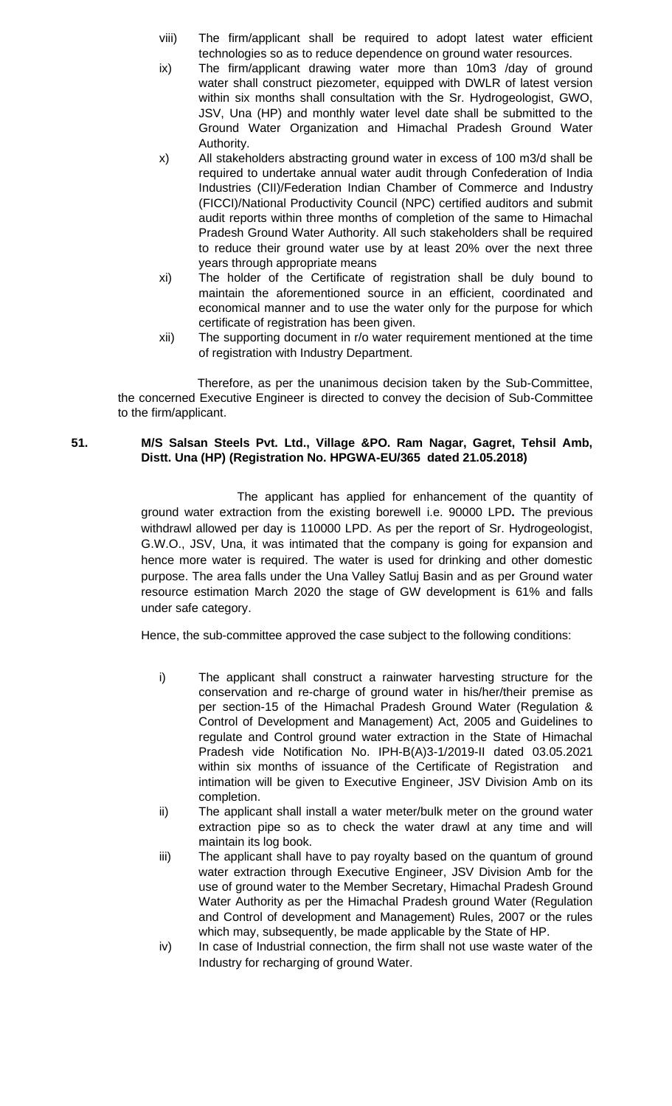- viii) The firm/applicant shall be required to adopt latest water efficient technologies so as to reduce dependence on ground water resources.
- ix) The firm/applicant drawing water more than 10m3 /day of ground water shall construct piezometer, equipped with DWLR of latest version within six months shall consultation with the Sr. Hydrogeologist, GWO, JSV, Una (HP) and monthly water level date shall be submitted to the Ground Water Organization and Himachal Pradesh Ground Water Authority.
- x) All stakeholders abstracting ground water in excess of 100 m3/d shall be required to undertake annual water audit through Confederation of India Industries (CII)/Federation Indian Chamber of Commerce and Industry (FICCI)/National Productivity Council (NPC) certified auditors and submit audit reports within three months of completion of the same to Himachal Pradesh Ground Water Authority. All such stakeholders shall be required to reduce their ground water use by at least 20% over the next three years through appropriate means
- xi) The holder of the Certificate of registration shall be duly bound to maintain the aforementioned source in an efficient, coordinated and economical manner and to use the water only for the purpose for which certificate of registration has been given.
- xii) The supporting document in r/o water requirement mentioned at the time of registration with Industry Department.

# **51. M/S Salsan Steels Pvt. Ltd., Village &PO. Ram Nagar, Gagret, Tehsil Amb, Distt. Una (HP) (Registration No. HPGWA-EU/365 dated 21.05.2018)**

The applicant has applied for enhancement of the quantity of ground water extraction from the existing borewell i.e. 90000 LPD**.** The previous withdrawl allowed per day is 110000 LPD. As per the report of Sr. Hydrogeologist, G.W.O., JSV, Una, it was intimated that the company is going for expansion and hence more water is required. The water is used for drinking and other domestic purpose. The area falls under the Una Valley Satluj Basin and as per Ground water resource estimation March 2020 the stage of GW development is 61% and falls under safe category.

- i) The applicant shall construct a rainwater harvesting structure for the conservation and re-charge of ground water in his/her/their premise as per section-15 of the Himachal Pradesh Ground Water (Regulation & Control of Development and Management) Act, 2005 and Guidelines to regulate and Control ground water extraction in the State of Himachal Pradesh vide Notification No. IPH-B(A)3-1/2019-II dated 03.05.2021 within six months of issuance of the Certificate of Registration and intimation will be given to Executive Engineer, JSV Division Amb on its completion.
- ii) The applicant shall install a water meter/bulk meter on the ground water extraction pipe so as to check the water drawl at any time and will maintain its log book.
- iii) The applicant shall have to pay royalty based on the quantum of ground water extraction through Executive Engineer, JSV Division Amb for the use of ground water to the Member Secretary, Himachal Pradesh Ground Water Authority as per the Himachal Pradesh ground Water (Regulation and Control of development and Management) Rules, 2007 or the rules which may, subsequently, be made applicable by the State of HP.
- iv) In case of Industrial connection, the firm shall not use waste water of the Industry for recharging of ground Water.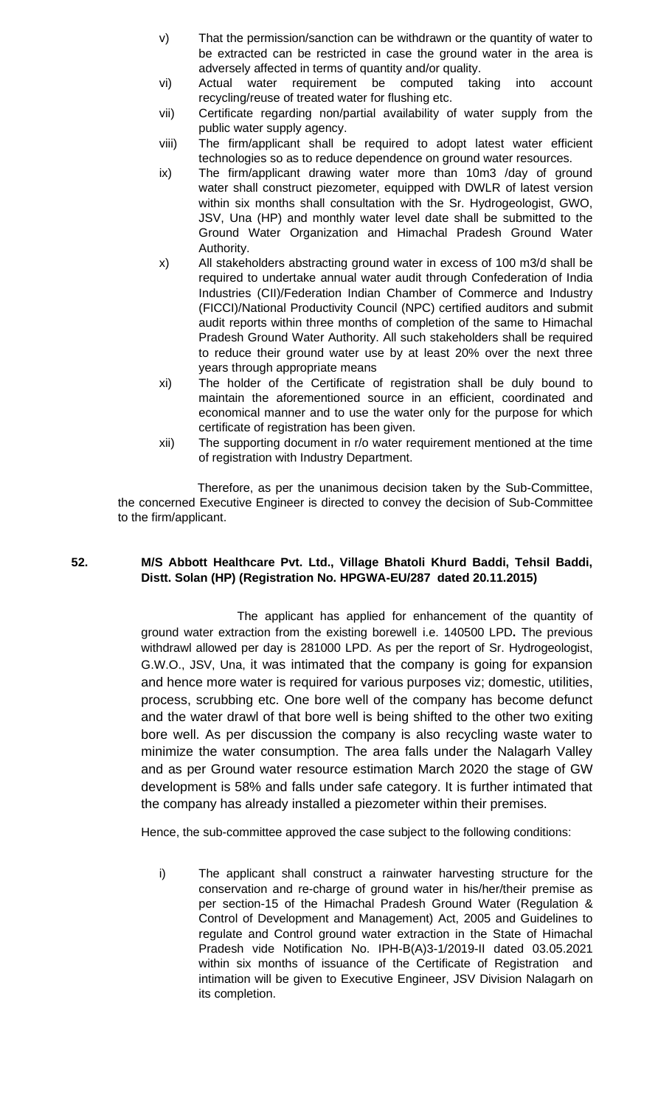- v) That the permission/sanction can be withdrawn or the quantity of water to be extracted can be restricted in case the ground water in the area is adversely affected in terms of quantity and/or quality.
- vi) Actual water requirement be computed taking into account recycling/reuse of treated water for flushing etc.
- vii) Certificate regarding non/partial availability of water supply from the public water supply agency.
- viii) The firm/applicant shall be required to adopt latest water efficient technologies so as to reduce dependence on ground water resources.
- ix) The firm/applicant drawing water more than 10m3 /day of ground water shall construct piezometer, equipped with DWLR of latest version within six months shall consultation with the Sr. Hydrogeologist, GWO, JSV, Una (HP) and monthly water level date shall be submitted to the Ground Water Organization and Himachal Pradesh Ground Water Authority.
- x) All stakeholders abstracting ground water in excess of 100 m3/d shall be required to undertake annual water audit through Confederation of India Industries (CII)/Federation Indian Chamber of Commerce and Industry (FICCI)/National Productivity Council (NPC) certified auditors and submit audit reports within three months of completion of the same to Himachal Pradesh Ground Water Authority. All such stakeholders shall be required to reduce their ground water use by at least 20% over the next three years through appropriate means
- xi) The holder of the Certificate of registration shall be duly bound to maintain the aforementioned source in an efficient, coordinated and economical manner and to use the water only for the purpose for which certificate of registration has been given.
- xii) The supporting document in r/o water requirement mentioned at the time of registration with Industry Department.

### **52. M/S Abbott Healthcare Pvt. Ltd., Village Bhatoli Khurd Baddi, Tehsil Baddi, Distt. Solan (HP) (Registration No. HPGWA-EU/287 dated 20.11.2015)**

The applicant has applied for enhancement of the quantity of ground water extraction from the existing borewell i.e. 140500 LPD**.** The previous withdrawl allowed per day is 281000 LPD. As per the report of Sr. Hydrogeologist, G.W.O., JSV, Una, it was intimated that the company is going for expansion and hence more water is required for various purposes viz; domestic, utilities, process, scrubbing etc. One bore well of the company has become defunct and the water drawl of that bore well is being shifted to the other two exiting bore well. As per discussion the company is also recycling waste water to minimize the water consumption. The area falls under the Nalagarh Valley and as per Ground water resource estimation March 2020 the stage of GW development is 58% and falls under safe category. It is further intimated that the company has already installed a piezometer within their premises.

Hence, the sub-committee approved the case subject to the following conditions:

i) The applicant shall construct a rainwater harvesting structure for the conservation and re-charge of ground water in his/her/their premise as per section-15 of the Himachal Pradesh Ground Water (Regulation & Control of Development and Management) Act, 2005 and Guidelines to regulate and Control ground water extraction in the State of Himachal Pradesh vide Notification No. IPH-B(A)3-1/2019-II dated 03.05.2021 within six months of issuance of the Certificate of Registration and intimation will be given to Executive Engineer, JSV Division Nalagarh on its completion.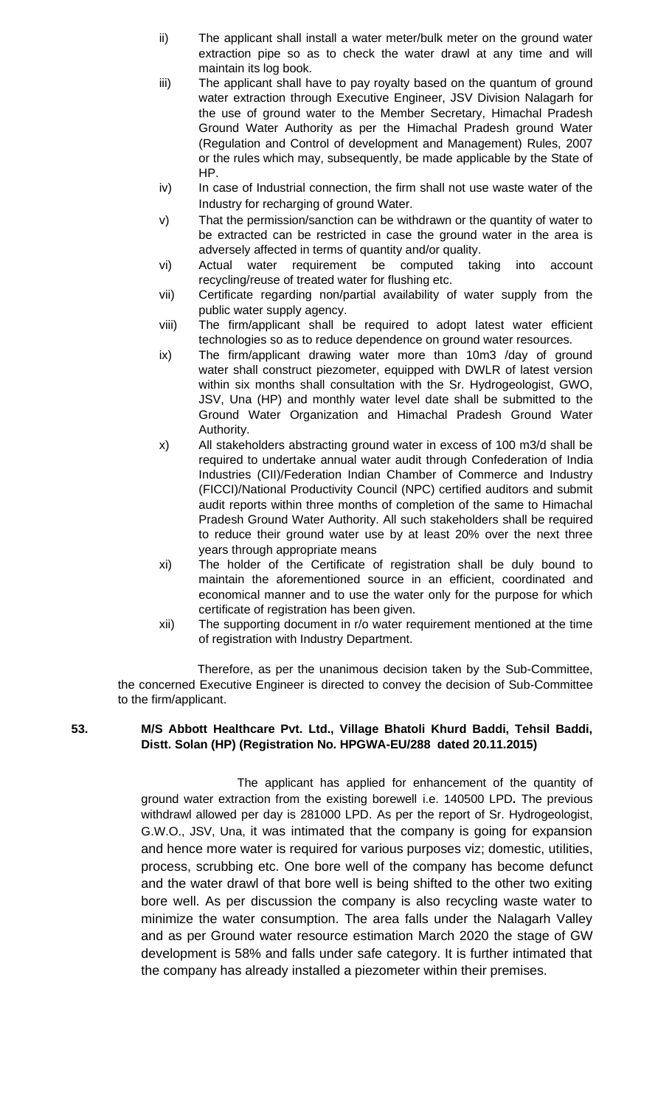- ii) The applicant shall install a water meter/bulk meter on the ground water extraction pipe so as to check the water drawl at any time and will maintain its log book.
- iii) The applicant shall have to pay royalty based on the quantum of ground water extraction through Executive Engineer, JSV Division Nalagarh for the use of ground water to the Member Secretary, Himachal Pradesh Ground Water Authority as per the Himachal Pradesh ground Water (Regulation and Control of development and Management) Rules, 2007 or the rules which may, subsequently, be made applicable by the State of HP.
- iv) In case of Industrial connection, the firm shall not use waste water of the Industry for recharging of ground Water.
- v) That the permission/sanction can be withdrawn or the quantity of water to be extracted can be restricted in case the ground water in the area is adversely affected in terms of quantity and/or quality.
- vi) Actual water requirement be computed taking into account recycling/reuse of treated water for flushing etc.
- vii) Certificate regarding non/partial availability of water supply from the public water supply agency.
- viii) The firm/applicant shall be required to adopt latest water efficient technologies so as to reduce dependence on ground water resources.
- ix) The firm/applicant drawing water more than 10m3 /day of ground water shall construct piezometer, equipped with DWLR of latest version within six months shall consultation with the Sr. Hydrogeologist, GWO, JSV, Una (HP) and monthly water level date shall be submitted to the Ground Water Organization and Himachal Pradesh Ground Water Authority.
- x) All stakeholders abstracting ground water in excess of 100 m3/d shall be required to undertake annual water audit through Confederation of India Industries (CII)/Federation Indian Chamber of Commerce and Industry (FICCI)/National Productivity Council (NPC) certified auditors and submit audit reports within three months of completion of the same to Himachal Pradesh Ground Water Authority. All such stakeholders shall be required to reduce their ground water use by at least 20% over the next three years through appropriate means
- xi) The holder of the Certificate of registration shall be duly bound to maintain the aforementioned source in an efficient, coordinated and economical manner and to use the water only for the purpose for which certificate of registration has been given.
- xii) The supporting document in r/o water requirement mentioned at the time of registration with Industry Department.

### **53. M/S Abbott Healthcare Pvt. Ltd., Village Bhatoli Khurd Baddi, Tehsil Baddi, Distt. Solan (HP) (Registration No. HPGWA-EU/288 dated 20.11.2015)**

The applicant has applied for enhancement of the quantity of ground water extraction from the existing borewell i.e. 140500 LPD**.** The previous withdrawl allowed per day is 281000 LPD. As per the report of Sr. Hydrogeologist, G.W.O., JSV, Una, it was intimated that the company is going for expansion and hence more water is required for various purposes viz; domestic, utilities, process, scrubbing etc. One bore well of the company has become defunct and the water drawl of that bore well is being shifted to the other two exiting bore well. As per discussion the company is also recycling waste water to minimize the water consumption. The area falls under the Nalagarh Valley and as per Ground water resource estimation March 2020 the stage of GW development is 58% and falls under safe category. It is further intimated that the company has already installed a piezometer within their premises.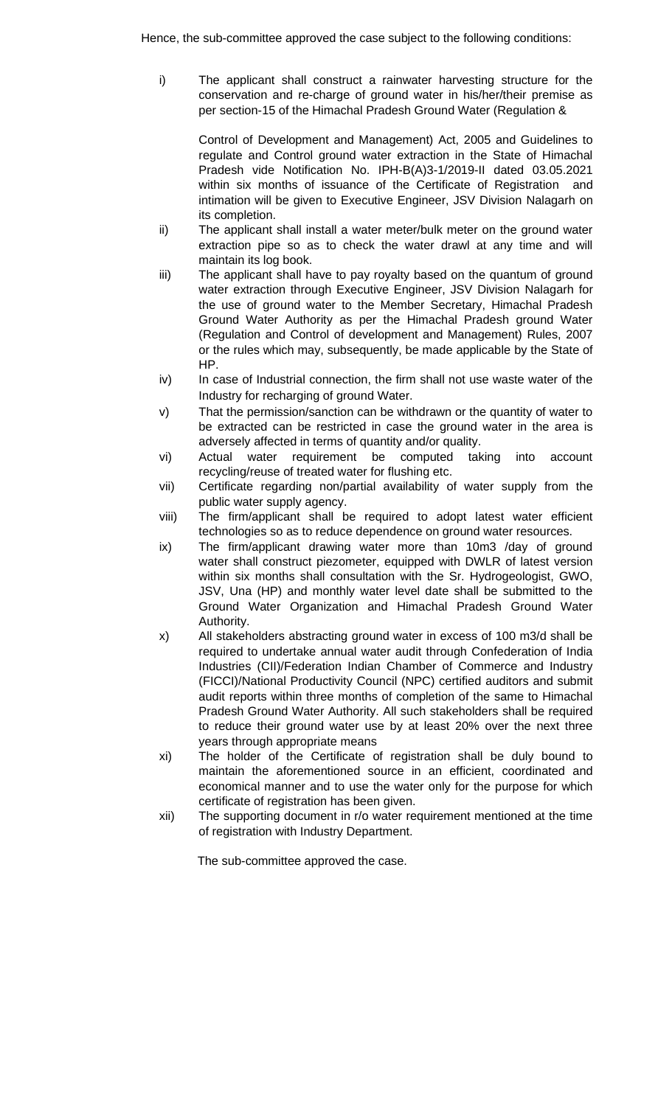i) The applicant shall construct a rainwater harvesting structure for the conservation and re-charge of ground water in his/her/their premise as per section-15 of the Himachal Pradesh Ground Water (Regulation &

Control of Development and Management) Act, 2005 and Guidelines to regulate and Control ground water extraction in the State of Himachal Pradesh vide Notification No. IPH-B(A)3-1/2019-II dated 03.05.2021 within six months of issuance of the Certificate of Registration and intimation will be given to Executive Engineer, JSV Division Nalagarh on its completion.

- ii) The applicant shall install a water meter/bulk meter on the ground water extraction pipe so as to check the water drawl at any time and will maintain its log book.
- iii) The applicant shall have to pay royalty based on the quantum of ground water extraction through Executive Engineer, JSV Division Nalagarh for the use of ground water to the Member Secretary, Himachal Pradesh Ground Water Authority as per the Himachal Pradesh ground Water (Regulation and Control of development and Management) Rules, 2007 or the rules which may, subsequently, be made applicable by the State of HP.
- iv) In case of Industrial connection, the firm shall not use waste water of the Industry for recharging of ground Water.
- v) That the permission/sanction can be withdrawn or the quantity of water to be extracted can be restricted in case the ground water in the area is adversely affected in terms of quantity and/or quality.
- vi) Actual water requirement be computed taking into account recycling/reuse of treated water for flushing etc.
- vii) Certificate regarding non/partial availability of water supply from the public water supply agency.
- viii) The firm/applicant shall be required to adopt latest water efficient technologies so as to reduce dependence on ground water resources.
- ix) The firm/applicant drawing water more than 10m3 /day of ground water shall construct piezometer, equipped with DWLR of latest version within six months shall consultation with the Sr. Hydrogeologist, GWO, JSV, Una (HP) and monthly water level date shall be submitted to the Ground Water Organization and Himachal Pradesh Ground Water Authority.
- x) All stakeholders abstracting ground water in excess of 100 m3/d shall be required to undertake annual water audit through Confederation of India Industries (CII)/Federation Indian Chamber of Commerce and Industry (FICCI)/National Productivity Council (NPC) certified auditors and submit audit reports within three months of completion of the same to Himachal Pradesh Ground Water Authority. All such stakeholders shall be required to reduce their ground water use by at least 20% over the next three years through appropriate means
- xi) The holder of the Certificate of registration shall be duly bound to maintain the aforementioned source in an efficient, coordinated and economical manner and to use the water only for the purpose for which certificate of registration has been given.
- xii) The supporting document in r/o water requirement mentioned at the time of registration with Industry Department.

The sub-committee approved the case.